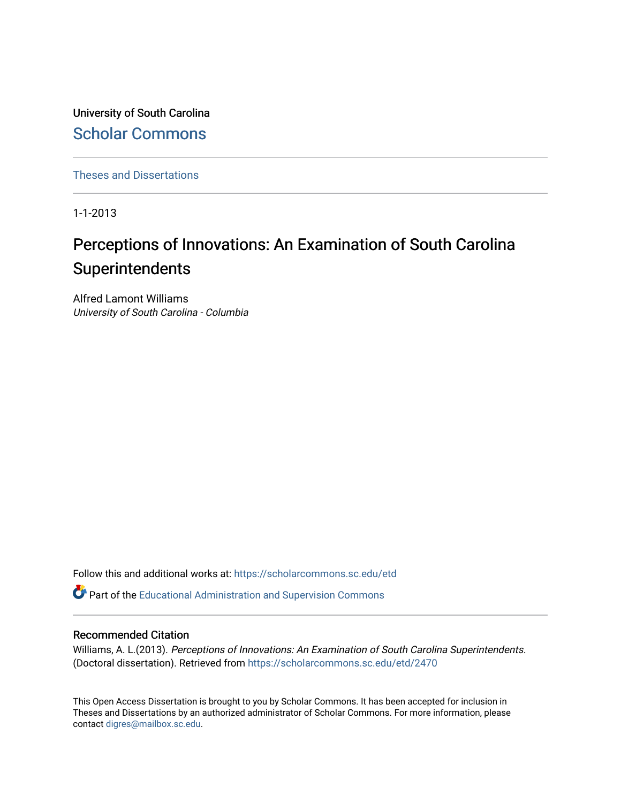University of South Carolina [Scholar Commons](https://scholarcommons.sc.edu/) 

[Theses and Dissertations](https://scholarcommons.sc.edu/etd)

1-1-2013

# Perceptions of Innovations: An Examination of South Carolina Superintendents

Alfred Lamont Williams University of South Carolina - Columbia

Follow this and additional works at: [https://scholarcommons.sc.edu/etd](https://scholarcommons.sc.edu/etd?utm_source=scholarcommons.sc.edu%2Fetd%2F2470&utm_medium=PDF&utm_campaign=PDFCoverPages)

Part of the [Educational Administration and Supervision Commons](http://network.bepress.com/hgg/discipline/787?utm_source=scholarcommons.sc.edu%2Fetd%2F2470&utm_medium=PDF&utm_campaign=PDFCoverPages)

#### Recommended Citation

Williams, A. L.(2013). Perceptions of Innovations: An Examination of South Carolina Superintendents. (Doctoral dissertation). Retrieved from [https://scholarcommons.sc.edu/etd/2470](https://scholarcommons.sc.edu/etd/2470?utm_source=scholarcommons.sc.edu%2Fetd%2F2470&utm_medium=PDF&utm_campaign=PDFCoverPages)

This Open Access Dissertation is brought to you by Scholar Commons. It has been accepted for inclusion in Theses and Dissertations by an authorized administrator of Scholar Commons. For more information, please contact [digres@mailbox.sc.edu.](mailto:digres@mailbox.sc.edu)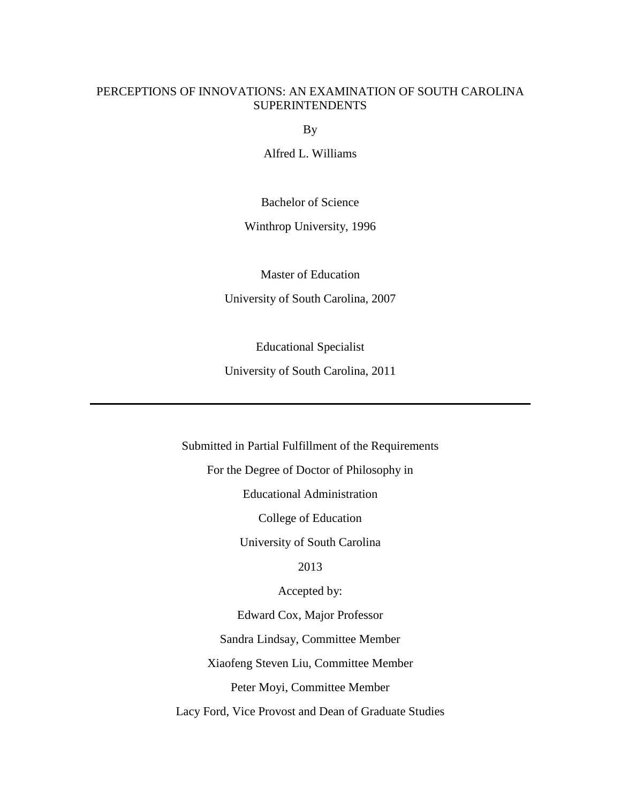## PERCEPTIONS OF INNOVATIONS: AN EXAMINATION OF SOUTH CAROLINA **SUPERINTENDENTS**

By

Alfred L. Williams

Bachelor of Science

Winthrop University, 1996

Master of Education

University of South Carolina, 2007

Educational Specialist

University of South Carolina, 2011

Submitted in Partial Fulfillment of the Requirements For the Degree of Doctor of Philosophy in Educational Administration College of Education University of South Carolina 2013 Accepted by: Edward Cox, Major Professor Sandra Lindsay, Committee Member Xiaofeng Steven Liu, Committee Member Peter Moyi, Committee Member Lacy Ford, Vice Provost and Dean of Graduate Studies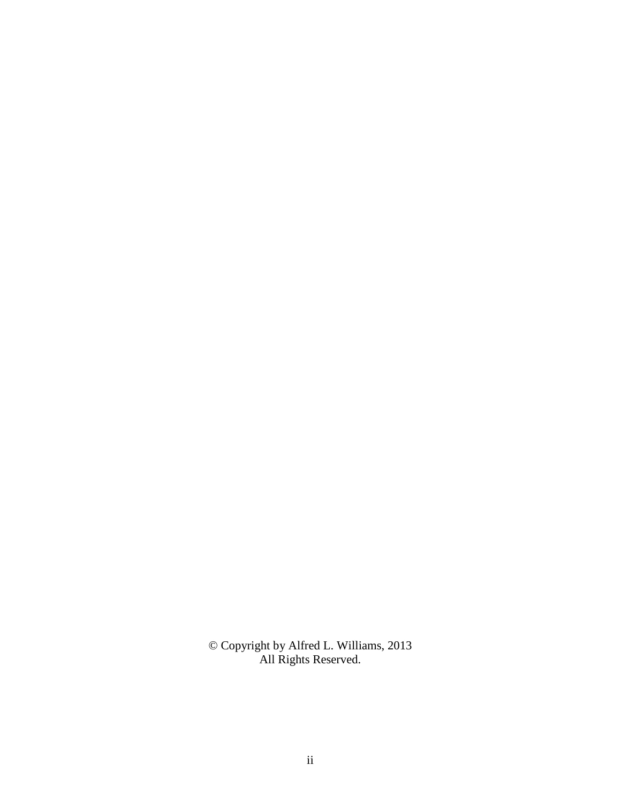© Copyright by Alfred L. Williams, 2013 All Rights Reserved.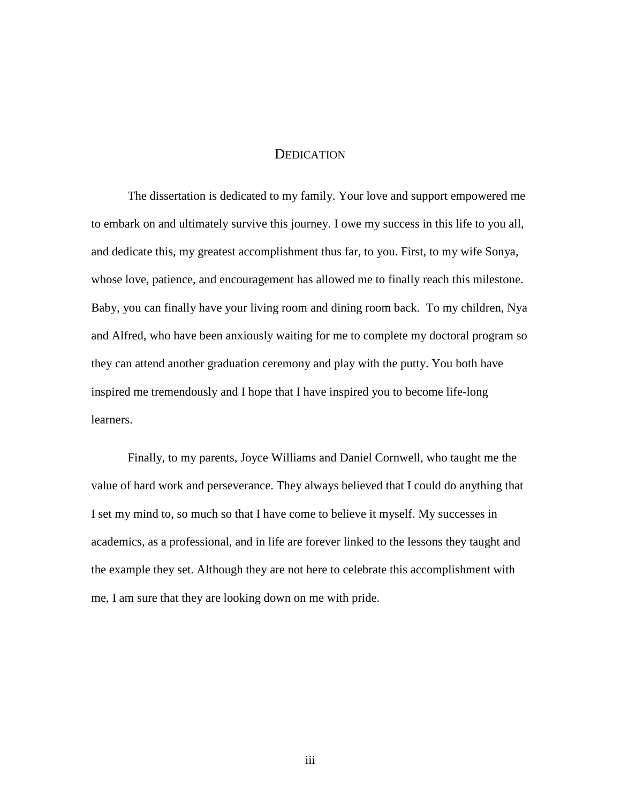#### **DEDICATION**

 The dissertation is dedicated to my family. Your love and support empowered me to embark on and ultimately survive this journey. I owe my success in this life to you all, and dedicate this, my greatest accomplishment thus far, to you. First, to my wife Sonya, whose love, patience, and encouragement has allowed me to finally reach this milestone. Baby, you can finally have your living room and dining room back. To my children, Nya and Alfred, who have been anxiously waiting for me to complete my doctoral program so they can attend another graduation ceremony and play with the putty. You both have inspired me tremendously and I hope that I have inspired you to become life-long learners.

Finally, to my parents, Joyce Williams and Daniel Cornwell, who taught me the value of hard work and perseverance. They always believed that I could do anything that I set my mind to, so much so that I have come to believe it myself. My successes in academics, as a professional, and in life are forever linked to the lessons they taught and the example they set. Although they are not here to celebrate this accomplishment with me, I am sure that they are looking down on me with pride.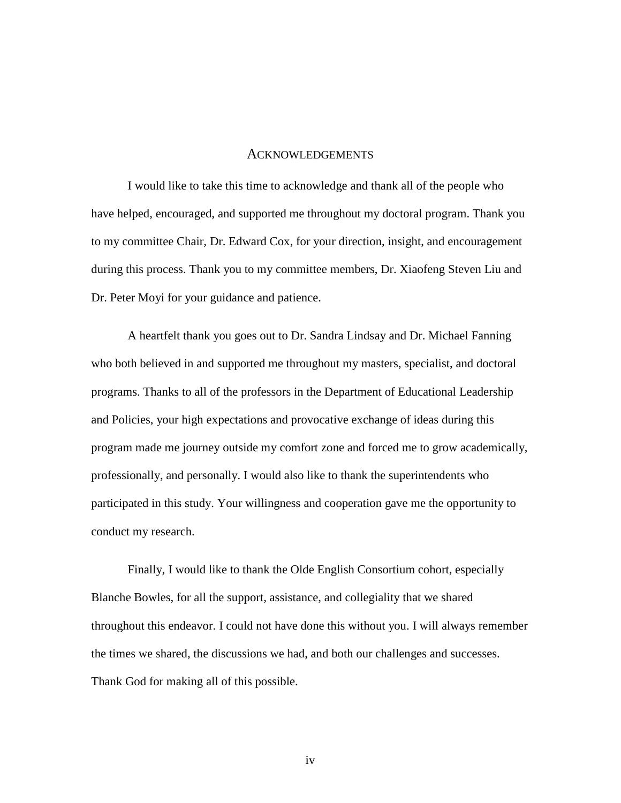#### ACKNOWLEDGEMENTS

 I would like to take this time to acknowledge and thank all of the people who have helped, encouraged, and supported me throughout my doctoral program. Thank you to my committee Chair, Dr. Edward Cox, for your direction, insight, and encouragement during this process. Thank you to my committee members, Dr. Xiaofeng Steven Liu and Dr. Peter Moyi for your guidance and patience.

 A heartfelt thank you goes out to Dr. Sandra Lindsay and Dr. Michael Fanning who both believed in and supported me throughout my masters, specialist, and doctoral programs. Thanks to all of the professors in the Department of Educational Leadership and Policies, your high expectations and provocative exchange of ideas during this program made me journey outside my comfort zone and forced me to grow academically, professionally, and personally. I would also like to thank the superintendents who participated in this study. Your willingness and cooperation gave me the opportunity to conduct my research.

Finally, I would like to thank the Olde English Consortium cohort, especially Blanche Bowles, for all the support, assistance, and collegiality that we shared throughout this endeavor. I could not have done this without you. I will always remember the times we shared, the discussions we had, and both our challenges and successes. Thank God for making all of this possible.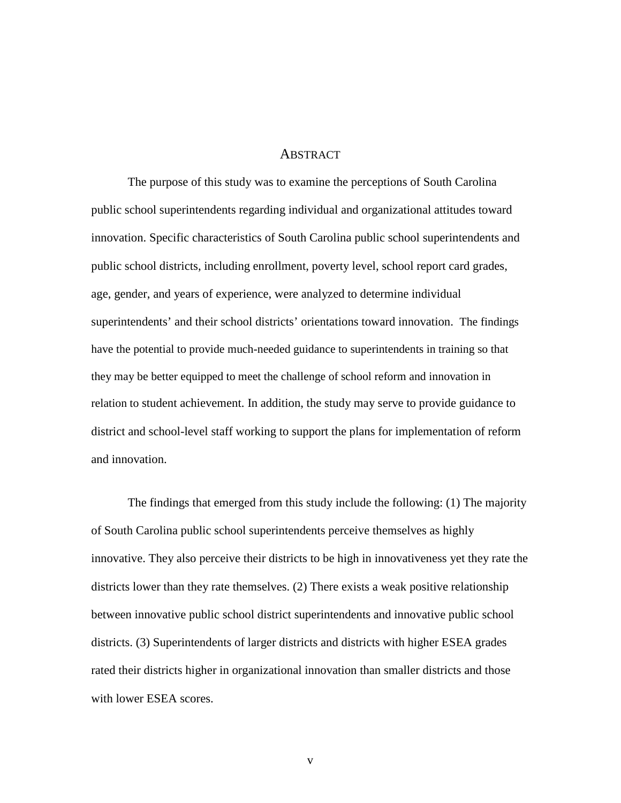#### **ABSTRACT**

The purpose of this study was to examine the perceptions of South Carolina public school superintendents regarding individual and organizational attitudes toward innovation. Specific characteristics of South Carolina public school superintendents and public school districts, including enrollment, poverty level, school report card grades, age, gender, and years of experience, were analyzed to determine individual superintendents' and their school districts' orientations toward innovation. The findings have the potential to provide much-needed guidance to superintendents in training so that they may be better equipped to meet the challenge of school reform and innovation in relation to student achievement. In addition, the study may serve to provide guidance to district and school-level staff working to support the plans for implementation of reform and innovation.

The findings that emerged from this study include the following: (1) The majority of South Carolina public school superintendents perceive themselves as highly innovative. They also perceive their districts to be high in innovativeness yet they rate the districts lower than they rate themselves. (2) There exists a weak positive relationship between innovative public school district superintendents and innovative public school districts. (3) Superintendents of larger districts and districts with higher ESEA grades rated their districts higher in organizational innovation than smaller districts and those with lower ESEA scores.

v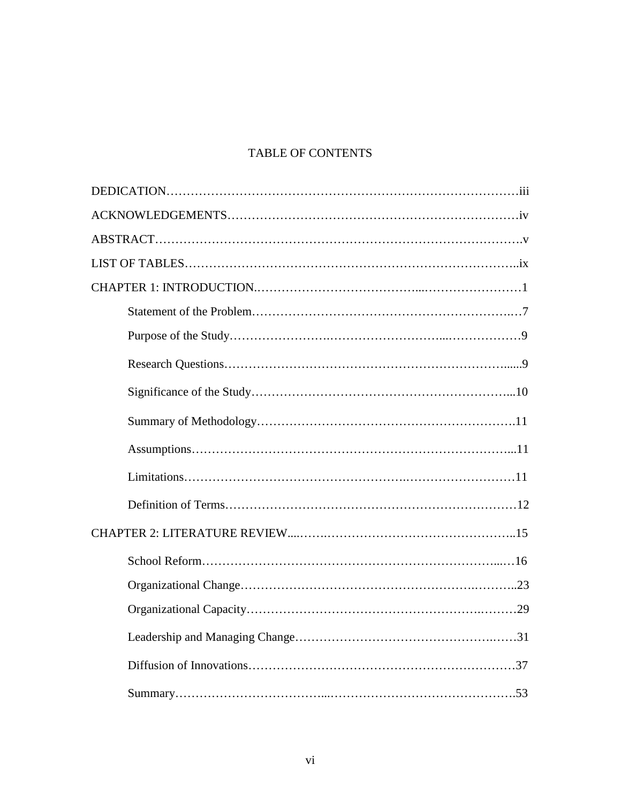# TABLE OF CONTENTS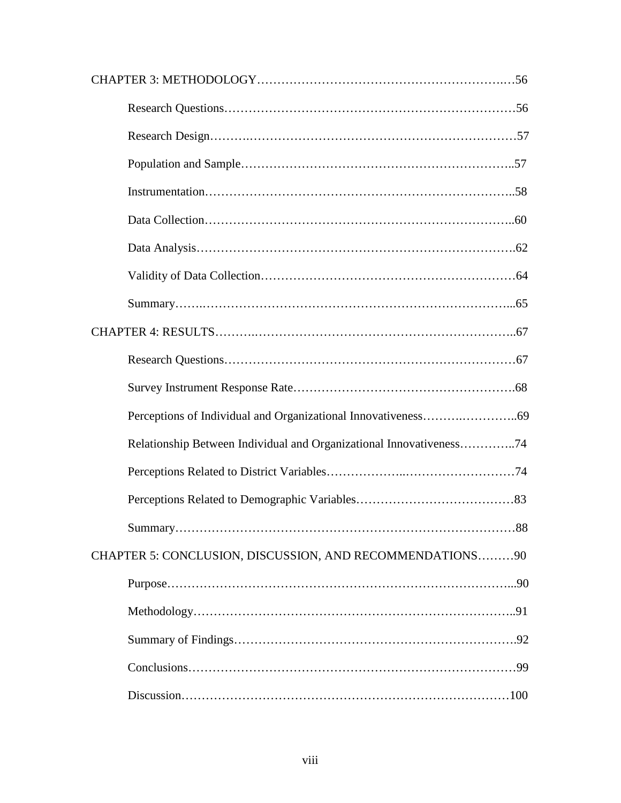| Relationship Between Individual and Organizational Innovativeness74 |
|---------------------------------------------------------------------|
|                                                                     |
|                                                                     |
|                                                                     |
| CHAPTER 5: CONCLUSION, DISCUSSION, AND RECOMMENDATIONS90            |
|                                                                     |
|                                                                     |
|                                                                     |
|                                                                     |
|                                                                     |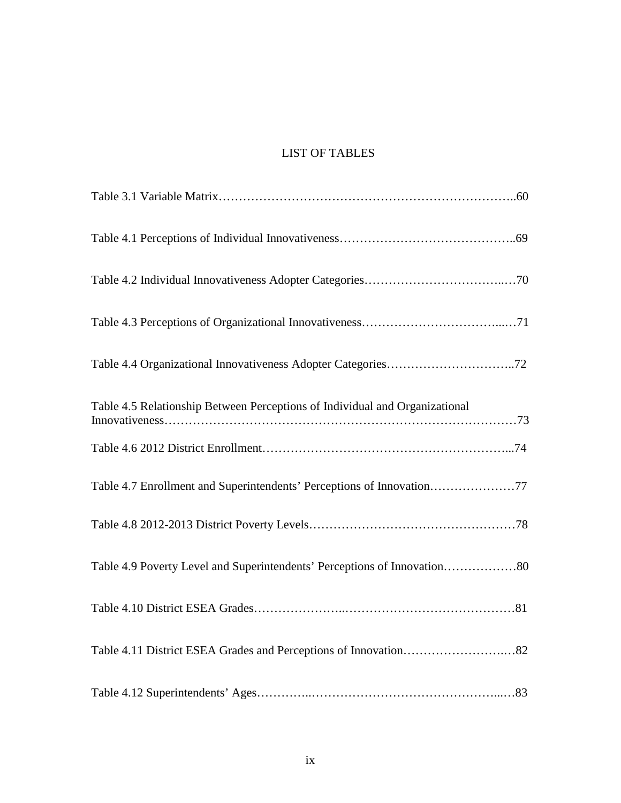# LIST OF TABLES

| Table 4.5 Relationship Between Perceptions of Individual and Organizational |
|-----------------------------------------------------------------------------|
|                                                                             |
|                                                                             |
|                                                                             |
| Table 4.9 Poverty Level and Superintendents' Perceptions of Innovation80    |
|                                                                             |
|                                                                             |
|                                                                             |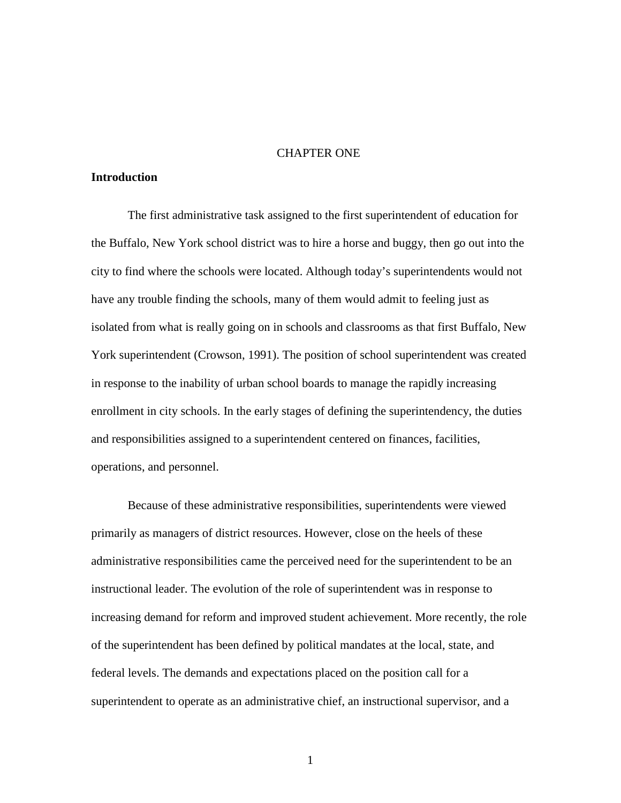#### CHAPTER ONE

#### **Introduction**

The first administrative task assigned to the first superintendent of education for the Buffalo, New York school district was to hire a horse and buggy, then go out into the city to find where the schools were located. Although today's superintendents would not have any trouble finding the schools, many of them would admit to feeling just as isolated from what is really going on in schools and classrooms as that first Buffalo, New York superintendent (Crowson, 1991). The position of school superintendent was created in response to the inability of urban school boards to manage the rapidly increasing enrollment in city schools. In the early stages of defining the superintendency, the duties and responsibilities assigned to a superintendent centered on finances, facilities, operations, and personnel.

Because of these administrative responsibilities, superintendents were viewed primarily as managers of district resources. However, close on the heels of these administrative responsibilities came the perceived need for the superintendent to be an instructional leader. The evolution of the role of superintendent was in response to increasing demand for reform and improved student achievement. More recently, the role of the superintendent has been defined by political mandates at the local, state, and federal levels. The demands and expectations placed on the position call for a superintendent to operate as an administrative chief, an instructional supervisor, and a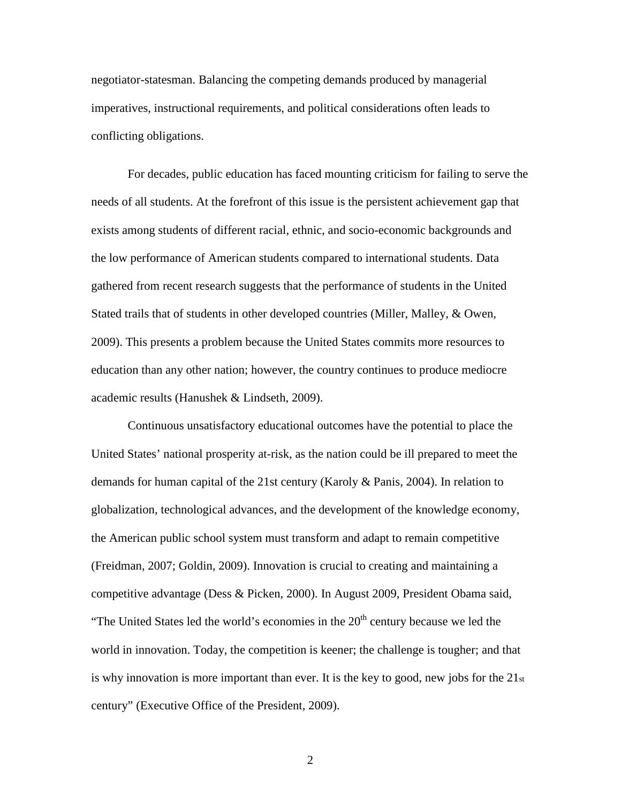negotiator-statesman. Balancing the competing demands produced by managerial imperatives, instructional requirements, and political considerations often leads to conflicting obligations.

For decades, public education has faced mounting criticism for failing to serve the needs of all students. At the forefront of this issue is the persistent achievement gap that exists among students of different racial, ethnic, and socio-economic backgrounds and the low performance of American students compared to international students. Data gathered from recent research suggests that the performance of students in the United Stated trails that of students in other developed countries (Miller, Malley, & Owen, 2009). This presents a problem because the United States commits more resources to education than any other nation; however, the country continues to produce mediocre academic results (Hanushek & Lindseth, 2009).

Continuous unsatisfactory educational outcomes have the potential to place the United States' national prosperity at-risk, as the nation could be ill prepared to meet the demands for human capital of the 21st century (Karoly & Panis, 2004). In relation to globalization, technological advances, and the development of the knowledge economy, the American public school system must transform and adapt to remain competitive (Freidman, 2007; Goldin, 2009). Innovation is crucial to creating and maintaining a competitive advantage (Dess & Picken, 2000). In August 2009, President Obama said, "The United States led the world's economies in the  $20<sup>th</sup>$  century because we led the world in innovation. Today, the competition is keener; the challenge is tougher; and that is why innovation is more important than ever. It is the key to good, new jobs for the  $21_{st}$ century" (Executive Office of the President, 2009).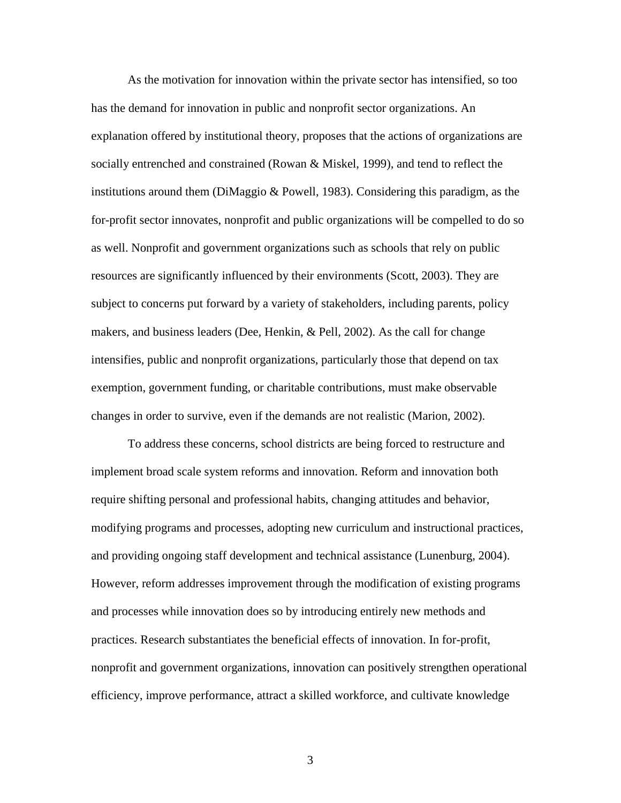As the motivation for innovation within the private sector has intensified, so too has the demand for innovation in public and nonprofit sector organizations. An explanation offered by institutional theory, proposes that the actions of organizations are socially entrenched and constrained (Rowan & Miskel, 1999), and tend to reflect the institutions around them (DiMaggio & Powell, 1983). Considering this paradigm, as the for-profit sector innovates, nonprofit and public organizations will be compelled to do so as well. Nonprofit and government organizations such as schools that rely on public resources are significantly influenced by their environments (Scott, 2003). They are subject to concerns put forward by a variety of stakeholders, including parents, policy makers, and business leaders (Dee, Henkin, & Pell, 2002). As the call for change intensifies, public and nonprofit organizations, particularly those that depend on tax exemption, government funding, or charitable contributions, must make observable changes in order to survive, even if the demands are not realistic (Marion, 2002).

To address these concerns, school districts are being forced to restructure and implement broad scale system reforms and innovation. Reform and innovation both require shifting personal and professional habits, changing attitudes and behavior, modifying programs and processes, adopting new curriculum and instructional practices, and providing ongoing staff development and technical assistance (Lunenburg, 2004). However, reform addresses improvement through the modification of existing programs and processes while innovation does so by introducing entirely new methods and practices. Research substantiates the beneficial effects of innovation. In for-profit, nonprofit and government organizations, innovation can positively strengthen operational efficiency, improve performance, attract a skilled workforce, and cultivate knowledge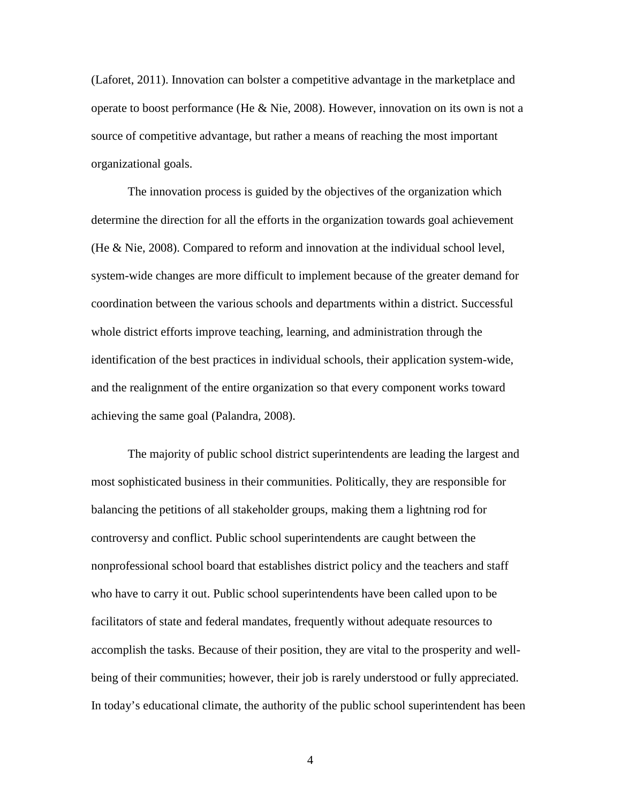(Laforet, 2011). Innovation can bolster a competitive advantage in the marketplace and operate to boost performance (He & Nie, 2008). However, innovation on its own is not a source of competitive advantage, but rather a means of reaching the most important organizational goals.

The innovation process is guided by the objectives of the organization which determine the direction for all the efforts in the organization towards goal achievement (He & Nie, 2008). Compared to reform and innovation at the individual school level, system-wide changes are more difficult to implement because of the greater demand for coordination between the various schools and departments within a district. Successful whole district efforts improve teaching, learning, and administration through the identification of the best practices in individual schools, their application system-wide, and the realignment of the entire organization so that every component works toward achieving the same goal (Palandra, 2008).

The majority of public school district superintendents are leading the largest and most sophisticated business in their communities. Politically, they are responsible for balancing the petitions of all stakeholder groups, making them a lightning rod for controversy and conflict. Public school superintendents are caught between the nonprofessional school board that establishes district policy and the teachers and staff who have to carry it out. Public school superintendents have been called upon to be facilitators of state and federal mandates, frequently without adequate resources to accomplish the tasks. Because of their position, they are vital to the prosperity and wellbeing of their communities; however, their job is rarely understood or fully appreciated. In today's educational climate, the authority of the public school superintendent has been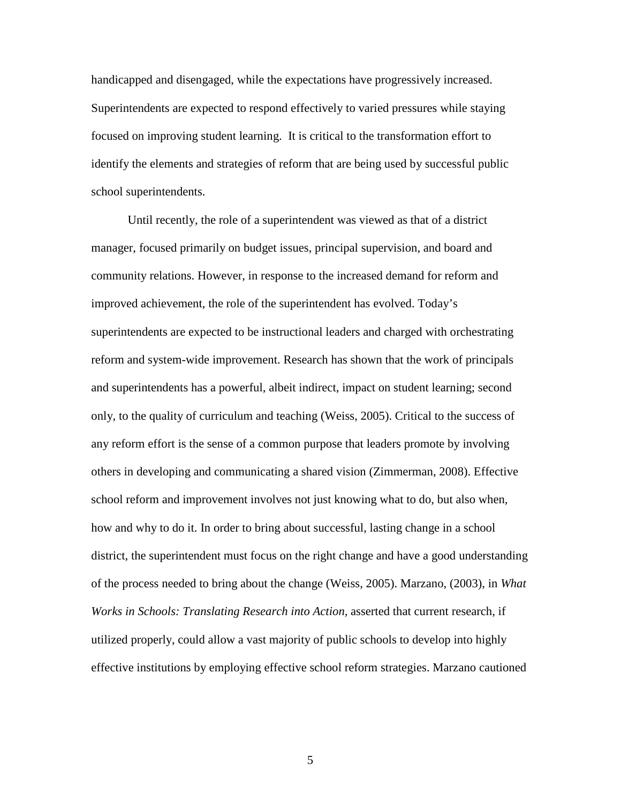handicapped and disengaged, while the expectations have progressively increased. Superintendents are expected to respond effectively to varied pressures while staying focused on improving student learning. It is critical to the transformation effort to identify the elements and strategies of reform that are being used by successful public school superintendents.

Until recently, the role of a superintendent was viewed as that of a district manager, focused primarily on budget issues, principal supervision, and board and community relations. However, in response to the increased demand for reform and improved achievement, the role of the superintendent has evolved. Today's superintendents are expected to be instructional leaders and charged with orchestrating reform and system-wide improvement. Research has shown that the work of principals and superintendents has a powerful, albeit indirect, impact on student learning; second only, to the quality of curriculum and teaching (Weiss, 2005). Critical to the success of any reform effort is the sense of a common purpose that leaders promote by involving others in developing and communicating a shared vision (Zimmerman, 2008). Effective school reform and improvement involves not just knowing what to do, but also when, how and why to do it. In order to bring about successful, lasting change in a school district, the superintendent must focus on the right change and have a good understanding of the process needed to bring about the change (Weiss, 2005). Marzano, (2003), in *What Works in Schools: Translating Research into Action,* asserted that current research, if utilized properly, could allow a vast majority of public schools to develop into highly effective institutions by employing effective school reform strategies. Marzano cautioned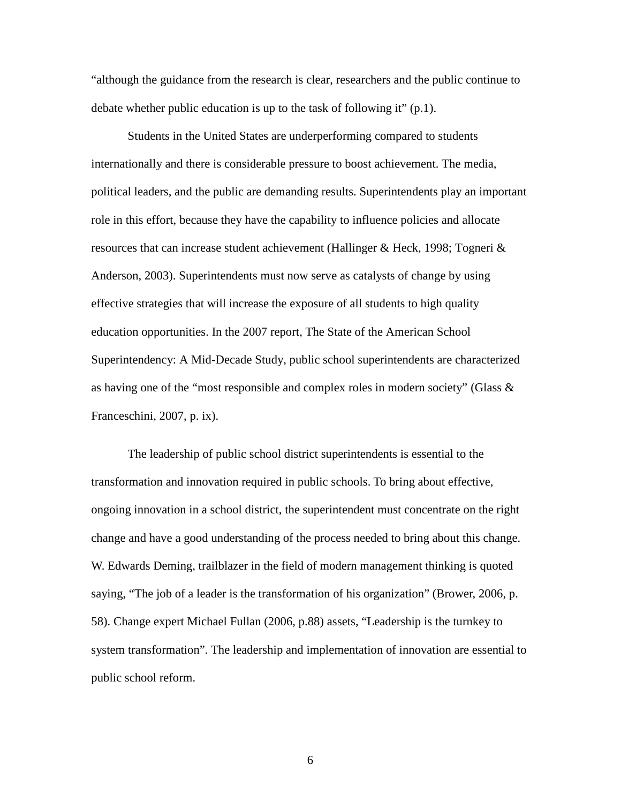"although the guidance from the research is clear, researchers and the public continue to debate whether public education is up to the task of following it" (p.1).

Students in the United States are underperforming compared to students internationally and there is considerable pressure to boost achievement. The media, political leaders, and the public are demanding results. Superintendents play an important role in this effort, because they have the capability to influence policies and allocate resources that can increase student achievement (Hallinger & Heck, 1998; Togneri & Anderson, 2003). Superintendents must now serve as catalysts of change by using effective strategies that will increase the exposure of all students to high quality education opportunities. In the 2007 report, The State of the American School Superintendency: A Mid-Decade Study, public school superintendents are characterized as having one of the "most responsible and complex roles in modern society" (Glass  $\&$ Franceschini, 2007, p. ix).

The leadership of public school district superintendents is essential to the transformation and innovation required in public schools. To bring about effective, ongoing innovation in a school district, the superintendent must concentrate on the right change and have a good understanding of the process needed to bring about this change. W. Edwards Deming, trailblazer in the field of modern management thinking is quoted saying, "The job of a leader is the transformation of his organization" (Brower, 2006, p. 58). Change expert Michael Fullan (2006, p.88) assets, "Leadership is the turnkey to system transformation". The leadership and implementation of innovation are essential to public school reform.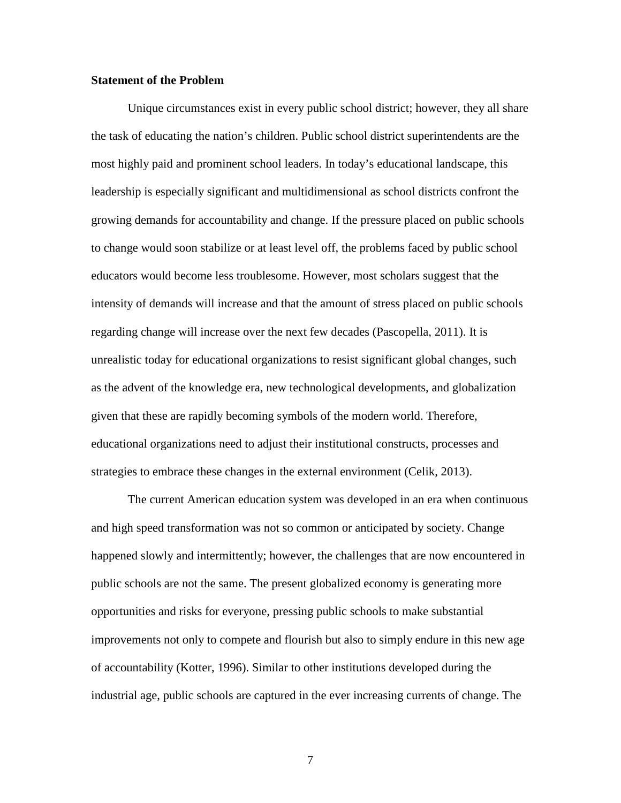#### **Statement of the Problem**

Unique circumstances exist in every public school district; however, they all share the task of educating the nation's children. Public school district superintendents are the most highly paid and prominent school leaders. In today's educational landscape, this leadership is especially significant and multidimensional as school districts confront the growing demands for accountability and change. If the pressure placed on public schools to change would soon stabilize or at least level off, the problems faced by public school educators would become less troublesome. However, most scholars suggest that the intensity of demands will increase and that the amount of stress placed on public schools regarding change will increase over the next few decades (Pascopella, 2011). It is unrealistic today for educational organizations to resist significant global changes, such as the advent of the knowledge era, new technological developments, and globalization given that these are rapidly becoming symbols of the modern world. Therefore, educational organizations need to adjust their institutional constructs, processes and strategies to embrace these changes in the external environment (Celik, 2013).

The current American education system was developed in an era when continuous and high speed transformation was not so common or anticipated by society. Change happened slowly and intermittently; however, the challenges that are now encountered in public schools are not the same. The present globalized economy is generating more opportunities and risks for everyone, pressing public schools to make substantial improvements not only to compete and flourish but also to simply endure in this new age of accountability (Kotter, 1996). Similar to other institutions developed during the industrial age, public schools are captured in the ever increasing currents of change. The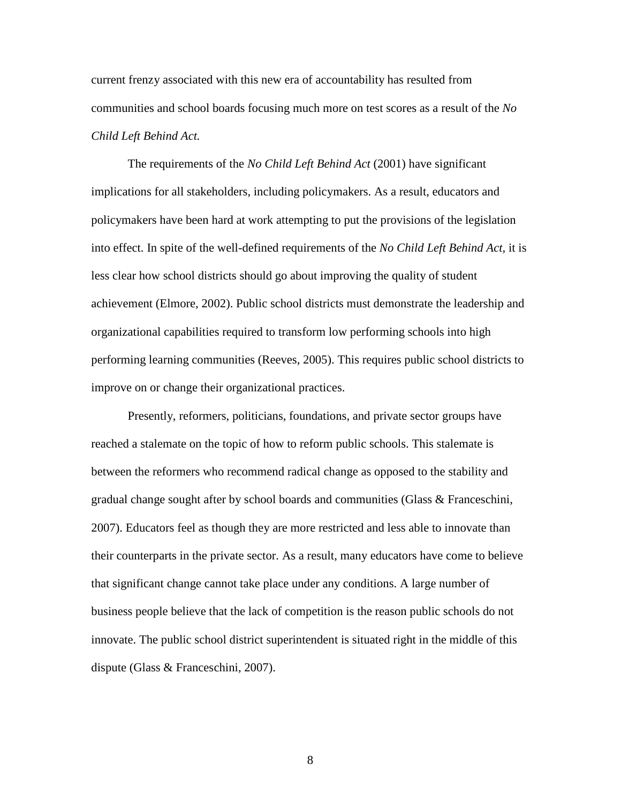current frenzy associated with this new era of accountability has resulted from communities and school boards focusing much more on test scores as a result of the *No Child Left Behind Act.* 

The requirements of the *No Child Left Behind Act* (2001) have significant implications for all stakeholders, including policymakers. As a result, educators and policymakers have been hard at work attempting to put the provisions of the legislation into effect. In spite of the well-defined requirements of the *No Child Left Behind Act,* it is less clear how school districts should go about improving the quality of student achievement (Elmore, 2002). Public school districts must demonstrate the leadership and organizational capabilities required to transform low performing schools into high performing learning communities (Reeves, 2005). This requires public school districts to improve on or change their organizational practices.

Presently, reformers, politicians, foundations, and private sector groups have reached a stalemate on the topic of how to reform public schools. This stalemate is between the reformers who recommend radical change as opposed to the stability and gradual change sought after by school boards and communities (Glass & Franceschini, 2007). Educators feel as though they are more restricted and less able to innovate than their counterparts in the private sector. As a result, many educators have come to believe that significant change cannot take place under any conditions. A large number of business people believe that the lack of competition is the reason public schools do not innovate. The public school district superintendent is situated right in the middle of this dispute (Glass & Franceschini, 2007).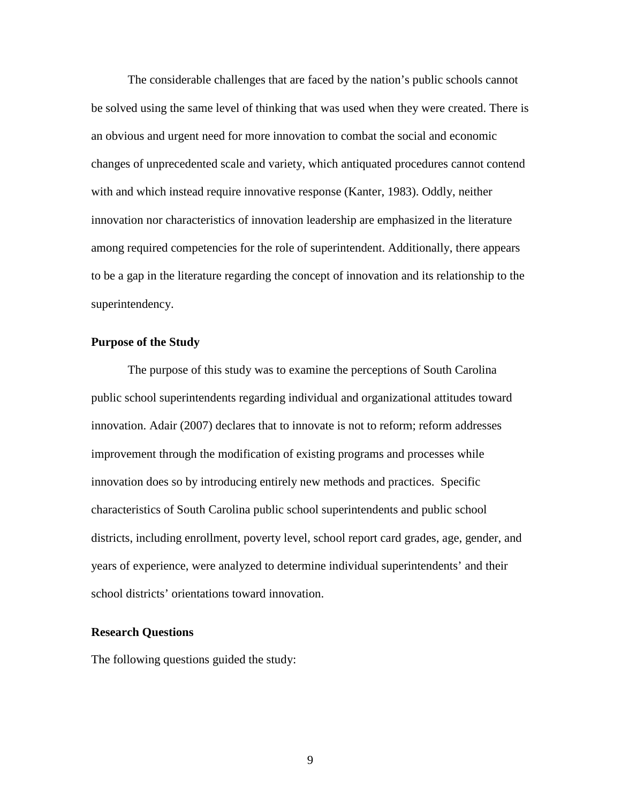The considerable challenges that are faced by the nation's public schools cannot be solved using the same level of thinking that was used when they were created. There is an obvious and urgent need for more innovation to combat the social and economic changes of unprecedented scale and variety, which antiquated procedures cannot contend with and which instead require innovative response (Kanter, 1983). Oddly, neither innovation nor characteristics of innovation leadership are emphasized in the literature among required competencies for the role of superintendent. Additionally, there appears to be a gap in the literature regarding the concept of innovation and its relationship to the superintendency.

#### **Purpose of the Study**

The purpose of this study was to examine the perceptions of South Carolina public school superintendents regarding individual and organizational attitudes toward innovation. Adair (2007) declares that to innovate is not to reform; reform addresses improvement through the modification of existing programs and processes while innovation does so by introducing entirely new methods and practices. Specific characteristics of South Carolina public school superintendents and public school districts, including enrollment, poverty level, school report card grades, age, gender, and years of experience, were analyzed to determine individual superintendents' and their school districts' orientations toward innovation.

#### **Research Questions**

The following questions guided the study: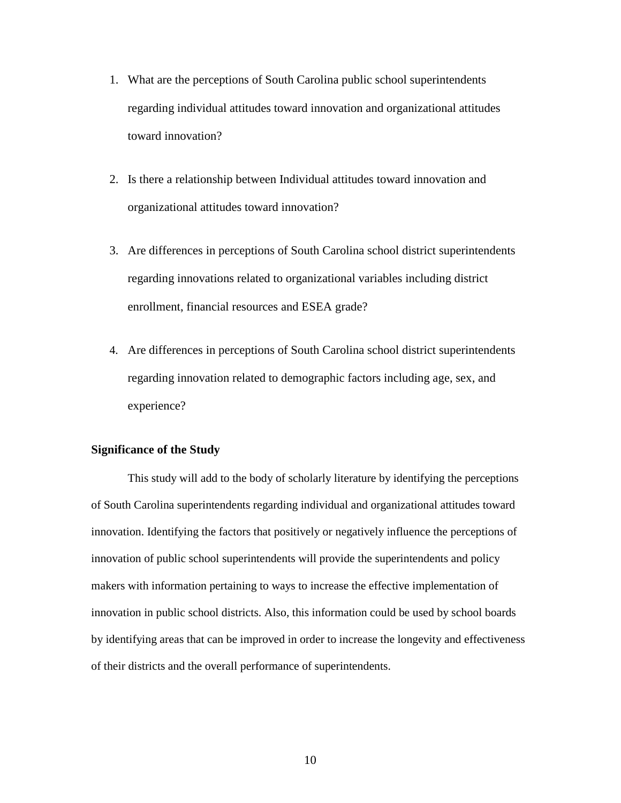- 1. What are the perceptions of South Carolina public school superintendents regarding individual attitudes toward innovation and organizational attitudes toward innovation?
- 2. Is there a relationship between Individual attitudes toward innovation and organizational attitudes toward innovation?
- 3. Are differences in perceptions of South Carolina school district superintendents regarding innovations related to organizational variables including district enrollment, financial resources and ESEA grade?
- 4. Are differences in perceptions of South Carolina school district superintendents regarding innovation related to demographic factors including age, sex, and experience?

#### **Significance of the Study**

This study will add to the body of scholarly literature by identifying the perceptions of South Carolina superintendents regarding individual and organizational attitudes toward innovation. Identifying the factors that positively or negatively influence the perceptions of innovation of public school superintendents will provide the superintendents and policy makers with information pertaining to ways to increase the effective implementation of innovation in public school districts. Also, this information could be used by school boards by identifying areas that can be improved in order to increase the longevity and effectiveness of their districts and the overall performance of superintendents.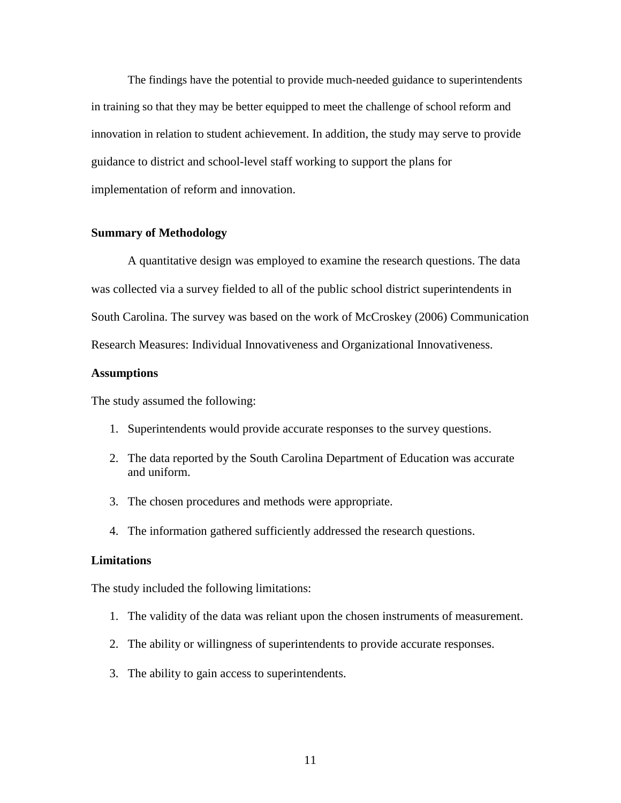The findings have the potential to provide much-needed guidance to superintendents in training so that they may be better equipped to meet the challenge of school reform and innovation in relation to student achievement. In addition, the study may serve to provide guidance to district and school-level staff working to support the plans for implementation of reform and innovation.

#### **Summary of Methodology**

A quantitative design was employed to examine the research questions. The data was collected via a survey fielded to all of the public school district superintendents in South Carolina. The survey was based on the work of McCroskey (2006) Communication Research Measures: Individual Innovativeness and Organizational Innovativeness.

#### **Assumptions**

The study assumed the following:

- 1. Superintendents would provide accurate responses to the survey questions.
- 2. The data reported by the South Carolina Department of Education was accurate and uniform.
- 3. The chosen procedures and methods were appropriate.
- 4. The information gathered sufficiently addressed the research questions.

#### **Limitations**

The study included the following limitations:

- 1. The validity of the data was reliant upon the chosen instruments of measurement.
- 2. The ability or willingness of superintendents to provide accurate responses.
- 3. The ability to gain access to superintendents.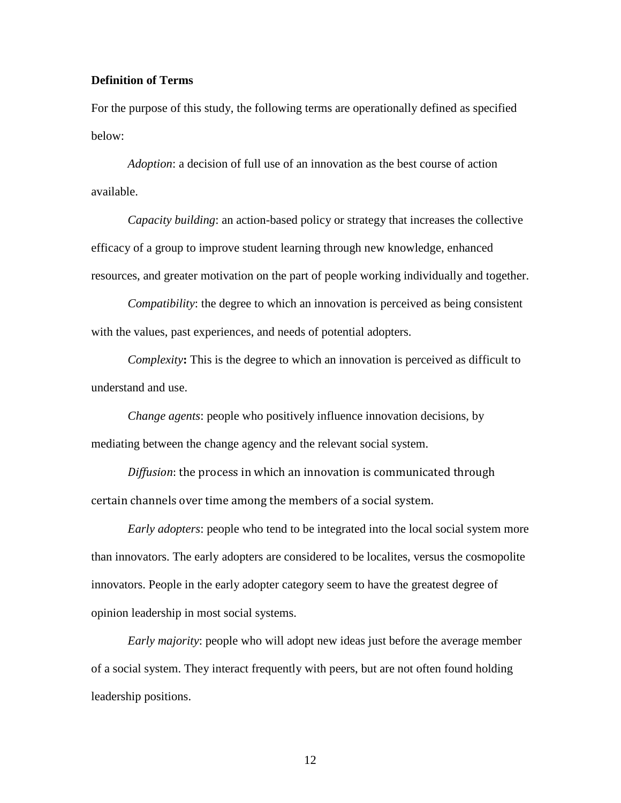### **Definition of Terms**

For the purpose of this study, the following terms are operationally defined as specified below:

*Adoption*: a decision of full use of an innovation as the best course of action available.

*Capacity building*: an action-based policy or strategy that increases the collective efficacy of a group to improve student learning through new knowledge, enhanced resources, and greater motivation on the part of people working individually and together.

*Compatibility*: the degree to which an innovation is perceived as being consistent with the values, past experiences, and needs of potential adopters.

*Complexity*: This is the degree to which an innovation is perceived as difficult to understand and use.

*Change agents*: people who positively influence innovation decisions, by mediating between the change agency and the relevant social system.

*Diffusion*: the process in which an innovation is communicated through certain channels over time among the members of a social system.

*Early adopters*: people who tend to be integrated into the local social system more than innovators. The early adopters are considered to be localites, versus the cosmopolite innovators. People in the early adopter category seem to have the greatest degree of opinion leadership in most social systems.

*Early majority*: people who will adopt new ideas just before the average member of a social system. They interact frequently with peers, but are not often found holding leadership positions.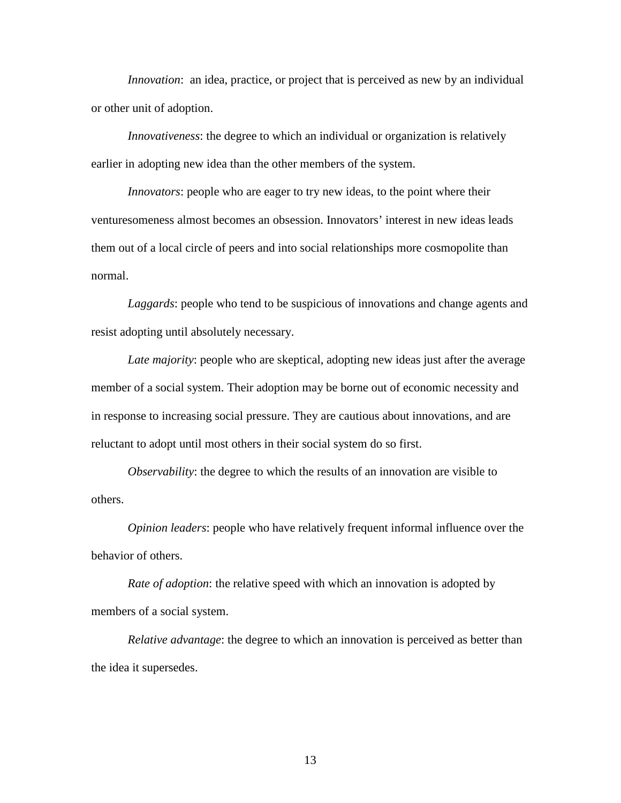*Innovation*: an idea, practice, or project that is perceived as new by an individual or other unit of adoption.

*Innovativeness*: the degree to which an individual or organization is relatively earlier in adopting new idea than the other members of the system.

*Innovators*: people who are eager to try new ideas, to the point where their venturesomeness almost becomes an obsession. Innovators' interest in new ideas leads them out of a local circle of peers and into social relationships more cosmopolite than normal.

*Laggards*: people who tend to be suspicious of innovations and change agents and resist adopting until absolutely necessary.

*Late majority*: people who are skeptical, adopting new ideas just after the average member of a social system. Their adoption may be borne out of economic necessity and in response to increasing social pressure. They are cautious about innovations, and are reluctant to adopt until most others in their social system do so first.

*Observability*: the degree to which the results of an innovation are visible to others.

*Opinion leaders*: people who have relatively frequent informal influence over the behavior of others.

*Rate of adoption*: the relative speed with which an innovation is adopted by members of a social system.

*Relative advantage*: the degree to which an innovation is perceived as better than the idea it supersedes.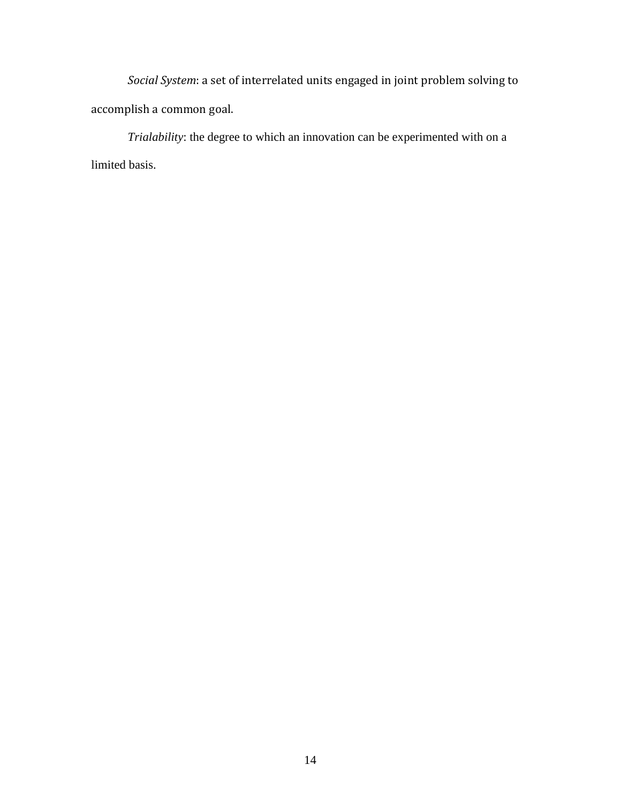*Social System*: a set of interrelated units engaged in joint problem solving to accomplish a common goal.

*Trialability*: the degree to which an innovation can be experimented with on a limited basis.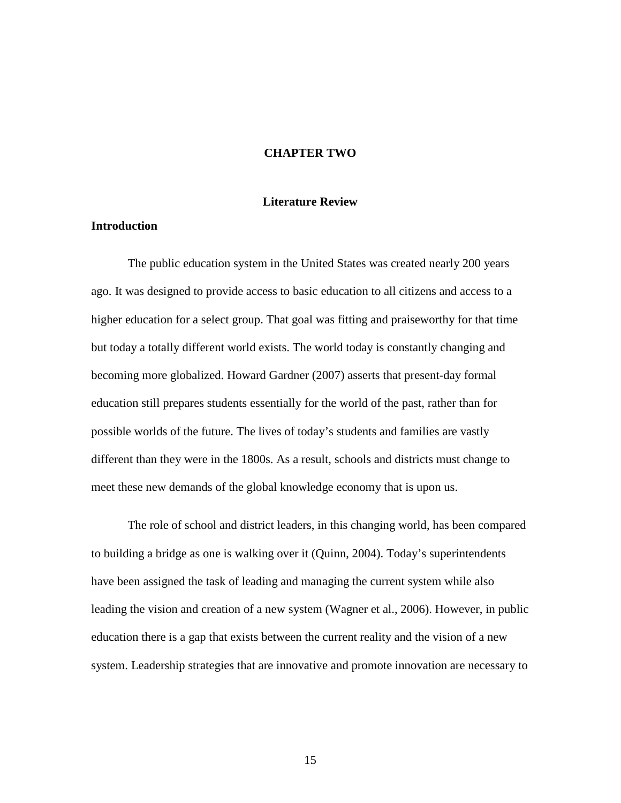#### **CHAPTER TWO**

#### **Literature Review**

## **Introduction**

 The public education system in the United States was created nearly 200 years ago. It was designed to provide access to basic education to all citizens and access to a higher education for a select group. That goal was fitting and praiseworthy for that time but today a totally different world exists. The world today is constantly changing and becoming more globalized. Howard Gardner (2007) asserts that present-day formal education still prepares students essentially for the world of the past, rather than for possible worlds of the future. The lives of today's students and families are vastly different than they were in the 1800s. As a result, schools and districts must change to meet these new demands of the global knowledge economy that is upon us.

The role of school and district leaders, in this changing world, has been compared to building a bridge as one is walking over it (Quinn, 2004). Today's superintendents have been assigned the task of leading and managing the current system while also leading the vision and creation of a new system (Wagner et al., 2006). However, in public education there is a gap that exists between the current reality and the vision of a new system. Leadership strategies that are innovative and promote innovation are necessary to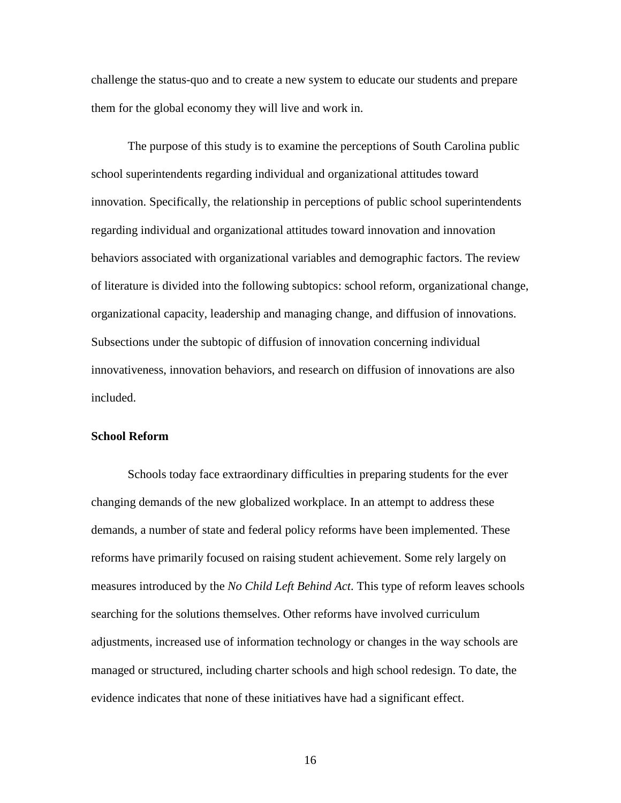challenge the status-quo and to create a new system to educate our students and prepare them for the global economy they will live and work in.

The purpose of this study is to examine the perceptions of South Carolina public school superintendents regarding individual and organizational attitudes toward innovation. Specifically, the relationship in perceptions of public school superintendents regarding individual and organizational attitudes toward innovation and innovation behaviors associated with organizational variables and demographic factors. The review of literature is divided into the following subtopics: school reform, organizational change, organizational capacity, leadership and managing change, and diffusion of innovations. Subsections under the subtopic of diffusion of innovation concerning individual innovativeness, innovation behaviors, and research on diffusion of innovations are also included.

#### **School Reform**

Schools today face extraordinary difficulties in preparing students for the ever changing demands of the new globalized workplace. In an attempt to address these demands, a number of state and federal policy reforms have been implemented. These reforms have primarily focused on raising student achievement. Some rely largely on measures introduced by the *No Child Left Behind Act*. This type of reform leaves schools searching for the solutions themselves. Other reforms have involved curriculum adjustments, increased use of information technology or changes in the way schools are managed or structured, including charter schools and high school redesign. To date, the evidence indicates that none of these initiatives have had a significant effect.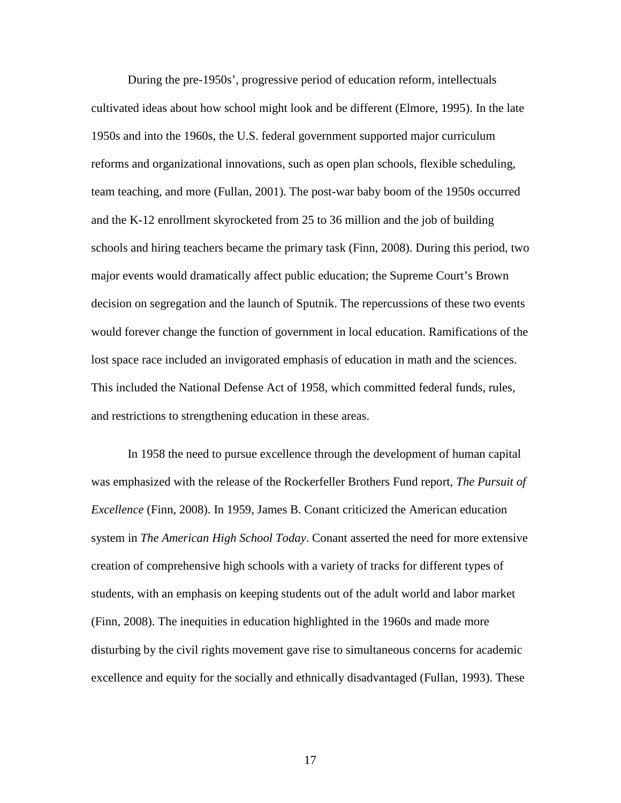During the pre-1950s', progressive period of education reform, intellectuals cultivated ideas about how school might look and be different (Elmore, 1995). In the late 1950s and into the 1960s, the U.S. federal government supported major curriculum reforms and organizational innovations, such as open plan schools, flexible scheduling, team teaching, and more (Fullan, 2001). The post-war baby boom of the 1950s occurred and the K-12 enrollment skyrocketed from 25 to 36 million and the job of building schools and hiring teachers became the primary task (Finn, 2008). During this period, two major events would dramatically affect public education; the Supreme Court's Brown decision on segregation and the launch of Sputnik. The repercussions of these two events would forever change the function of government in local education. Ramifications of the lost space race included an invigorated emphasis of education in math and the sciences. This included the National Defense Act of 1958, which committed federal funds, rules, and restrictions to strengthening education in these areas.

In 1958 the need to pursue excellence through the development of human capital was emphasized with the release of the Rockerfeller Brothers Fund report, *The Pursuit of Excellence* (Finn, 2008). In 1959, James B. Conant criticized the American education system in *The American High School Today*. Conant asserted the need for more extensive creation of comprehensive high schools with a variety of tracks for different types of students, with an emphasis on keeping students out of the adult world and labor market (Finn, 2008). The inequities in education highlighted in the 1960s and made more disturbing by the civil rights movement gave rise to simultaneous concerns for academic excellence and equity for the socially and ethnically disadvantaged (Fullan, 1993). These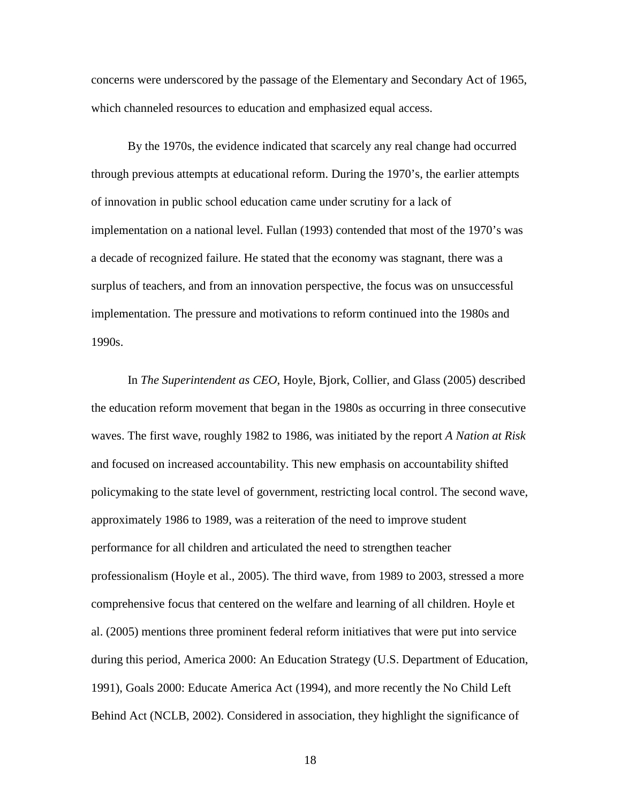concerns were underscored by the passage of the Elementary and Secondary Act of 1965, which channeled resources to education and emphasized equal access.

By the 1970s, the evidence indicated that scarcely any real change had occurred through previous attempts at educational reform. During the 1970's, the earlier attempts of innovation in public school education came under scrutiny for a lack of implementation on a national level. Fullan (1993) contended that most of the 1970's was a decade of recognized failure. He stated that the economy was stagnant, there was a surplus of teachers, and from an innovation perspective, the focus was on unsuccessful implementation. The pressure and motivations to reform continued into the 1980s and 1990s.

In *The Superintendent as CEO*, Hoyle, Bjork, Collier, and Glass (2005) described the education reform movement that began in the 1980s as occurring in three consecutive waves. The first wave, roughly 1982 to 1986, was initiated by the report *A Nation at Risk* and focused on increased accountability. This new emphasis on accountability shifted policymaking to the state level of government, restricting local control. The second wave, approximately 1986 to 1989, was a reiteration of the need to improve student performance for all children and articulated the need to strengthen teacher professionalism (Hoyle et al., 2005). The third wave, from 1989 to 2003, stressed a more comprehensive focus that centered on the welfare and learning of all children. Hoyle et al. (2005) mentions three prominent federal reform initiatives that were put into service during this period, America 2000: An Education Strategy (U.S. Department of Education, 1991), Goals 2000: Educate America Act (1994), and more recently the No Child Left Behind Act (NCLB, 2002). Considered in association, they highlight the significance of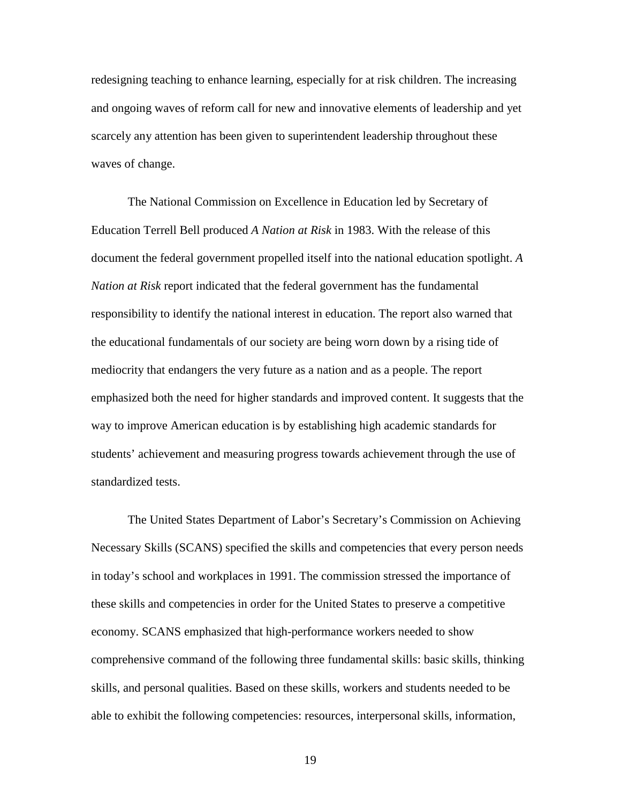redesigning teaching to enhance learning, especially for at risk children. The increasing and ongoing waves of reform call for new and innovative elements of leadership and yet scarcely any attention has been given to superintendent leadership throughout these waves of change.

The National Commission on Excellence in Education led by Secretary of Education Terrell Bell produced *A Nation at Risk* in 1983. With the release of this document the federal government propelled itself into the national education spotlight. *A Nation at Risk* report indicated that the federal government has the fundamental responsibility to identify the national interest in education. The report also warned that the educational fundamentals of our society are being worn down by a rising tide of mediocrity that endangers the very future as a nation and as a people. The report emphasized both the need for higher standards and improved content. It suggests that the way to improve American education is by establishing high academic standards for students' achievement and measuring progress towards achievement through the use of standardized tests.

The United States Department of Labor's Secretary's Commission on Achieving Necessary Skills (SCANS) specified the skills and competencies that every person needs in today's school and workplaces in 1991. The commission stressed the importance of these skills and competencies in order for the United States to preserve a competitive economy. SCANS emphasized that high-performance workers needed to show comprehensive command of the following three fundamental skills: basic skills, thinking skills, and personal qualities. Based on these skills, workers and students needed to be able to exhibit the following competencies: resources, interpersonal skills, information,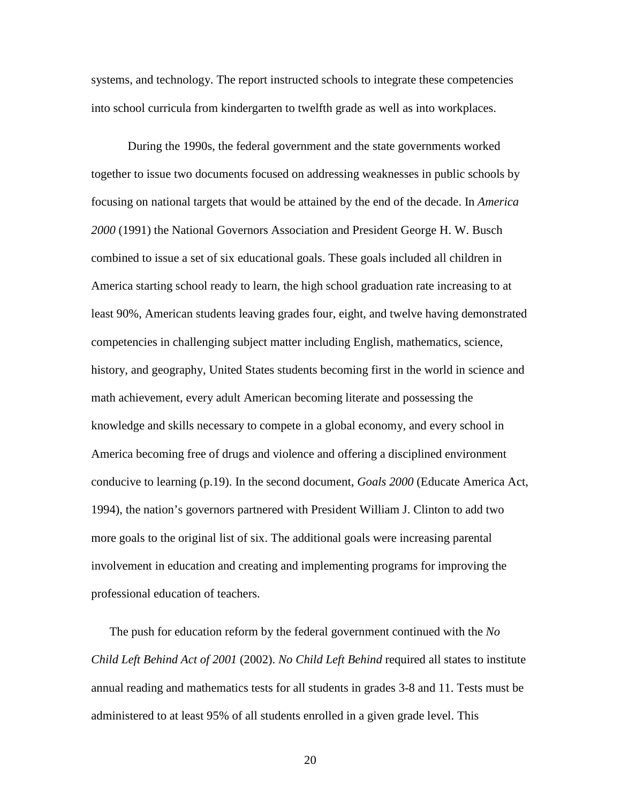systems, and technology. The report instructed schools to integrate these competencies into school curricula from kindergarten to twelfth grade as well as into workplaces.

During the 1990s, the federal government and the state governments worked together to issue two documents focused on addressing weaknesses in public schools by focusing on national targets that would be attained by the end of the decade. In *America 2000* (1991) the National Governors Association and President George H. W. Busch combined to issue a set of six educational goals. These goals included all children in America starting school ready to learn, the high school graduation rate increasing to at least 90%, American students leaving grades four, eight, and twelve having demonstrated competencies in challenging subject matter including English, mathematics, science, history, and geography, United States students becoming first in the world in science and math achievement, every adult American becoming literate and possessing the knowledge and skills necessary to compete in a global economy, and every school in America becoming free of drugs and violence and offering a disciplined environment conducive to learning (p.19). In the second document, *Goals 2000* (Educate America Act, 1994), the nation's governors partnered with President William J. Clinton to add two more goals to the original list of six. The additional goals were increasing parental involvement in education and creating and implementing programs for improving the professional education of teachers.

The push for education reform by the federal government continued with the *No Child Left Behind Act of 2001* (2002). *No Child Left Behind* required all states to institute annual reading and mathematics tests for all students in grades 3-8 and 11. Tests must be administered to at least 95% of all students enrolled in a given grade level. This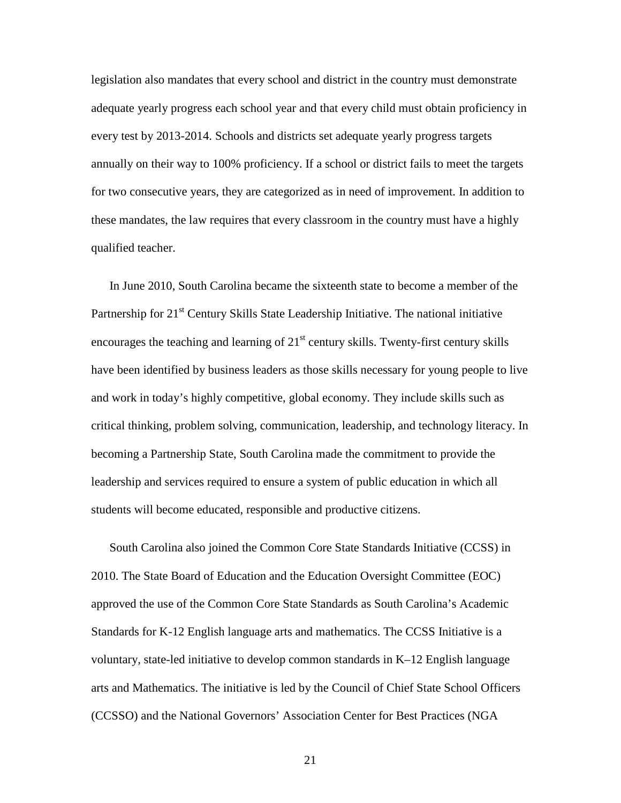legislation also mandates that every school and district in the country must demonstrate adequate yearly progress each school year and that every child must obtain proficiency in every test by 2013-2014. Schools and districts set adequate yearly progress targets annually on their way to 100% proficiency. If a school or district fails to meet the targets for two consecutive years, they are categorized as in need of improvement. In addition to these mandates, the law requires that every classroom in the country must have a highly qualified teacher.

In June 2010, South Carolina became the sixteenth state to become a member of the Partnership for  $21<sup>st</sup>$  Century Skills State Leadership Initiative. The national initiative encourages the teaching and learning of  $21<sup>st</sup>$  century skills. Twenty-first century skills have been identified by business leaders as those skills necessary for young people to live and work in today's highly competitive, global economy. They include skills such as critical thinking, problem solving, communication, leadership, and technology literacy. In becoming a Partnership State, South Carolina made the commitment to provide the leadership and services required to ensure a system of public education in which all students will become educated, responsible and productive citizens.

South Carolina also joined the Common Core State Standards Initiative (CCSS) in 2010. The State Board of Education and the Education Oversight Committee (EOC) approved the use of the Common Core State Standards as South Carolina's Academic Standards for K-12 English language arts and mathematics. The CCSS Initiative is a voluntary, state-led initiative to develop common standards in K–12 English language arts and Mathematics. The initiative is led by the Council of Chief State School Officers (CCSSO) and the National Governors' Association Center for Best Practices (NGA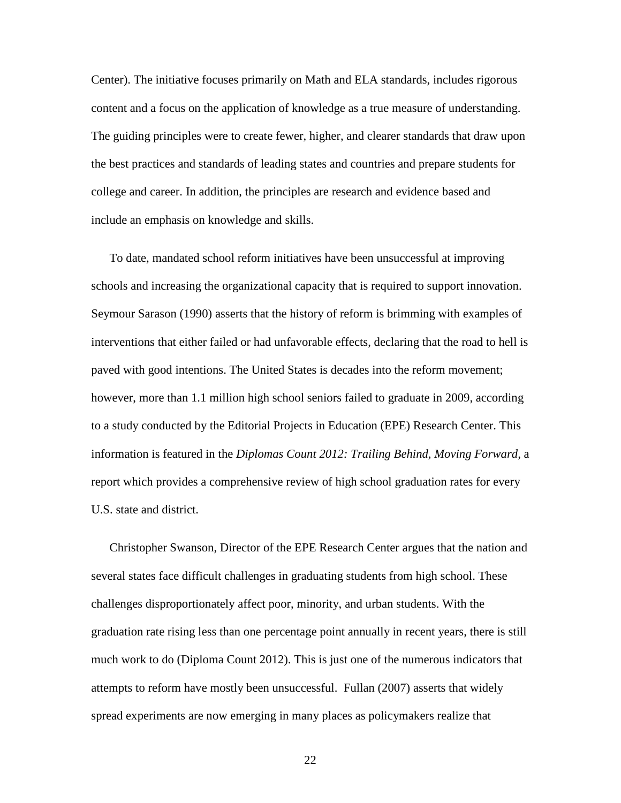Center). The initiative focuses primarily on Math and ELA standards, includes rigorous content and a focus on the application of knowledge as a true measure of understanding. The guiding principles were to create fewer, higher, and clearer standards that draw upon the best practices and standards of leading states and countries and prepare students for college and career. In addition, the principles are research and evidence based and include an emphasis on knowledge and skills.

To date, mandated school reform initiatives have been unsuccessful at improving schools and increasing the organizational capacity that is required to support innovation. Seymour Sarason (1990) asserts that the history of reform is brimming with examples of interventions that either failed or had unfavorable effects, declaring that the road to hell is paved with good intentions. The United States is decades into the reform movement; however, more than 1.1 million high school seniors failed to graduate in 2009, according to a study conducted by the Editorial Projects in Education (EPE) Research Center. This information is featured in the *Diplomas Count 2012: Trailing Behind, Moving Forward,* a report which provides a comprehensive review of high school graduation rates for every U.S. state and district.

Christopher Swanson, Director of the EPE Research Center argues that the nation and several states face difficult challenges in graduating students from high school. These challenges disproportionately affect poor, minority, and urban students. With the graduation rate rising less than one percentage point annually in recent years, there is still much work to do (Diploma Count 2012). This is just one of the numerous indicators that attempts to reform have mostly been unsuccessful. Fullan (2007) asserts that widely spread experiments are now emerging in many places as policymakers realize that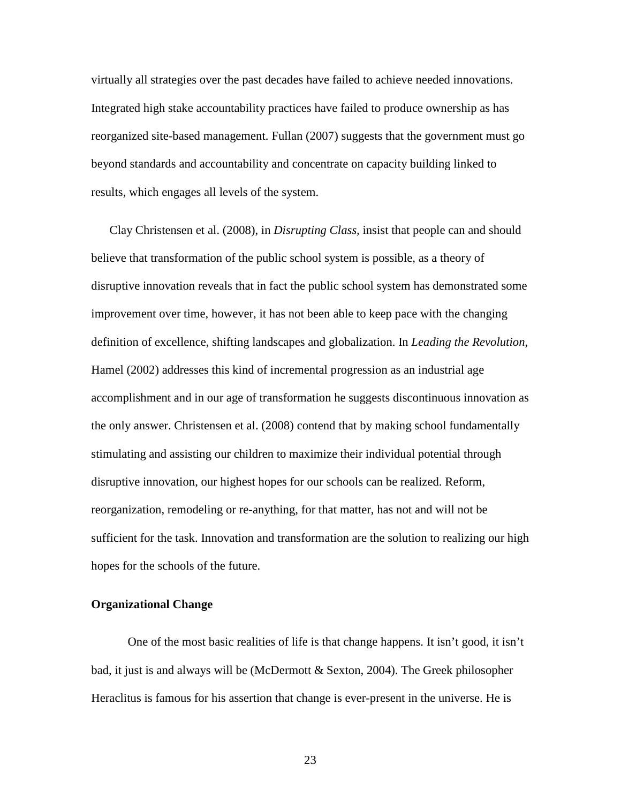virtually all strategies over the past decades have failed to achieve needed innovations. Integrated high stake accountability practices have failed to produce ownership as has reorganized site-based management. Fullan (2007) suggests that the government must go beyond standards and accountability and concentrate on capacity building linked to results, which engages all levels of the system.

Clay Christensen et al. (2008), in *Disrupting Class,* insist that people can and should believe that transformation of the public school system is possible, as a theory of disruptive innovation reveals that in fact the public school system has demonstrated some improvement over time, however, it has not been able to keep pace with the changing definition of excellence, shifting landscapes and globalization. In *Leading the Revolution*, Hamel (2002) addresses this kind of incremental progression as an industrial age accomplishment and in our age of transformation he suggests discontinuous innovation as the only answer. Christensen et al. (2008) contend that by making school fundamentally stimulating and assisting our children to maximize their individual potential through disruptive innovation, our highest hopes for our schools can be realized. Reform, reorganization, remodeling or re-anything, for that matter, has not and will not be sufficient for the task. Innovation and transformation are the solution to realizing our high hopes for the schools of the future.

#### **Organizational Change**

One of the most basic realities of life is that change happens. It isn't good, it isn't bad, it just is and always will be (McDermott & Sexton, 2004). The Greek philosopher Heraclitus is famous for his assertion that change is ever-present in the universe. He is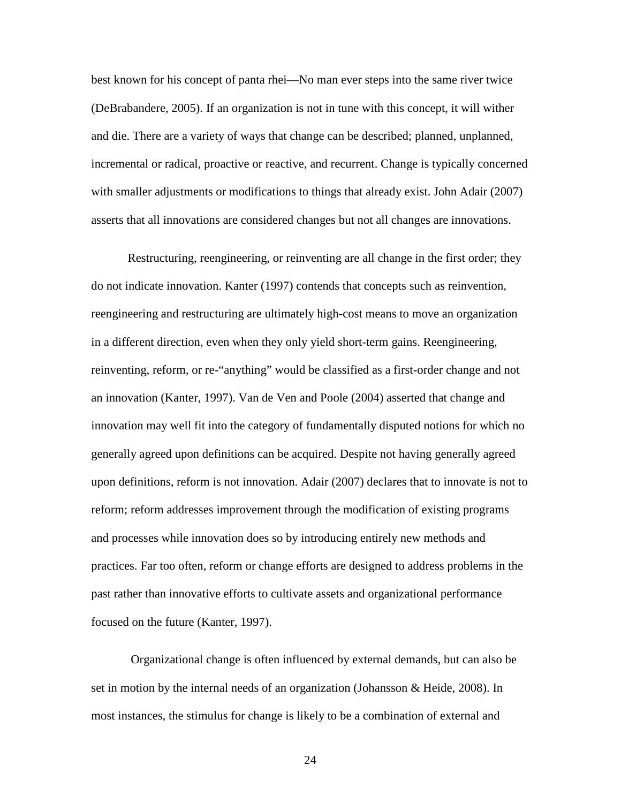best known for his concept of panta rhei—No man ever steps into the same river twice (DeBrabandere, 2005). If an organization is not in tune with this concept, it will wither and die. There are a variety of ways that change can be described; planned, unplanned, incremental or radical, proactive or reactive, and recurrent. Change is typically concerned with smaller adjustments or modifications to things that already exist. John Adair (2007) asserts that all innovations are considered changes but not all changes are innovations.

 Restructuring, reengineering, or reinventing are all change in the first order; they do not indicate innovation. Kanter (1997) contends that concepts such as reinvention, reengineering and restructuring are ultimately high-cost means to move an organization in a different direction, even when they only yield short-term gains. Reengineering, reinventing, reform, or re-"anything" would be classified as a first-order change and not an innovation (Kanter, 1997). Van de Ven and Poole (2004) asserted that change and innovation may well fit into the category of fundamentally disputed notions for which no generally agreed upon definitions can be acquired. Despite not having generally agreed upon definitions, reform is not innovation. Adair (2007) declares that to innovate is not to reform; reform addresses improvement through the modification of existing programs and processes while innovation does so by introducing entirely new methods and practices. Far too often, reform or change efforts are designed to address problems in the past rather than innovative efforts to cultivate assets and organizational performance focused on the future (Kanter, 1997).

 Organizational change is often influenced by external demands, but can also be set in motion by the internal needs of an organization (Johansson & Heide, 2008). In most instances, the stimulus for change is likely to be a combination of external and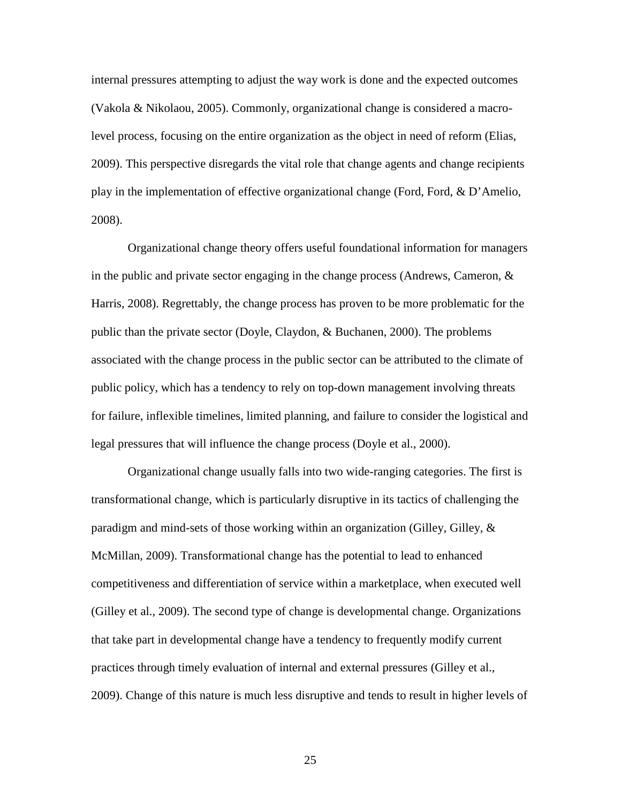internal pressures attempting to adjust the way work is done and the expected outcomes (Vakola & Nikolaou, 2005). Commonly, organizational change is considered a macrolevel process, focusing on the entire organization as the object in need of reform (Elias, 2009). This perspective disregards the vital role that change agents and change recipients play in the implementation of effective organizational change (Ford, Ford, & D'Amelio, 2008).

Organizational change theory offers useful foundational information for managers in the public and private sector engaging in the change process (Andrews, Cameron,  $\&$ Harris, 2008). Regrettably, the change process has proven to be more problematic for the public than the private sector (Doyle, Claydon, & Buchanen, 2000). The problems associated with the change process in the public sector can be attributed to the climate of public policy, which has a tendency to rely on top-down management involving threats for failure, inflexible timelines, limited planning, and failure to consider the logistical and legal pressures that will influence the change process (Doyle et al., 2000).

Organizational change usually falls into two wide-ranging categories. The first is transformational change, which is particularly disruptive in its tactics of challenging the paradigm and mind-sets of those working within an organization (Gilley, Gilley, & McMillan, 2009). Transformational change has the potential to lead to enhanced competitiveness and differentiation of service within a marketplace, when executed well (Gilley et al., 2009). The second type of change is developmental change. Organizations that take part in developmental change have a tendency to frequently modify current practices through timely evaluation of internal and external pressures (Gilley et al., 2009). Change of this nature is much less disruptive and tends to result in higher levels of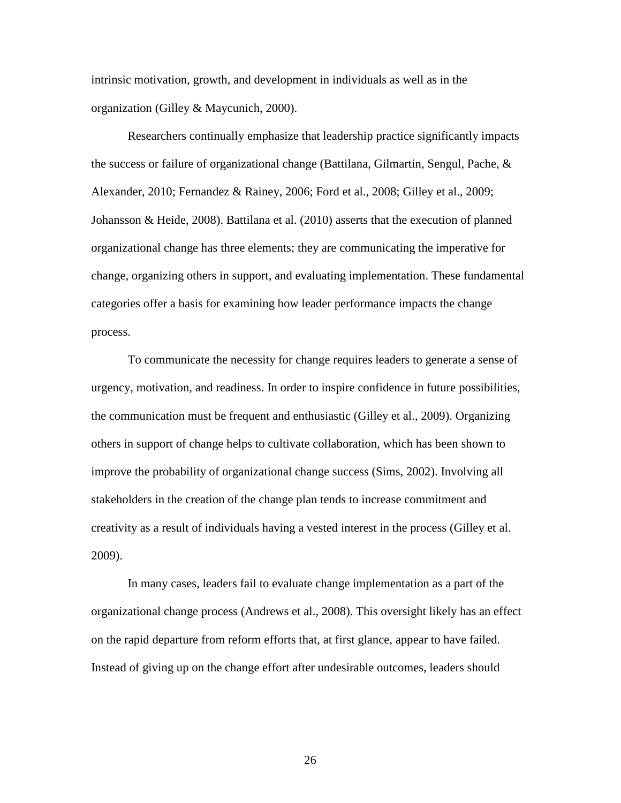intrinsic motivation, growth, and development in individuals as well as in the organization (Gilley & Maycunich, 2000).

Researchers continually emphasize that leadership practice significantly impacts the success or failure of organizational change (Battilana, Gilmartin, Sengul, Pache, & Alexander, 2010; Fernandez & Rainey, 2006; Ford et al., 2008; Gilley et al., 2009; Johansson & Heide, 2008). Battilana et al. (2010) asserts that the execution of planned organizational change has three elements; they are communicating the imperative for change, organizing others in support, and evaluating implementation. These fundamental categories offer a basis for examining how leader performance impacts the change process.

To communicate the necessity for change requires leaders to generate a sense of urgency, motivation, and readiness. In order to inspire confidence in future possibilities, the communication must be frequent and enthusiastic (Gilley et al., 2009). Organizing others in support of change helps to cultivate collaboration, which has been shown to improve the probability of organizational change success (Sims, 2002). Involving all stakeholders in the creation of the change plan tends to increase commitment and creativity as a result of individuals having a vested interest in the process (Gilley et al. 2009).

In many cases, leaders fail to evaluate change implementation as a part of the organizational change process (Andrews et al., 2008). This oversight likely has an effect on the rapid departure from reform efforts that, at first glance, appear to have failed. Instead of giving up on the change effort after undesirable outcomes, leaders should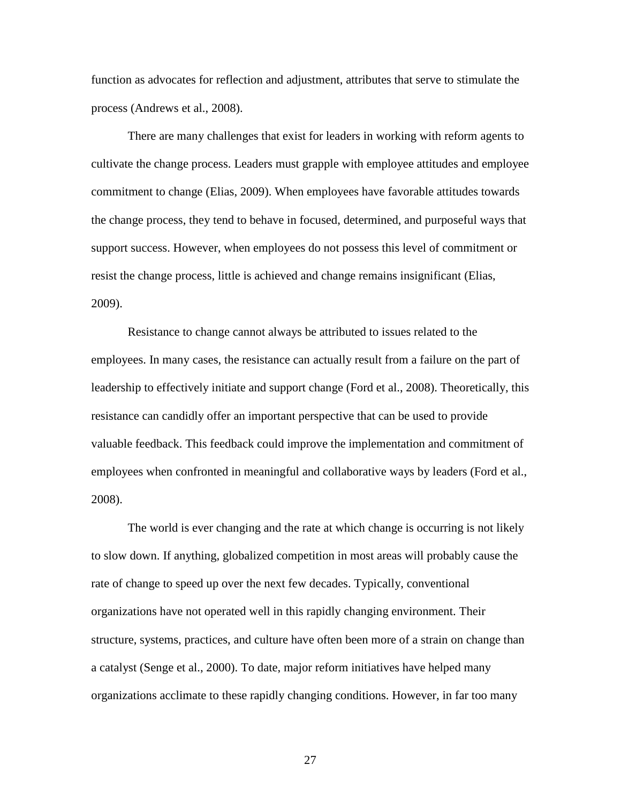function as advocates for reflection and adjustment, attributes that serve to stimulate the process (Andrews et al., 2008).

There are many challenges that exist for leaders in working with reform agents to cultivate the change process. Leaders must grapple with employee attitudes and employee commitment to change (Elias, 2009). When employees have favorable attitudes towards the change process, they tend to behave in focused, determined, and purposeful ways that support success. However, when employees do not possess this level of commitment or resist the change process, little is achieved and change remains insignificant (Elias, 2009).

Resistance to change cannot always be attributed to issues related to the employees. In many cases, the resistance can actually result from a failure on the part of leadership to effectively initiate and support change (Ford et al., 2008). Theoretically, this resistance can candidly offer an important perspective that can be used to provide valuable feedback. This feedback could improve the implementation and commitment of employees when confronted in meaningful and collaborative ways by leaders (Ford et al., 2008).

The world is ever changing and the rate at which change is occurring is not likely to slow down. If anything, globalized competition in most areas will probably cause the rate of change to speed up over the next few decades. Typically, conventional organizations have not operated well in this rapidly changing environment. Their structure, systems, practices, and culture have often been more of a strain on change than a catalyst (Senge et al., 2000). To date, major reform initiatives have helped many organizations acclimate to these rapidly changing conditions. However, in far too many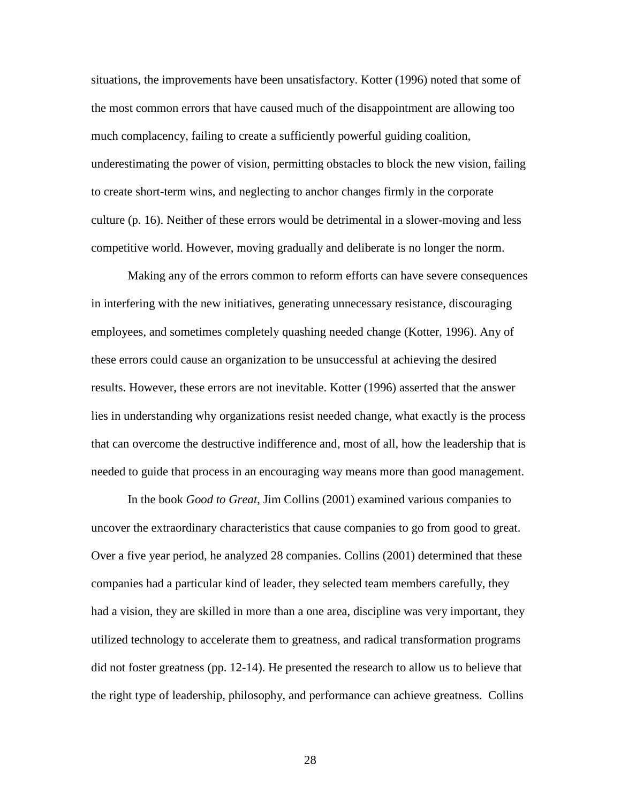situations, the improvements have been unsatisfactory. Kotter (1996) noted that some of the most common errors that have caused much of the disappointment are allowing too much complacency, failing to create a sufficiently powerful guiding coalition, underestimating the power of vision, permitting obstacles to block the new vision, failing to create short-term wins, and neglecting to anchor changes firmly in the corporate culture (p. 16). Neither of these errors would be detrimental in a slower-moving and less competitive world. However, moving gradually and deliberate is no longer the norm.

Making any of the errors common to reform efforts can have severe consequences in interfering with the new initiatives, generating unnecessary resistance, discouraging employees, and sometimes completely quashing needed change (Kotter, 1996). Any of these errors could cause an organization to be unsuccessful at achieving the desired results. However, these errors are not inevitable. Kotter (1996) asserted that the answer lies in understanding why organizations resist needed change, what exactly is the process that can overcome the destructive indifference and, most of all, how the leadership that is needed to guide that process in an encouraging way means more than good management.

 In the book *Good to Great*, Jim Collins (2001) examined various companies to uncover the extraordinary characteristics that cause companies to go from good to great. Over a five year period, he analyzed 28 companies. Collins (2001) determined that these companies had a particular kind of leader, they selected team members carefully, they had a vision, they are skilled in more than a one area, discipline was very important, they utilized technology to accelerate them to greatness, and radical transformation programs did not foster greatness (pp. 12-14). He presented the research to allow us to believe that the right type of leadership, philosophy, and performance can achieve greatness. Collins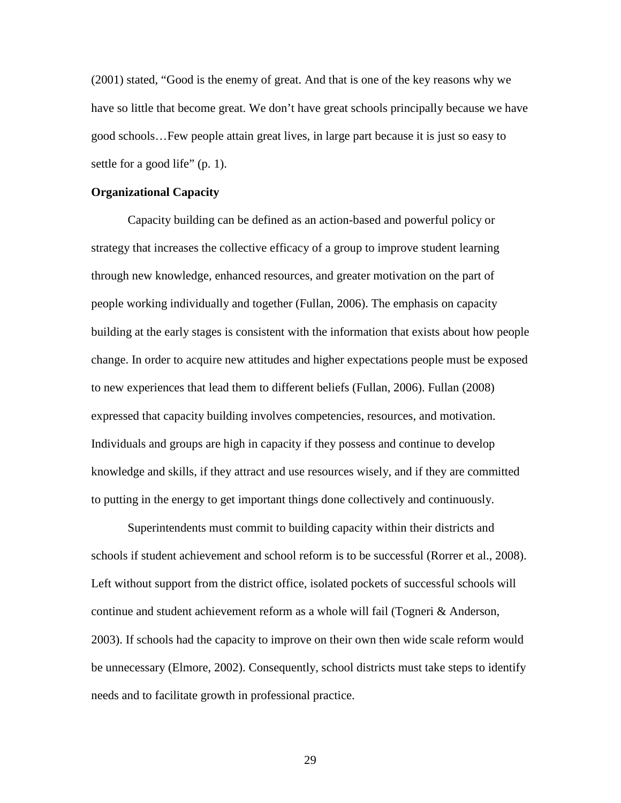(2001) stated, "Good is the enemy of great. And that is one of the key reasons why we have so little that become great. We don't have great schools principally because we have good schools…Few people attain great lives, in large part because it is just so easy to settle for a good life" (p. 1).

### **Organizational Capacity**

 Capacity building can be defined as an action-based and powerful policy or strategy that increases the collective efficacy of a group to improve student learning through new knowledge, enhanced resources, and greater motivation on the part of people working individually and together (Fullan, 2006). The emphasis on capacity building at the early stages is consistent with the information that exists about how people change. In order to acquire new attitudes and higher expectations people must be exposed to new experiences that lead them to different beliefs (Fullan, 2006). Fullan (2008) expressed that capacity building involves competencies, resources, and motivation. Individuals and groups are high in capacity if they possess and continue to develop knowledge and skills, if they attract and use resources wisely, and if they are committed to putting in the energy to get important things done collectively and continuously.

Superintendents must commit to building capacity within their districts and schools if student achievement and school reform is to be successful (Rorrer et al., 2008). Left without support from the district office, isolated pockets of successful schools will continue and student achievement reform as a whole will fail (Togneri & Anderson, 2003). If schools had the capacity to improve on their own then wide scale reform would be unnecessary (Elmore, 2002). Consequently, school districts must take steps to identify needs and to facilitate growth in professional practice.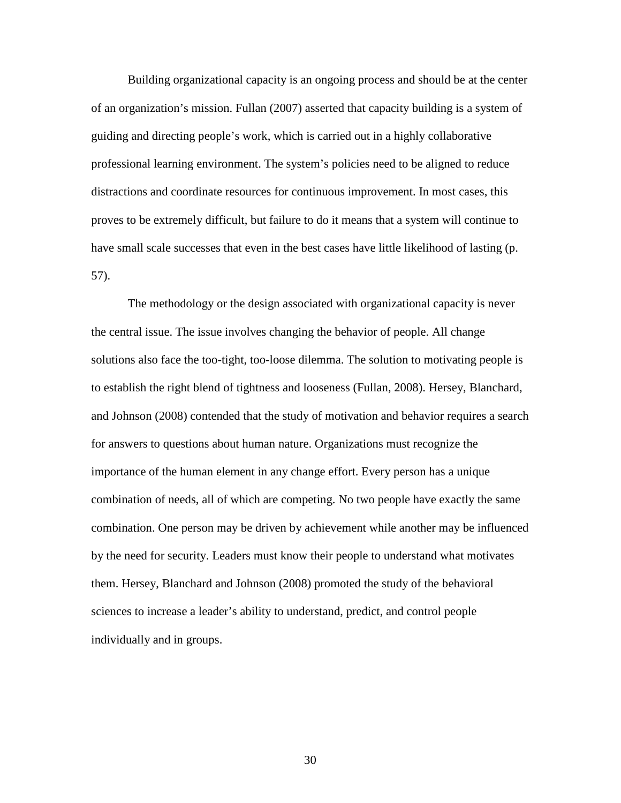Building organizational capacity is an ongoing process and should be at the center of an organization's mission. Fullan (2007) asserted that capacity building is a system of guiding and directing people's work, which is carried out in a highly collaborative professional learning environment. The system's policies need to be aligned to reduce distractions and coordinate resources for continuous improvement. In most cases, this proves to be extremely difficult, but failure to do it means that a system will continue to have small scale successes that even in the best cases have little likelihood of lasting (p. 57).

 The methodology or the design associated with organizational capacity is never the central issue. The issue involves changing the behavior of people. All change solutions also face the too-tight, too-loose dilemma. The solution to motivating people is to establish the right blend of tightness and looseness (Fullan, 2008). Hersey, Blanchard, and Johnson (2008) contended that the study of motivation and behavior requires a search for answers to questions about human nature. Organizations must recognize the importance of the human element in any change effort. Every person has a unique combination of needs, all of which are competing. No two people have exactly the same combination. One person may be driven by achievement while another may be influenced by the need for security. Leaders must know their people to understand what motivates them. Hersey, Blanchard and Johnson (2008) promoted the study of the behavioral sciences to increase a leader's ability to understand, predict, and control people individually and in groups.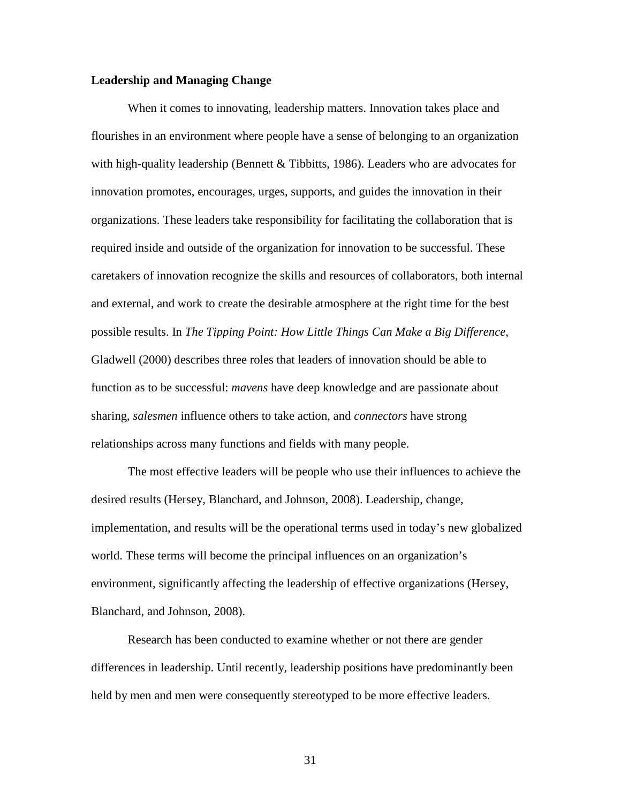#### **Leadership and Managing Change**

When it comes to innovating, leadership matters. Innovation takes place and flourishes in an environment where people have a sense of belonging to an organization with high-quality leadership (Bennett  $&$  Tibbitts, 1986). Leaders who are advocates for innovation promotes, encourages, urges, supports, and guides the innovation in their organizations. These leaders take responsibility for facilitating the collaboration that is required inside and outside of the organization for innovation to be successful. These caretakers of innovation recognize the skills and resources of collaborators, both internal and external, and work to create the desirable atmosphere at the right time for the best possible results. In *The Tipping Point: How Little Things Can Make a Big Difference*, Gladwell (2000) describes three roles that leaders of innovation should be able to function as to be successful: *mavens* have deep knowledge and are passionate about sharing, *salesmen* influence others to take action, and *connectors* have strong relationships across many functions and fields with many people.

The most effective leaders will be people who use their influences to achieve the desired results (Hersey, Blanchard, and Johnson, 2008). Leadership, change, implementation, and results will be the operational terms used in today's new globalized world. These terms will become the principal influences on an organization's environment, significantly affecting the leadership of effective organizations (Hersey, Blanchard, and Johnson, 2008).

Research has been conducted to examine whether or not there are gender differences in leadership. Until recently, leadership positions have predominantly been held by men and men were consequently stereotyped to be more effective leaders.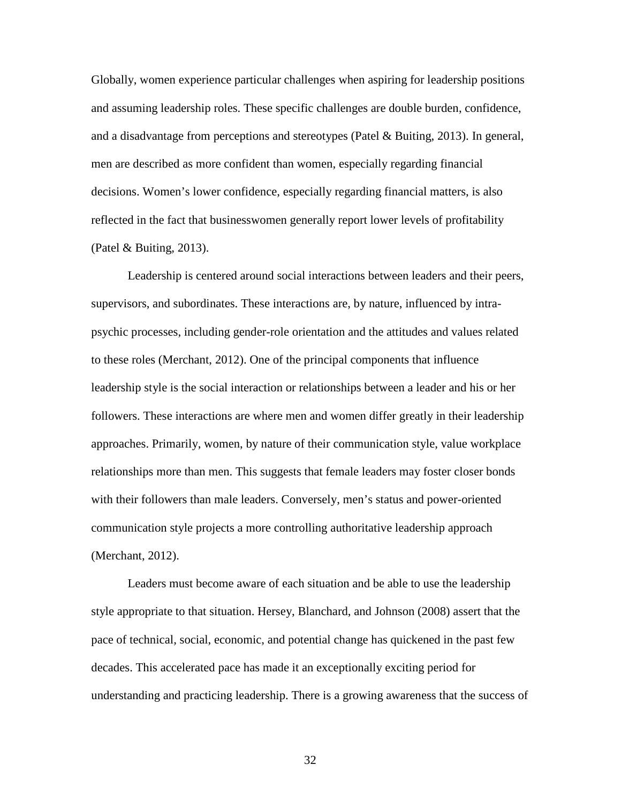Globally, women experience particular challenges when aspiring for leadership positions and assuming leadership roles. These specific challenges are double burden, confidence, and a disadvantage from perceptions and stereotypes (Patel & Buiting, 2013). In general, men are described as more confident than women, especially regarding financial decisions. Women's lower confidence, especially regarding financial matters, is also reflected in the fact that businesswomen generally report lower levels of profitability (Patel & Buiting, 2013).

Leadership is centered around social interactions between leaders and their peers, supervisors, and subordinates. These interactions are, by nature, influenced by intrapsychic processes, including gender-role orientation and the attitudes and values related to these roles (Merchant, 2012). One of the principal components that influence leadership style is the social interaction or relationships between a leader and his or her followers. These interactions are where men and women differ greatly in their leadership approaches. Primarily, women, by nature of their communication style, value workplace relationships more than men. This suggests that female leaders may foster closer bonds with their followers than male leaders. Conversely, men's status and power-oriented communication style projects a more controlling authoritative leadership approach (Merchant, 2012).

Leaders must become aware of each situation and be able to use the leadership style appropriate to that situation. Hersey, Blanchard, and Johnson (2008) assert that the pace of technical, social, economic, and potential change has quickened in the past few decades. This accelerated pace has made it an exceptionally exciting period for understanding and practicing leadership. There is a growing awareness that the success of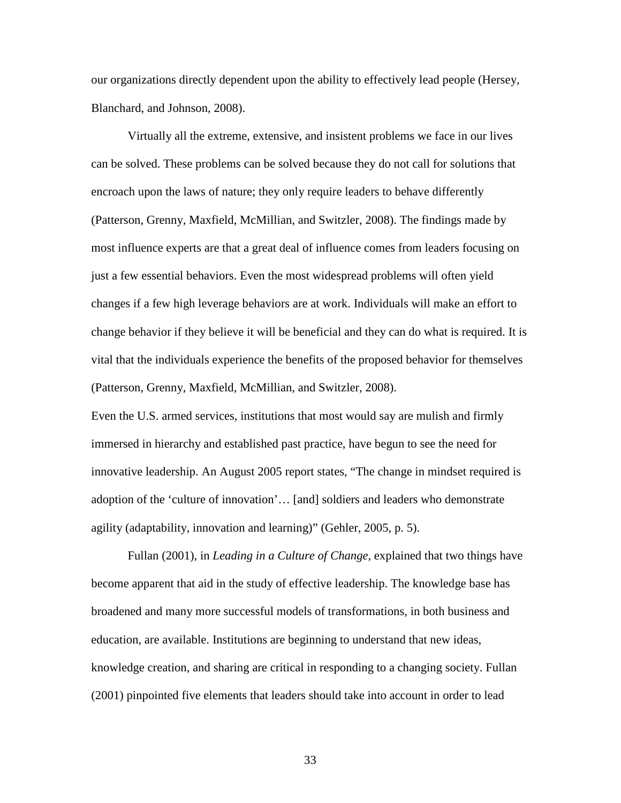our organizations directly dependent upon the ability to effectively lead people (Hersey, Blanchard, and Johnson, 2008).

Virtually all the extreme, extensive, and insistent problems we face in our lives can be solved. These problems can be solved because they do not call for solutions that encroach upon the laws of nature; they only require leaders to behave differently (Patterson, Grenny, Maxfield, McMillian, and Switzler, 2008). The findings made by most influence experts are that a great deal of influence comes from leaders focusing on just a few essential behaviors. Even the most widespread problems will often yield changes if a few high leverage behaviors are at work. Individuals will make an effort to change behavior if they believe it will be beneficial and they can do what is required. It is vital that the individuals experience the benefits of the proposed behavior for themselves (Patterson, Grenny, Maxfield, McMillian, and Switzler, 2008).

Even the U.S. armed services, institutions that most would say are mulish and firmly immersed in hierarchy and established past practice, have begun to see the need for innovative leadership. An August 2005 report states, "The change in mindset required is adoption of the 'culture of innovation'… [and] soldiers and leaders who demonstrate agility (adaptability, innovation and learning)" (Gehler, 2005, p. 5).

 Fullan (2001), in *Leading in a Culture of Change,* explained that two things have become apparent that aid in the study of effective leadership. The knowledge base has broadened and many more successful models of transformations, in both business and education, are available. Institutions are beginning to understand that new ideas, knowledge creation, and sharing are critical in responding to a changing society. Fullan (2001) pinpointed five elements that leaders should take into account in order to lead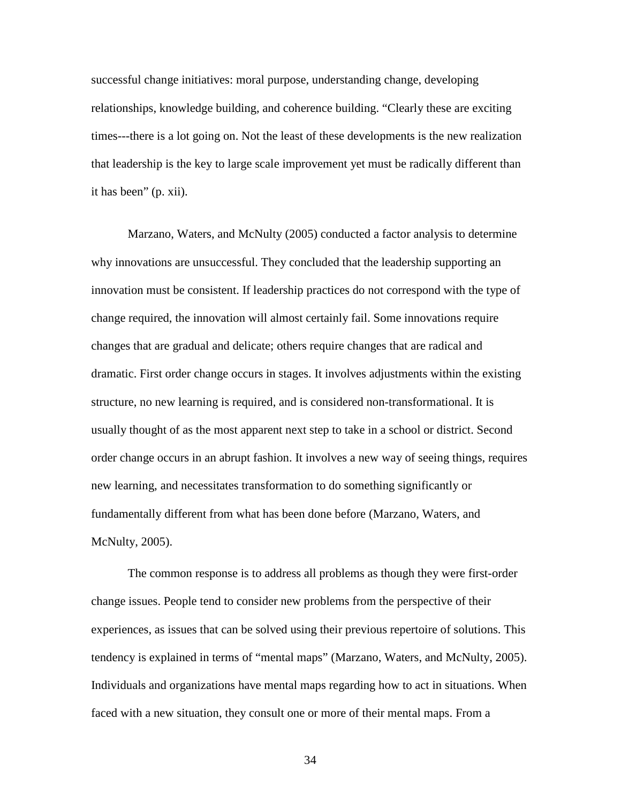successful change initiatives: moral purpose, understanding change, developing relationships, knowledge building, and coherence building. "Clearly these are exciting times---there is a lot going on. Not the least of these developments is the new realization that leadership is the key to large scale improvement yet must be radically different than it has been" (p. xii).

 Marzano, Waters, and McNulty (2005) conducted a factor analysis to determine why innovations are unsuccessful. They concluded that the leadership supporting an innovation must be consistent. If leadership practices do not correspond with the type of change required, the innovation will almost certainly fail. Some innovations require changes that are gradual and delicate; others require changes that are radical and dramatic. First order change occurs in stages. It involves adjustments within the existing structure, no new learning is required, and is considered non-transformational. It is usually thought of as the most apparent next step to take in a school or district. Second order change occurs in an abrupt fashion. It involves a new way of seeing things, requires new learning, and necessitates transformation to do something significantly or fundamentally different from what has been done before (Marzano, Waters, and McNulty, 2005).

 The common response is to address all problems as though they were first-order change issues. People tend to consider new problems from the perspective of their experiences, as issues that can be solved using their previous repertoire of solutions. This tendency is explained in terms of "mental maps" (Marzano, Waters, and McNulty, 2005). Individuals and organizations have mental maps regarding how to act in situations. When faced with a new situation, they consult one or more of their mental maps. From a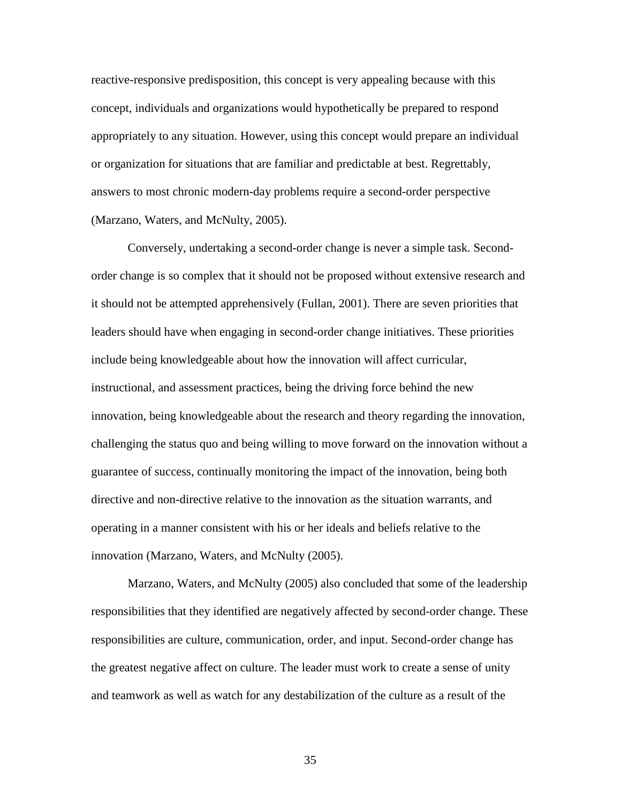reactive-responsive predisposition, this concept is very appealing because with this concept, individuals and organizations would hypothetically be prepared to respond appropriately to any situation. However, using this concept would prepare an individual or organization for situations that are familiar and predictable at best. Regrettably, answers to most chronic modern-day problems require a second-order perspective (Marzano, Waters, and McNulty, 2005).

Conversely, undertaking a second-order change is never a simple task. Secondorder change is so complex that it should not be proposed without extensive research and it should not be attempted apprehensively (Fullan, 2001). There are seven priorities that leaders should have when engaging in second-order change initiatives. These priorities include being knowledgeable about how the innovation will affect curricular, instructional, and assessment practices, being the driving force behind the new innovation, being knowledgeable about the research and theory regarding the innovation, challenging the status quo and being willing to move forward on the innovation without a guarantee of success, continually monitoring the impact of the innovation, being both directive and non-directive relative to the innovation as the situation warrants, and operating in a manner consistent with his or her ideals and beliefs relative to the innovation (Marzano, Waters, and McNulty (2005).

 Marzano, Waters, and McNulty (2005) also concluded that some of the leadership responsibilities that they identified are negatively affected by second-order change. These responsibilities are culture, communication, order, and input. Second-order change has the greatest negative affect on culture. The leader must work to create a sense of unity and teamwork as well as watch for any destabilization of the culture as a result of the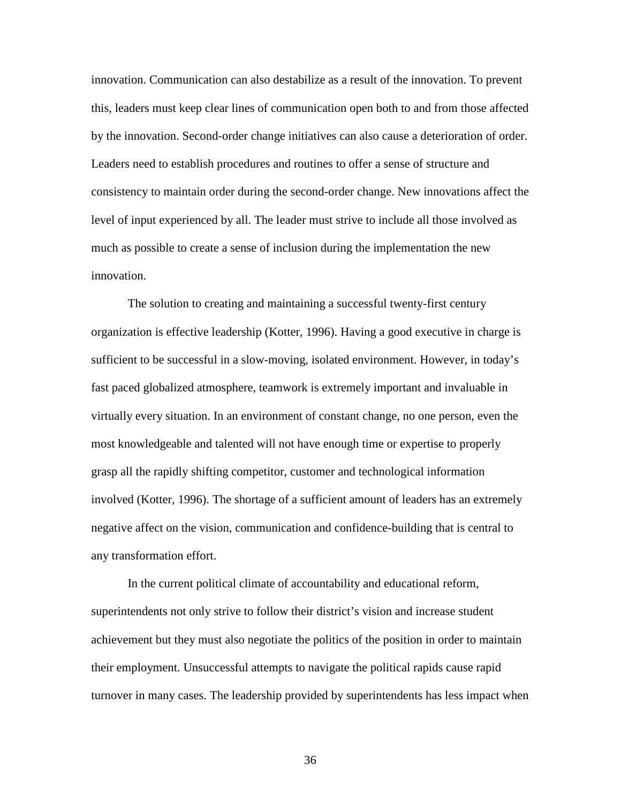innovation. Communication can also destabilize as a result of the innovation. To prevent this, leaders must keep clear lines of communication open both to and from those affected by the innovation. Second-order change initiatives can also cause a deterioration of order. Leaders need to establish procedures and routines to offer a sense of structure and consistency to maintain order during the second-order change. New innovations affect the level of input experienced by all. The leader must strive to include all those involved as much as possible to create a sense of inclusion during the implementation the new innovation.

 The solution to creating and maintaining a successful twenty-first century organization is effective leadership (Kotter, 1996). Having a good executive in charge is sufficient to be successful in a slow-moving, isolated environment. However, in today's fast paced globalized atmosphere, teamwork is extremely important and invaluable in virtually every situation. In an environment of constant change, no one person, even the most knowledgeable and talented will not have enough time or expertise to properly grasp all the rapidly shifting competitor, customer and technological information involved (Kotter, 1996). The shortage of a sufficient amount of leaders has an extremely negative affect on the vision, communication and confidence-building that is central to any transformation effort.

 In the current political climate of accountability and educational reform, superintendents not only strive to follow their district's vision and increase student achievement but they must also negotiate the politics of the position in order to maintain their employment. Unsuccessful attempts to navigate the political rapids cause rapid turnover in many cases. The leadership provided by superintendents has less impact when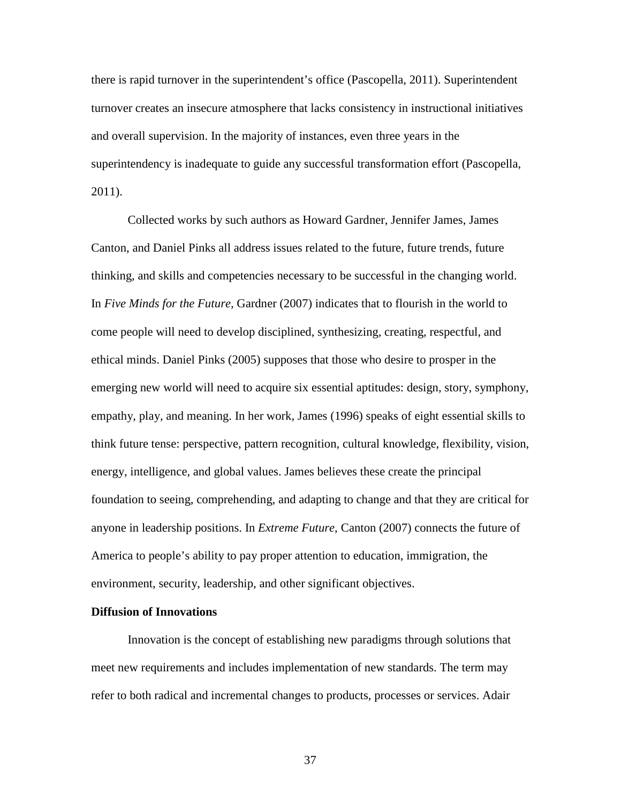there is rapid turnover in the superintendent's office (Pascopella, 2011). Superintendent turnover creates an insecure atmosphere that lacks consistency in instructional initiatives and overall supervision. In the majority of instances, even three years in the superintendency is inadequate to guide any successful transformation effort (Pascopella, 2011).

Collected works by such authors as Howard Gardner, Jennifer James, James Canton, and Daniel Pinks all address issues related to the future, future trends, future thinking, and skills and competencies necessary to be successful in the changing world. In *Five Minds for the Future,* Gardner (2007) indicates that to flourish in the world to come people will need to develop disciplined, synthesizing, creating, respectful, and ethical minds. Daniel Pinks (2005) supposes that those who desire to prosper in the emerging new world will need to acquire six essential aptitudes: design, story, symphony, empathy, play, and meaning. In her work, James (1996) speaks of eight essential skills to think future tense: perspective, pattern recognition, cultural knowledge, flexibility, vision, energy, intelligence, and global values. James believes these create the principal foundation to seeing, comprehending, and adapting to change and that they are critical for anyone in leadership positions. In *Extreme Future*, Canton (2007) connects the future of America to people's ability to pay proper attention to education, immigration, the environment, security, leadership, and other significant objectives.

## **Diffusion of Innovations**

 Innovation is the concept of establishing new paradigms through solutions that meet new requirements and includes implementation of new standards. The term may refer to both radical and incremental changes to products, processes or services. Adair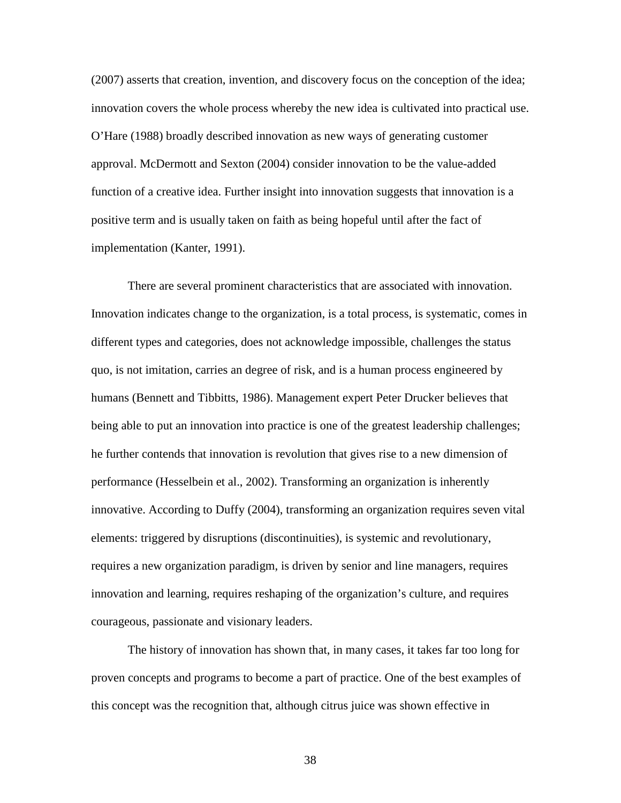(2007) asserts that creation, invention, and discovery focus on the conception of the idea; innovation covers the whole process whereby the new idea is cultivated into practical use. O'Hare (1988) broadly described innovation as new ways of generating customer approval. McDermott and Sexton (2004) consider innovation to be the value-added function of a creative idea. Further insight into innovation suggests that innovation is a positive term and is usually taken on faith as being hopeful until after the fact of implementation (Kanter, 1991).

 There are several prominent characteristics that are associated with innovation. Innovation indicates change to the organization, is a total process, is systematic, comes in different types and categories, does not acknowledge impossible, challenges the status quo, is not imitation, carries an degree of risk, and is a human process engineered by humans (Bennett and Tibbitts, 1986). Management expert Peter Drucker believes that being able to put an innovation into practice is one of the greatest leadership challenges; he further contends that innovation is revolution that gives rise to a new dimension of performance (Hesselbein et al., 2002). Transforming an organization is inherently innovative. According to Duffy (2004), transforming an organization requires seven vital elements: triggered by disruptions (discontinuities), is systemic and revolutionary, requires a new organization paradigm, is driven by senior and line managers, requires innovation and learning, requires reshaping of the organization's culture, and requires courageous, passionate and visionary leaders.

 The history of innovation has shown that, in many cases, it takes far too long for proven concepts and programs to become a part of practice. One of the best examples of this concept was the recognition that, although citrus juice was shown effective in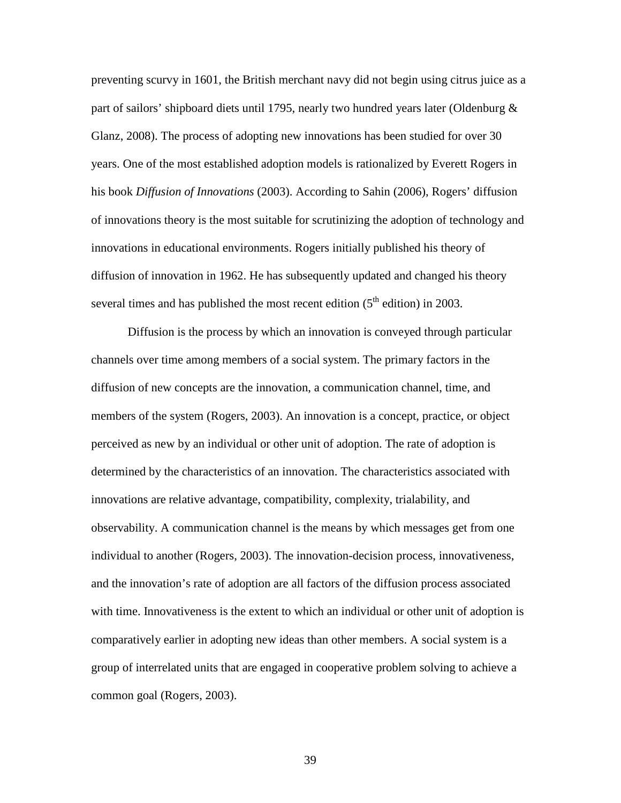preventing scurvy in 1601, the British merchant navy did not begin using citrus juice as a part of sailors' shipboard diets until 1795, nearly two hundred years later (Oldenburg & Glanz, 2008). The process of adopting new innovations has been studied for over 30 years. One of the most established adoption models is rationalized by Everett Rogers in his book *Diffusion of Innovations* (2003). According to Sahin (2006), Rogers' diffusion of innovations theory is the most suitable for scrutinizing the adoption of technology and innovations in educational environments. Rogers initially published his theory of diffusion of innovation in 1962. He has subsequently updated and changed his theory several times and has published the most recent edition  $(5<sup>th</sup>$  edition) in 2003.

Diffusion is the process by which an innovation is conveyed through particular channels over time among members of a social system. The primary factors in the diffusion of new concepts are the innovation, a communication channel, time, and members of the system (Rogers, 2003). An innovation is a concept, practice, or object perceived as new by an individual or other unit of adoption. The rate of adoption is determined by the characteristics of an innovation. The characteristics associated with innovations are relative advantage, compatibility, complexity, trialability, and observability. A communication channel is the means by which messages get from one individual to another (Rogers, 2003). The innovation-decision process, innovativeness, and the innovation's rate of adoption are all factors of the diffusion process associated with time. Innovativeness is the extent to which an individual or other unit of adoption is comparatively earlier in adopting new ideas than other members. A social system is a group of interrelated units that are engaged in cooperative problem solving to achieve a common goal (Rogers, 2003).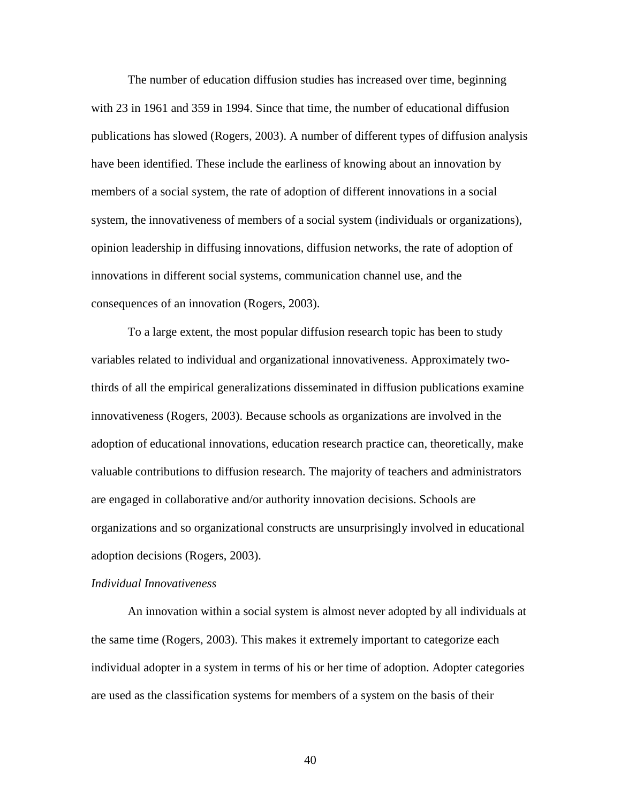The number of education diffusion studies has increased over time, beginning with 23 in 1961 and 359 in 1994. Since that time, the number of educational diffusion publications has slowed (Rogers, 2003). A number of different types of diffusion analysis have been identified. These include the earliness of knowing about an innovation by members of a social system, the rate of adoption of different innovations in a social system, the innovativeness of members of a social system (individuals or organizations), opinion leadership in diffusing innovations, diffusion networks, the rate of adoption of innovations in different social systems, communication channel use, and the consequences of an innovation (Rogers, 2003).

To a large extent, the most popular diffusion research topic has been to study variables related to individual and organizational innovativeness. Approximately twothirds of all the empirical generalizations disseminated in diffusion publications examine innovativeness (Rogers, 2003). Because schools as organizations are involved in the adoption of educational innovations, education research practice can, theoretically, make valuable contributions to diffusion research. The majority of teachers and administrators are engaged in collaborative and/or authority innovation decisions. Schools are organizations and so organizational constructs are unsurprisingly involved in educational adoption decisions (Rogers, 2003).

## *Individual Innovativeness*

 An innovation within a social system is almost never adopted by all individuals at the same time (Rogers, 2003). This makes it extremely important to categorize each individual adopter in a system in terms of his or her time of adoption. Adopter categories are used as the classification systems for members of a system on the basis of their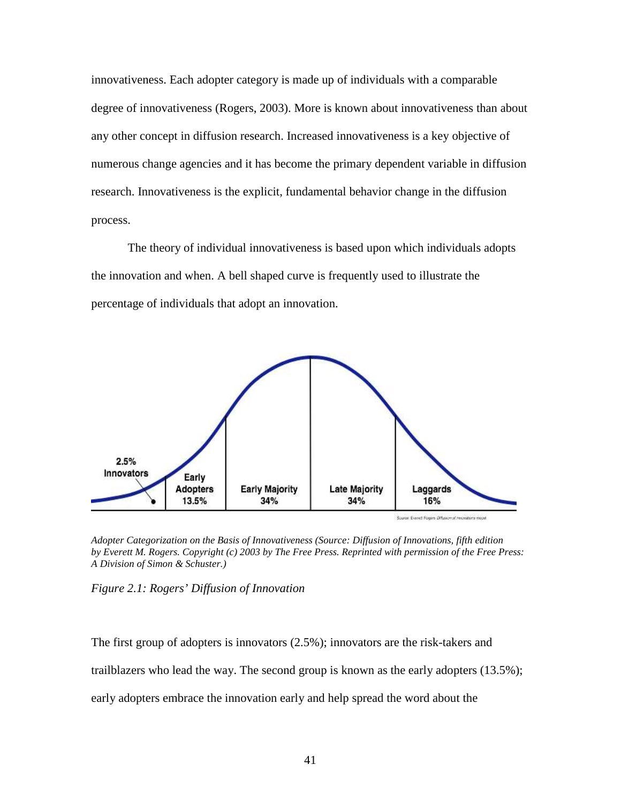innovativeness. Each adopter category is made up of individuals with a comparable degree of innovativeness (Rogers, 2003). More is known about innovativeness than about any other concept in diffusion research. Increased innovativeness is a key objective of numerous change agencies and it has become the primary dependent variable in diffusion research. Innovativeness is the explicit, fundamental behavior change in the diffusion process.

 The theory of individual innovativeness is based upon which individuals adopts the innovation and when. A bell shaped curve is frequently used to illustrate the percentage of individuals that adopt an innovation.



Source: Everett Rogers (Musicm of mechanism model)

*Adopter Categorization on the Basis of Innovativeness (Source: Diffusion of Innovations, fifth edition by Everett M. Rogers. Copyright (c) 2003 by The Free Press. Reprinted with permission of the Free Press: A Division of Simon & Schuster.)* 



The first group of adopters is innovators (2.5%); innovators are the risk-takers and trailblazers who lead the way. The second group is known as the early adopters (13.5%); early adopters embrace the innovation early and help spread the word about the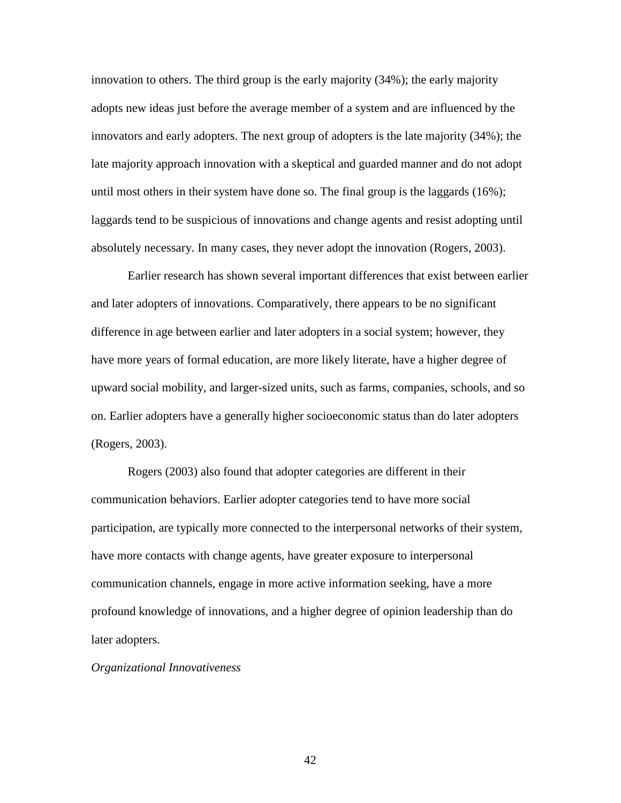innovation to others. The third group is the early majority (34%); the early majority adopts new ideas just before the average member of a system and are influenced by the innovators and early adopters. The next group of adopters is the late majority (34%); the late majority approach innovation with a skeptical and guarded manner and do not adopt until most others in their system have done so. The final group is the laggards (16%); laggards tend to be suspicious of innovations and change agents and resist adopting until absolutely necessary. In many cases, they never adopt the innovation (Rogers, 2003).

 Earlier research has shown several important differences that exist between earlier and later adopters of innovations. Comparatively, there appears to be no significant difference in age between earlier and later adopters in a social system; however, they have more years of formal education, are more likely literate, have a higher degree of upward social mobility, and larger-sized units, such as farms, companies, schools, and so on. Earlier adopters have a generally higher socioeconomic status than do later adopters (Rogers, 2003).

Rogers (2003) also found that adopter categories are different in their communication behaviors. Earlier adopter categories tend to have more social participation, are typically more connected to the interpersonal networks of their system, have more contacts with change agents, have greater exposure to interpersonal communication channels, engage in more active information seeking, have a more profound knowledge of innovations, and a higher degree of opinion leadership than do later adopters.

*Organizational Innovativeness*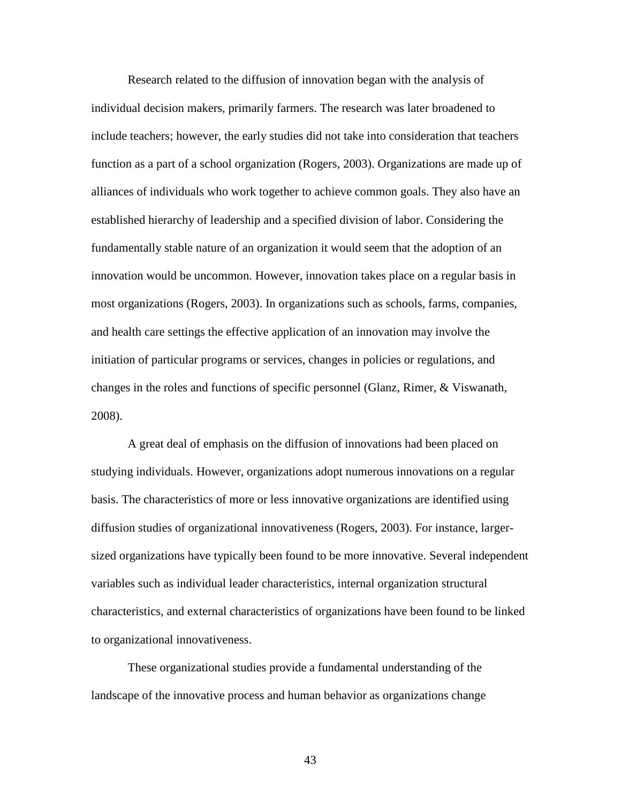Research related to the diffusion of innovation began with the analysis of individual decision makers, primarily farmers. The research was later broadened to include teachers; however, the early studies did not take into consideration that teachers function as a part of a school organization (Rogers, 2003). Organizations are made up of alliances of individuals who work together to achieve common goals. They also have an established hierarchy of leadership and a specified division of labor. Considering the fundamentally stable nature of an organization it would seem that the adoption of an innovation would be uncommon. However, innovation takes place on a regular basis in most organizations (Rogers, 2003). In organizations such as schools, farms, companies, and health care settings the effective application of an innovation may involve the initiation of particular programs or services, changes in policies or regulations, and changes in the roles and functions of specific personnel (Glanz, Rimer, & Viswanath, 2008).

 A great deal of emphasis on the diffusion of innovations had been placed on studying individuals. However, organizations adopt numerous innovations on a regular basis. The characteristics of more or less innovative organizations are identified using diffusion studies of organizational innovativeness (Rogers, 2003). For instance, largersized organizations have typically been found to be more innovative. Several independent variables such as individual leader characteristics, internal organization structural characteristics, and external characteristics of organizations have been found to be linked to organizational innovativeness.

These organizational studies provide a fundamental understanding of the landscape of the innovative process and human behavior as organizations change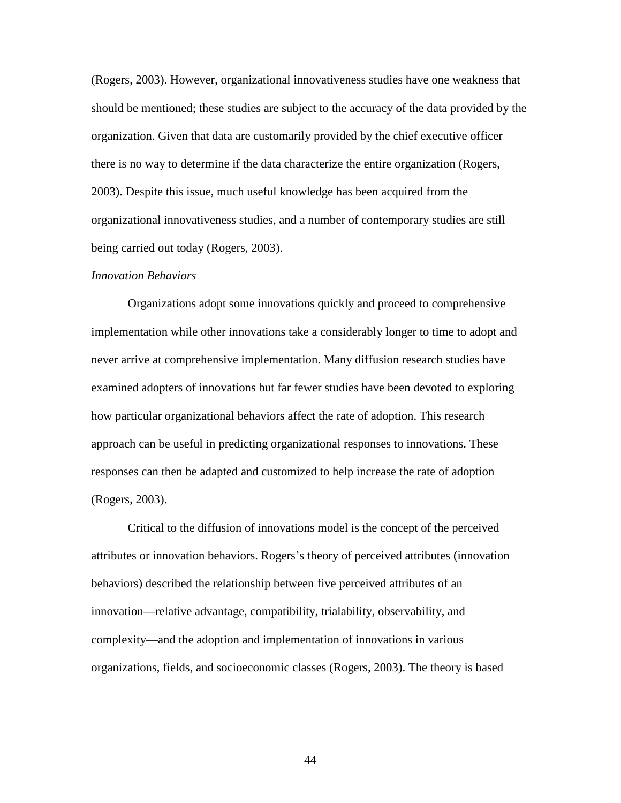(Rogers, 2003). However, organizational innovativeness studies have one weakness that should be mentioned; these studies are subject to the accuracy of the data provided by the organization. Given that data are customarily provided by the chief executive officer there is no way to determine if the data characterize the entire organization (Rogers, 2003). Despite this issue, much useful knowledge has been acquired from the organizational innovativeness studies, and a number of contemporary studies are still being carried out today (Rogers, 2003).

#### *Innovation Behaviors*

 Organizations adopt some innovations quickly and proceed to comprehensive implementation while other innovations take a considerably longer to time to adopt and never arrive at comprehensive implementation. Many diffusion research studies have examined adopters of innovations but far fewer studies have been devoted to exploring how particular organizational behaviors affect the rate of adoption. This research approach can be useful in predicting organizational responses to innovations. These responses can then be adapted and customized to help increase the rate of adoption (Rogers, 2003).

 Critical to the diffusion of innovations model is the concept of the perceived attributes or innovation behaviors. Rogers's theory of perceived attributes (innovation behaviors) described the relationship between five perceived attributes of an innovation—relative advantage, compatibility, trialability, observability, and complexity—and the adoption and implementation of innovations in various organizations, fields, and socioeconomic classes (Rogers, 2003). The theory is based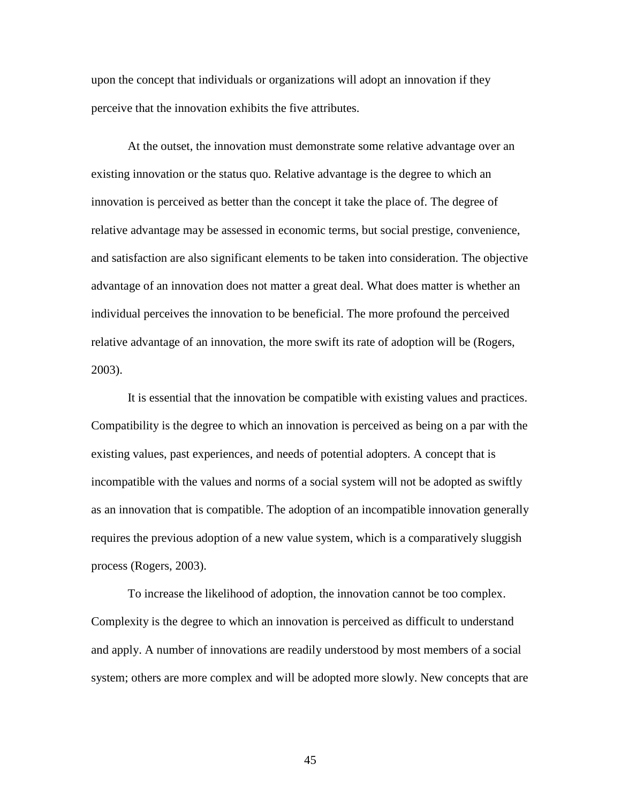upon the concept that individuals or organizations will adopt an innovation if they perceive that the innovation exhibits the five attributes.

 At the outset, the innovation must demonstrate some relative advantage over an existing innovation or the status quo. Relative advantage is the degree to which an innovation is perceived as better than the concept it take the place of. The degree of relative advantage may be assessed in economic terms, but social prestige, convenience, and satisfaction are also significant elements to be taken into consideration. The objective advantage of an innovation does not matter a great deal. What does matter is whether an individual perceives the innovation to be beneficial. The more profound the perceived relative advantage of an innovation, the more swift its rate of adoption will be (Rogers, 2003).

It is essential that the innovation be compatible with existing values and practices. Compatibility is the degree to which an innovation is perceived as being on a par with the existing values, past experiences, and needs of potential adopters. A concept that is incompatible with the values and norms of a social system will not be adopted as swiftly as an innovation that is compatible. The adoption of an incompatible innovation generally requires the previous adoption of a new value system, which is a comparatively sluggish process (Rogers, 2003).

To increase the likelihood of adoption, the innovation cannot be too complex. Complexity is the degree to which an innovation is perceived as difficult to understand and apply. A number of innovations are readily understood by most members of a social system; others are more complex and will be adopted more slowly. New concepts that are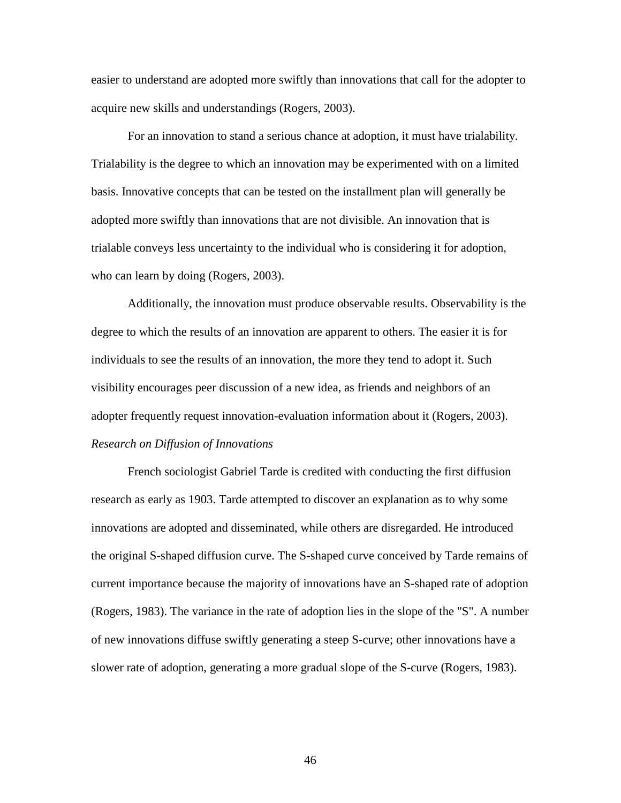easier to understand are adopted more swiftly than innovations that call for the adopter to acquire new skills and understandings (Rogers, 2003).

For an innovation to stand a serious chance at adoption, it must have trialability. Trialability is the degree to which an innovation may be experimented with on a limited basis. Innovative concepts that can be tested on the installment plan will generally be adopted more swiftly than innovations that are not divisible. An innovation that is trialable conveys less uncertainty to the individual who is considering it for adoption, who can learn by doing (Rogers, 2003).

Additionally, the innovation must produce observable results. Observability is the degree to which the results of an innovation are apparent to others. The easier it is for individuals to see the results of an innovation, the more they tend to adopt it. Such visibility encourages peer discussion of a new idea, as friends and neighbors of an adopter frequently request innovation-evaluation information about it (Rogers, 2003). *Research on Diffusion of Innovations* 

French sociologist Gabriel Tarde is credited with conducting the first diffusion research as early as 1903. Tarde attempted to discover an explanation as to why some innovations are adopted and disseminated, while others are disregarded. He introduced the original S-shaped diffusion curve. The S-shaped curve conceived by Tarde remains of current importance because the majority of innovations have an S-shaped rate of adoption (Rogers, 1983). The variance in the rate of adoption lies in the slope of the "S". A number of new innovations diffuse swiftly generating a steep S-curve; other innovations have a slower rate of adoption, generating a more gradual slope of the S-curve (Rogers, 1983).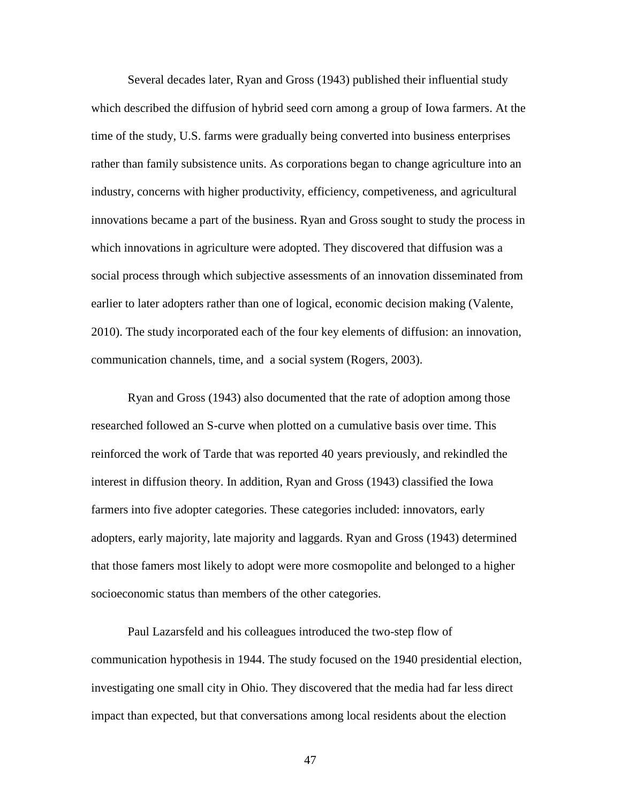Several decades later, Ryan and Gross (1943) published their influential study which described the diffusion of hybrid seed corn among a group of Iowa farmers. At the time of the study, U.S. farms were gradually being converted into business enterprises rather than family subsistence units. As corporations began to change agriculture into an industry, concerns with higher productivity, efficiency, competiveness, and agricultural innovations became a part of the business. Ryan and Gross sought to study the process in which innovations in agriculture were adopted. They discovered that diffusion was a social process through which subjective assessments of an innovation disseminated from earlier to later adopters rather than one of logical, economic decision making (Valente, 2010). The study incorporated each of the four key elements of diffusion: an innovation, communication channels, time, and a social system (Rogers, 2003).

Ryan and Gross (1943) also documented that the rate of adoption among those researched followed an S-curve when plotted on a cumulative basis over time. This reinforced the work of Tarde that was reported 40 years previously, and rekindled the interest in diffusion theory. In addition, Ryan and Gross (1943) classified the Iowa farmers into five adopter categories. These categories included: innovators, early adopters, early majority, late majority and laggards. Ryan and Gross (1943) determined that those famers most likely to adopt were more cosmopolite and belonged to a higher socioeconomic status than members of the other categories.

Paul Lazarsfeld and his colleagues introduced the two-step flow of communication hypothesis in 1944. The study focused on the 1940 presidential election, investigating one small city in Ohio. They discovered that the media had far less direct impact than expected, but that conversations among local residents about the election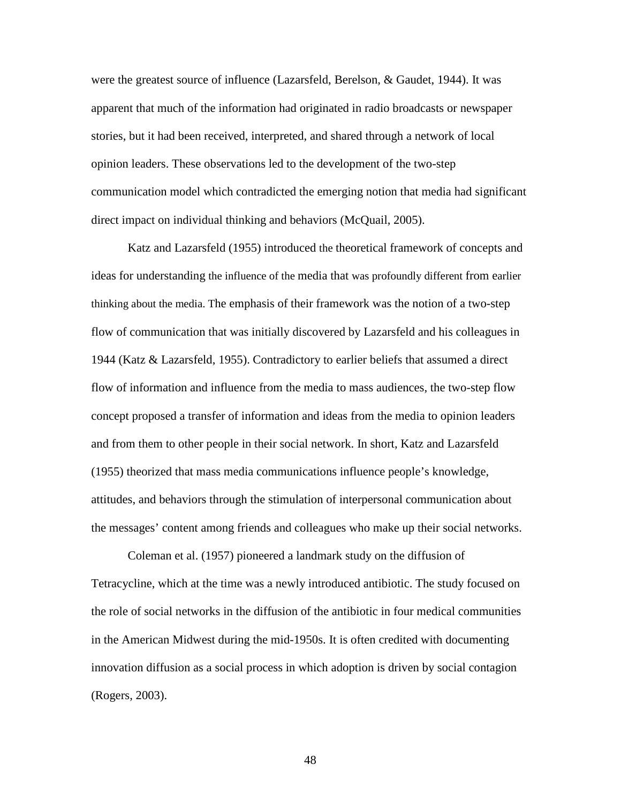were the greatest source of influence (Lazarsfeld, Berelson, & Gaudet, 1944). It was apparent that much of the information had originated in radio broadcasts or newspaper stories, but it had been received, interpreted, and shared through a network of local opinion leaders. These observations led to the development of the two-step communication model which contradicted the emerging notion that media had significant direct impact on individual thinking and behaviors (McQuail, 2005).

Katz and Lazarsfeld (1955) introduced the theoretical framework of concepts and ideas for understanding the influence of the media that was profoundly different from earlier thinking about the media. The emphasis of their framework was the notion of a two-step flow of communication that was initially discovered by Lazarsfeld and his colleagues in 1944 (Katz & Lazarsfeld, 1955). Contradictory to earlier beliefs that assumed a direct flow of information and influence from the media to mass audiences, the two-step flow concept proposed a transfer of information and ideas from the media to opinion leaders and from them to other people in their social network. In short, Katz and Lazarsfeld (1955) theorized that mass media communications influence people's knowledge, attitudes, and behaviors through the stimulation of interpersonal communication about the messages' content among friends and colleagues who make up their social networks.

Coleman et al. (1957) pioneered a landmark study on the diffusion of Tetracycline, which at the time was a newly introduced antibiotic. The study focused on the role of social networks in the diffusion of the antibiotic in four medical communities in the American Midwest during the mid-1950s. It is often credited with documenting innovation diffusion as a social process in which adoption is driven by social contagion (Rogers, 2003).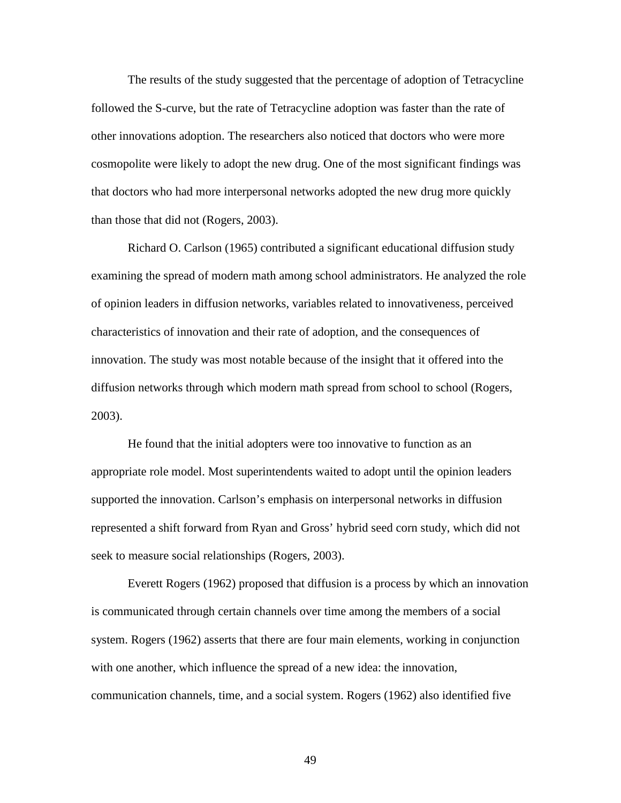The results of the study suggested that the percentage of adoption of Tetracycline followed the S-curve, but the rate of Tetracycline adoption was faster than the rate of other innovations adoption. The researchers also noticed that doctors who were more cosmopolite were likely to adopt the new drug. One of the most significant findings was that doctors who had more interpersonal networks adopted the new drug more quickly than those that did not (Rogers, 2003).

Richard O. Carlson (1965) contributed a significant educational diffusion study examining the spread of modern math among school administrators. He analyzed the role of opinion leaders in diffusion networks, variables related to innovativeness, perceived characteristics of innovation and their rate of adoption, and the consequences of innovation. The study was most notable because of the insight that it offered into the diffusion networks through which modern math spread from school to school (Rogers, 2003).

He found that the initial adopters were too innovative to function as an appropriate role model. Most superintendents waited to adopt until the opinion leaders supported the innovation. Carlson's emphasis on interpersonal networks in diffusion represented a shift forward from Ryan and Gross' hybrid seed corn study, which did not seek to measure social relationships (Rogers, 2003).

 Everett Rogers (1962) proposed that diffusion is a process by which an innovation is communicated through certain channels over time among the members of a social system. Rogers (1962) asserts that there are four main elements, working in conjunction with one another, which influence the spread of a new idea: the innovation, communication channels, time, and a social system. Rogers (1962) also identified five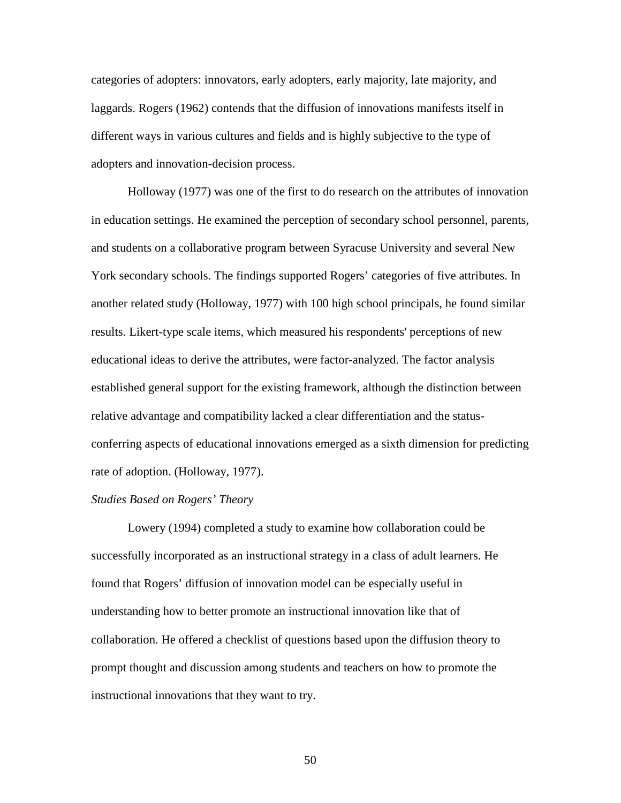categories of adopters: innovators, early adopters, early majority, late majority, and laggards. Rogers (1962) contends that the diffusion of innovations manifests itself in different ways in various cultures and fields and is highly subjective to the type of adopters and innovation-decision process.

Holloway (1977) was one of the first to do research on the attributes of innovation in education settings. He examined the perception of secondary school personnel, parents, and students on a collaborative program between Syracuse University and several New York secondary schools. The findings supported Rogers' categories of five attributes. In another related study (Holloway, 1977) with 100 high school principals, he found similar results. Likert-type scale items, which measured his respondents' perceptions of new educational ideas to derive the attributes, were factor-analyzed. The factor analysis established general support for the existing framework, although the distinction between relative advantage and compatibility lacked a clear differentiation and the statusconferring aspects of educational innovations emerged as a sixth dimension for predicting rate of adoption. (Holloway, 1977).

## *Studies Based on Rogers' Theory*

Lowery (1994) completed a study to examine how collaboration could be successfully incorporated as an instructional strategy in a class of adult learners. He found that Rogers' diffusion of innovation model can be especially useful in understanding how to better promote an instructional innovation like that of collaboration. He offered a checklist of questions based upon the diffusion theory to prompt thought and discussion among students and teachers on how to promote the instructional innovations that they want to try.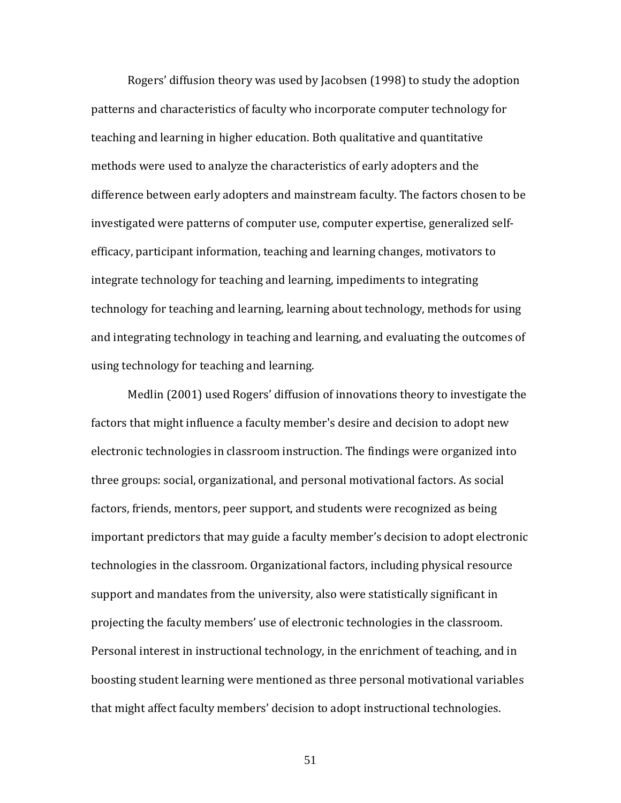Rogers' diffusion theory was used by Jacobsen (1998) to study the adoption patterns and characteristics of faculty who incorporate computer technology for teaching and learning in higher education. Both qualitative and quantitative methods were used to analyze the characteristics of early adopters and the difference between early adopters and mainstream faculty. The factors chosen to be investigated were patterns of computer use, computer expertise, generalized selfefficacy, participant information, teaching and learning changes, motivators to integrate technology for teaching and learning, impediments to integrating technology for teaching and learning, learning about technology, methods for using and integrating technology in teaching and learning, and evaluating the outcomes of using technology for teaching and learning.

Medlin (2001) used Rogers' diffusion of innovations theory to investigate the factors that might influence a faculty member's desire and decision to adopt new electronic technologies in classroom instruction. The findings were organized into three groups: social, organizational, and personal motivational factors. As social factors, friends, mentors, peer support, and students were recognized as being important predictors that may guide a faculty member's decision to adopt electronic technologies in the classroom. Organizational factors, including physical resource support and mandates from the university, also were statistically significant in projecting the faculty members' use of electronic technologies in the classroom. Personal interest in instructional technology, in the enrichment of teaching, and in boosting student learning were mentioned as three personal motivational variables that might affect faculty members' decision to adopt instructional technologies.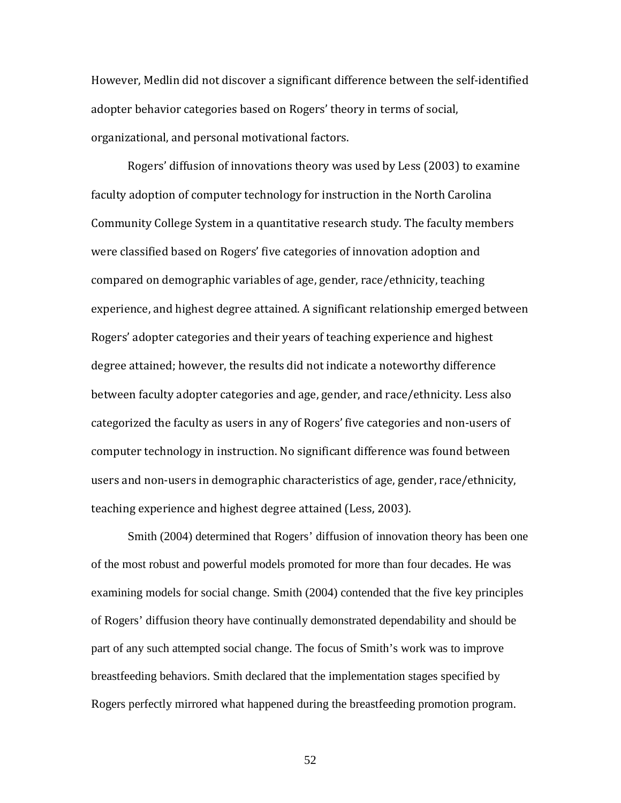However, Medlin did not discover a significant difference between the self-identified adopter behavior categories based on Rogers' theory in terms of social, organizational, and personal motivational factors.

Rogers' diffusion of innovations theory was used by Less (2003) to examine faculty adoption of computer technology for instruction in the North Carolina Community College System in a quantitative research study. The faculty members were classified based on Rogers' five categories of innovation adoption and compared on demographic variables of age, gender, race/ethnicity, teaching experience, and highest degree attained. A significant relationship emerged between Rogers' adopter categories and their years of teaching experience and highest degree attained; however, the results did not indicate a noteworthy difference between faculty adopter categories and age, gender, and race/ethnicity. Less also categorized the faculty as users in any of Rogers' five categories and non-users of computer technology in instruction. No significant difference was found between users and non-users in demographic characteristics of age, gender, race/ethnicity, teaching experience and highest degree attained (Less, 2003).

Smith (2004) determined that Rogers' diffusion of innovation theory has been one of the most robust and powerful models promoted for more than four decades. He was examining models for social change. Smith (2004) contended that the five key principles of Rogers' diffusion theory have continually demonstrated dependability and should be part of any such attempted social change. The focus of Smith's work was to improve breastfeeding behaviors. Smith declared that the implementation stages specified by Rogers perfectly mirrored what happened during the breastfeeding promotion program.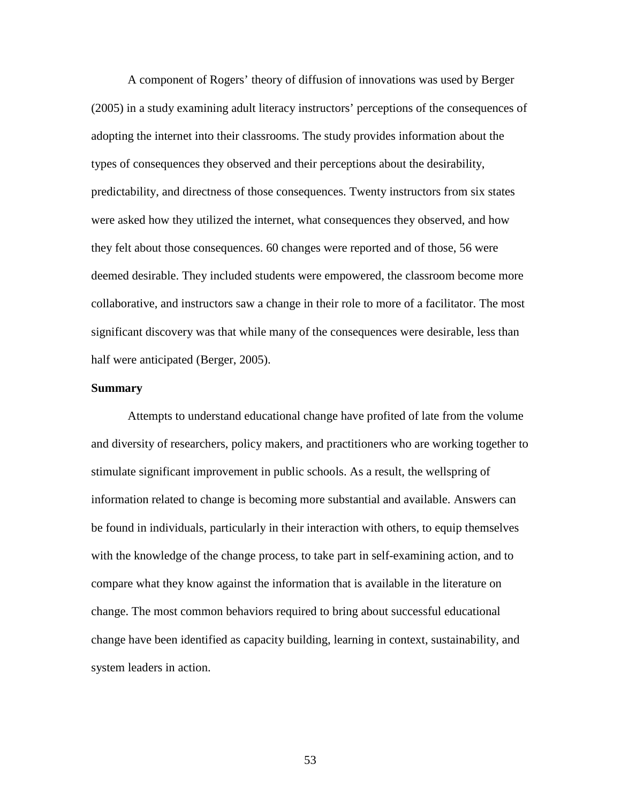A component of Rogers' theory of diffusion of innovations was used by Berger (2005) in a study examining adult literacy instructors' perceptions of the consequences of adopting the internet into their classrooms. The study provides information about the types of consequences they observed and their perceptions about the desirability, predictability, and directness of those consequences. Twenty instructors from six states were asked how they utilized the internet, what consequences they observed, and how they felt about those consequences. 60 changes were reported and of those, 56 were deemed desirable. They included students were empowered, the classroom become more collaborative, and instructors saw a change in their role to more of a facilitator. The most significant discovery was that while many of the consequences were desirable, less than half were anticipated (Berger, 2005).

#### **Summary**

 Attempts to understand educational change have profited of late from the volume and diversity of researchers, policy makers, and practitioners who are working together to stimulate significant improvement in public schools. As a result, the wellspring of information related to change is becoming more substantial and available. Answers can be found in individuals, particularly in their interaction with others, to equip themselves with the knowledge of the change process, to take part in self-examining action, and to compare what they know against the information that is available in the literature on change. The most common behaviors required to bring about successful educational change have been identified as capacity building, learning in context, sustainability, and system leaders in action.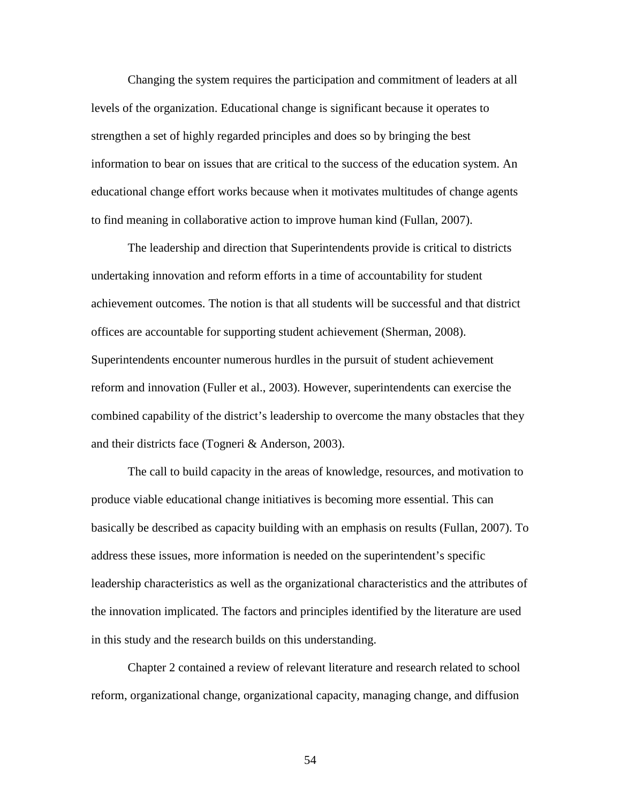Changing the system requires the participation and commitment of leaders at all levels of the organization. Educational change is significant because it operates to strengthen a set of highly regarded principles and does so by bringing the best information to bear on issues that are critical to the success of the education system. An educational change effort works because when it motivates multitudes of change agents to find meaning in collaborative action to improve human kind (Fullan, 2007).

The leadership and direction that Superintendents provide is critical to districts undertaking innovation and reform efforts in a time of accountability for student achievement outcomes. The notion is that all students will be successful and that district offices are accountable for supporting student achievement (Sherman, 2008). Superintendents encounter numerous hurdles in the pursuit of student achievement reform and innovation (Fuller et al., 2003). However, superintendents can exercise the combined capability of the district's leadership to overcome the many obstacles that they and their districts face (Togneri & Anderson, 2003).

The call to build capacity in the areas of knowledge, resources, and motivation to produce viable educational change initiatives is becoming more essential. This can basically be described as capacity building with an emphasis on results (Fullan, 2007). To address these issues, more information is needed on the superintendent's specific leadership characteristics as well as the organizational characteristics and the attributes of the innovation implicated. The factors and principles identified by the literature are used in this study and the research builds on this understanding.

 Chapter 2 contained a review of relevant literature and research related to school reform, organizational change, organizational capacity, managing change, and diffusion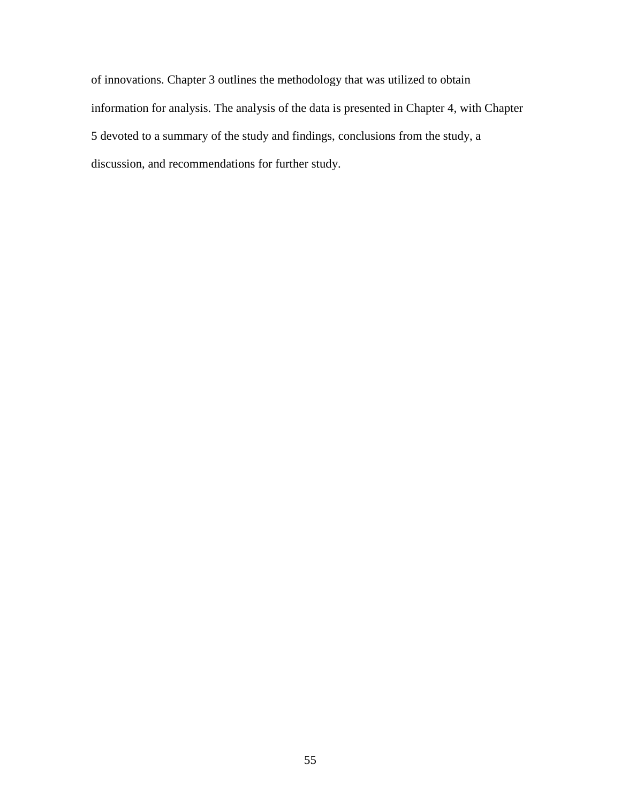of innovations. Chapter 3 outlines the methodology that was utilized to obtain information for analysis. The analysis of the data is presented in Chapter 4, with Chapter 5 devoted to a summary of the study and findings, conclusions from the study, a discussion, and recommendations for further study.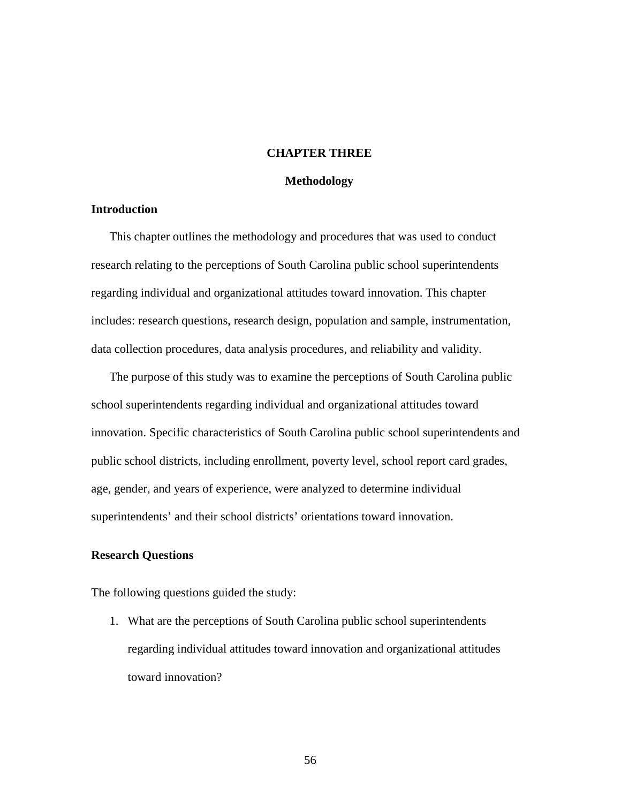## **CHAPTER THREE**

#### **Methodology**

## **Introduction**

This chapter outlines the methodology and procedures that was used to conduct research relating to the perceptions of South Carolina public school superintendents regarding individual and organizational attitudes toward innovation. This chapter includes: research questions, research design, population and sample, instrumentation, data collection procedures, data analysis procedures, and reliability and validity.

The purpose of this study was to examine the perceptions of South Carolina public school superintendents regarding individual and organizational attitudes toward innovation. Specific characteristics of South Carolina public school superintendents and public school districts, including enrollment, poverty level, school report card grades, age, gender, and years of experience, were analyzed to determine individual superintendents' and their school districts' orientations toward innovation.

## **Research Questions**

The following questions guided the study:

1. What are the perceptions of South Carolina public school superintendents regarding individual attitudes toward innovation and organizational attitudes toward innovation?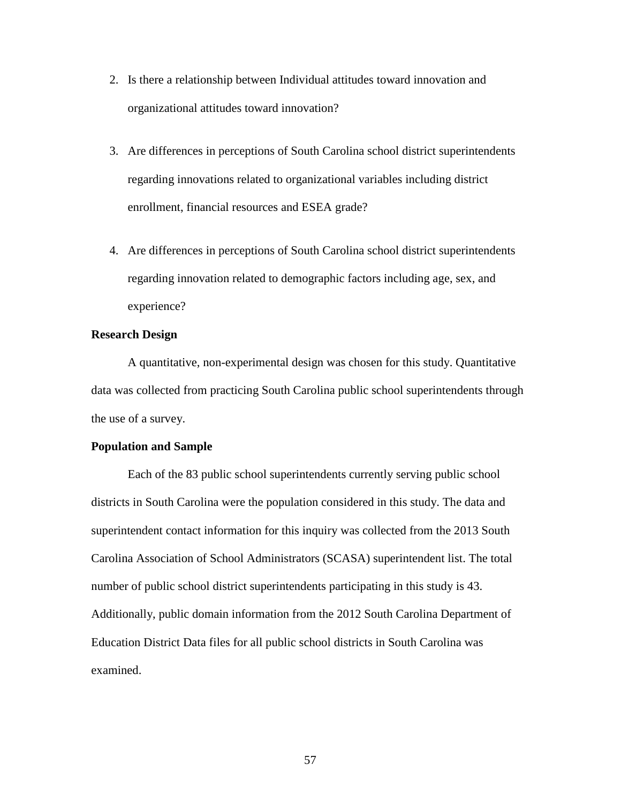- 2. Is there a relationship between Individual attitudes toward innovation and organizational attitudes toward innovation?
- 3. Are differences in perceptions of South Carolina school district superintendents regarding innovations related to organizational variables including district enrollment, financial resources and ESEA grade?
- 4. Are differences in perceptions of South Carolina school district superintendents regarding innovation related to demographic factors including age, sex, and experience?

# **Research Design**

A quantitative, non-experimental design was chosen for this study. Quantitative data was collected from practicing South Carolina public school superintendents through the use of a survey.

## **Population and Sample**

Each of the 83 public school superintendents currently serving public school districts in South Carolina were the population considered in this study. The data and superintendent contact information for this inquiry was collected from the 2013 South Carolina Association of School Administrators (SCASA) superintendent list. The total number of public school district superintendents participating in this study is 43. Additionally, public domain information from the 2012 South Carolina Department of Education District Data files for all public school districts in South Carolina was examined.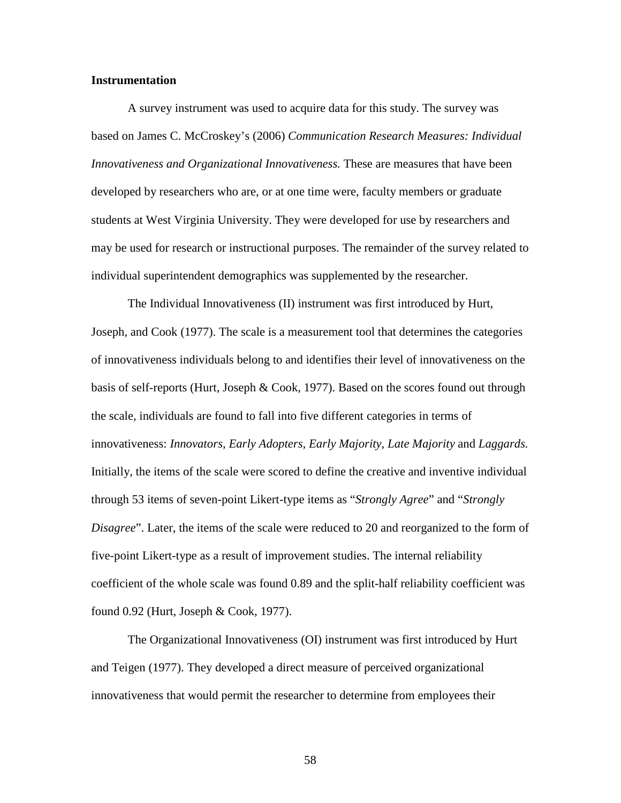## **Instrumentation**

 A survey instrument was used to acquire data for this study. The survey was based on James C. McCroskey's (2006) *Communication Research Measures: Individual Innovativeness and Organizational Innovativeness.* These are measures that have been developed by researchers who are, or at one time were, faculty members or graduate students at West Virginia University. They were developed for use by researchers and may be used for research or instructional purposes. The remainder of the survey related to individual superintendent demographics was supplemented by the researcher.

The Individual Innovativeness (II) instrument was first introduced by Hurt, Joseph, and Cook (1977). The scale is a measurement tool that determines the categories of innovativeness individuals belong to and identifies their level of innovativeness on the basis of self-reports (Hurt, Joseph & Cook, 1977). Based on the scores found out through the scale, individuals are found to fall into five different categories in terms of innovativeness: *Innovators, Early Adopters, Early Majority, Late Majority* and *Laggards.*  Initially, the items of the scale were scored to define the creative and inventive individual through 53 items of seven-point Likert-type items as "*Strongly Agree*" and "*Strongly Disagree*". Later, the items of the scale were reduced to 20 and reorganized to the form of five-point Likert-type as a result of improvement studies. The internal reliability coefficient of the whole scale was found 0.89 and the split-half reliability coefficient was found 0.92 (Hurt, Joseph & Cook, 1977).

 The Organizational Innovativeness (OI) instrument was first introduced by Hurt and Teigen (1977). They developed a direct measure of perceived organizational innovativeness that would permit the researcher to determine from employees their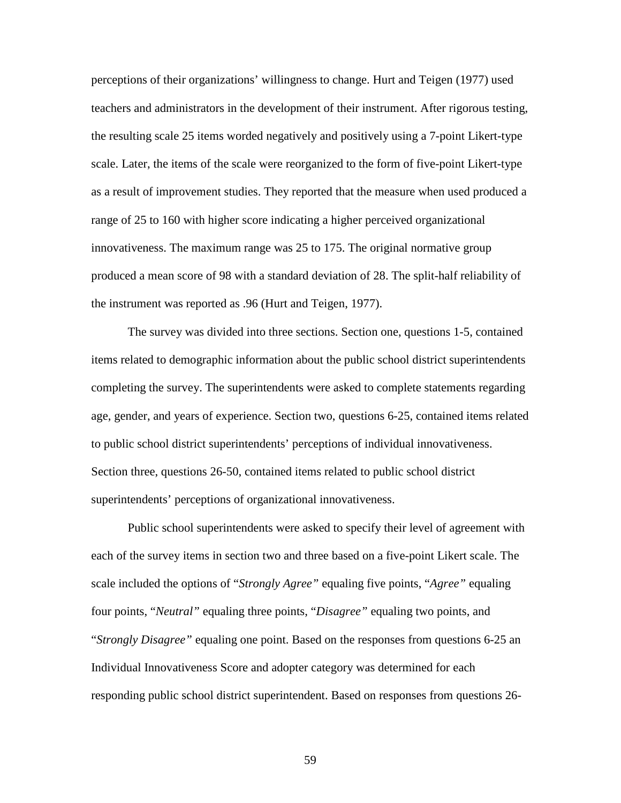perceptions of their organizations' willingness to change. Hurt and Teigen (1977) used teachers and administrators in the development of their instrument. After rigorous testing, the resulting scale 25 items worded negatively and positively using a 7-point Likert-type scale. Later, the items of the scale were reorganized to the form of five-point Likert-type as a result of improvement studies. They reported that the measure when used produced a range of 25 to 160 with higher score indicating a higher perceived organizational innovativeness. The maximum range was 25 to 175. The original normative group produced a mean score of 98 with a standard deviation of 28. The split-half reliability of the instrument was reported as .96 (Hurt and Teigen, 1977).

The survey was divided into three sections. Section one, questions 1-5, contained items related to demographic information about the public school district superintendents completing the survey. The superintendents were asked to complete statements regarding age, gender, and years of experience. Section two, questions 6-25, contained items related to public school district superintendents' perceptions of individual innovativeness. Section three, questions 26-50, contained items related to public school district superintendents' perceptions of organizational innovativeness.

Public school superintendents were asked to specify their level of agreement with each of the survey items in section two and three based on a five-point Likert scale. The scale included the options of "*Strongly Agree"* equaling five points, "*Agree"* equaling four points, "*Neutral"* equaling three points, "*Disagree"* equaling two points, and "*Strongly Disagree"* equaling one point. Based on the responses from questions 6-25 an Individual Innovativeness Score and adopter category was determined for each responding public school district superintendent. Based on responses from questions 26-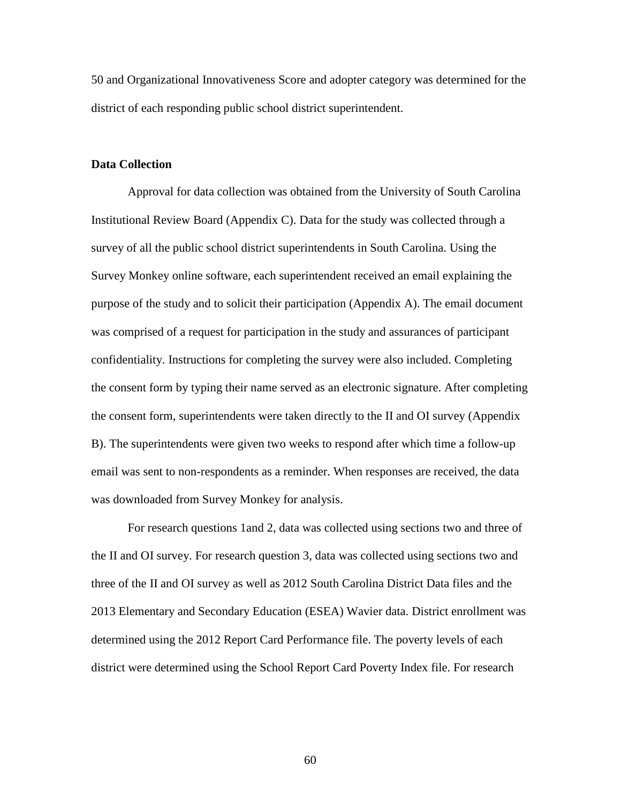50 and Organizational Innovativeness Score and adopter category was determined for the district of each responding public school district superintendent.

## **Data Collection**

 Approval for data collection was obtained from the University of South Carolina Institutional Review Board (Appendix C). Data for the study was collected through a survey of all the public school district superintendents in South Carolina. Using the Survey Monkey online software, each superintendent received an email explaining the purpose of the study and to solicit their participation (Appendix A). The email document was comprised of a request for participation in the study and assurances of participant confidentiality. Instructions for completing the survey were also included. Completing the consent form by typing their name served as an electronic signature. After completing the consent form, superintendents were taken directly to the II and OI survey (Appendix B). The superintendents were given two weeks to respond after which time a follow-up email was sent to non-respondents as a reminder. When responses are received, the data was downloaded from Survey Monkey for analysis.

 For research questions 1and 2, data was collected using sections two and three of the II and OI survey. For research question 3, data was collected using sections two and three of the II and OI survey as well as 2012 South Carolina District Data files and the 2013 Elementary and Secondary Education (ESEA) Wavier data. District enrollment was determined using the 2012 Report Card Performance file. The poverty levels of each district were determined using the School Report Card Poverty Index file. For research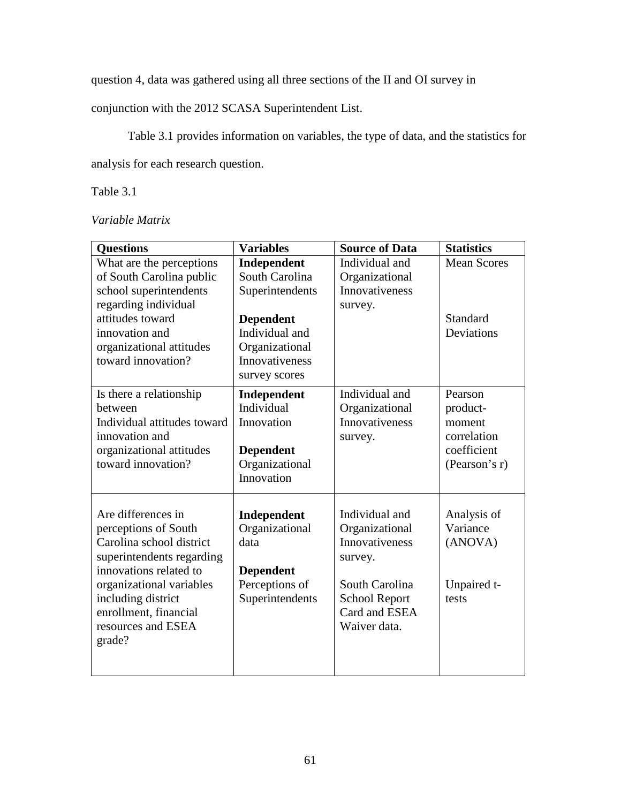question 4, data was gathered using all three sections of the II and OI survey in

conjunction with the 2012 SCASA Superintendent List.

Table 3.1 provides information on variables, the type of data, and the statistics for

analysis for each research question.

Table 3.1

*Variable Matrix* 

| <b>Questions</b>            | <b>Variables</b> | <b>Source of Data</b> | <b>Statistics</b>  |
|-----------------------------|------------------|-----------------------|--------------------|
| What are the perceptions    | Independent      | Individual and        | <b>Mean Scores</b> |
| of South Carolina public    | South Carolina   | Organizational        |                    |
| school superintendents      | Superintendents  | <b>Innovativeness</b> |                    |
| regarding individual        |                  | survey.               |                    |
| attitudes toward            | <b>Dependent</b> |                       | Standard           |
| innovation and              | Individual and   |                       | Deviations         |
| organizational attitudes    | Organizational   |                       |                    |
| toward innovation?          | Innovativeness   |                       |                    |
|                             | survey scores    |                       |                    |
| Is there a relationship     | Independent      | Individual and        | Pearson            |
| between                     | Individual       | Organizational        | product-           |
| Individual attitudes toward | Innovation       | <b>Innovativeness</b> | moment             |
| innovation and              |                  | survey.               | correlation        |
| organizational attitudes    | <b>Dependent</b> |                       | coefficient        |
| toward innovation?          | Organizational   |                       | (Pearson's r)      |
|                             | Innovation       |                       |                    |
|                             |                  |                       |                    |
| Are differences in          | Independent      | Individual and        | Analysis of        |
| perceptions of South        | Organizational   | Organizational        | Variance           |
| Carolina school district    | data             | Innovativeness        | (ANOVA)            |
| superintendents regarding   |                  | survey.               |                    |
| innovations related to      | <b>Dependent</b> |                       |                    |
| organizational variables    | Perceptions of   | South Carolina        | Unpaired t-        |
| including district          | Superintendents  | <b>School Report</b>  | tests              |
| enrollment, financial       |                  | Card and ESEA         |                    |
| resources and ESEA          |                  | Waiver data.          |                    |
| grade?                      |                  |                       |                    |
|                             |                  |                       |                    |
|                             |                  |                       |                    |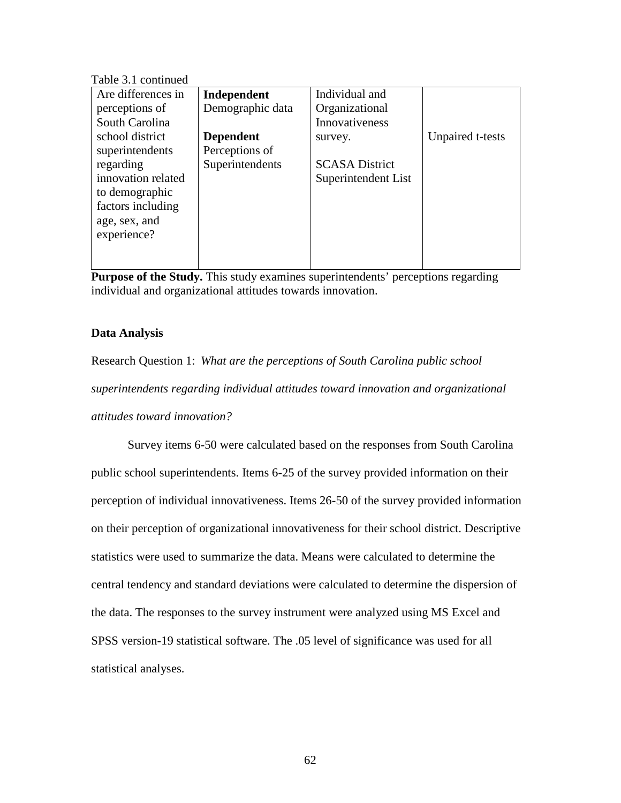Table 3.1 continued

| Are differences in | Independent      | Individual and        |                  |
|--------------------|------------------|-----------------------|------------------|
| perceptions of     | Demographic data | Organizational        |                  |
| South Carolina     |                  | Innovativeness        |                  |
| school district    | <b>Dependent</b> | survey.               | Unpaired t-tests |
| superintendents    | Perceptions of   |                       |                  |
| regarding          | Superintendents  | <b>SCASA District</b> |                  |
| innovation related |                  | Superintendent List   |                  |
| to demographic     |                  |                       |                  |
| factors including  |                  |                       |                  |
| age, sex, and      |                  |                       |                  |
| experience?        |                  |                       |                  |
|                    |                  |                       |                  |
|                    |                  |                       |                  |

**Purpose of the Study.** This study examines superintendents' perceptions regarding individual and organizational attitudes towards innovation.

# **Data Analysis**

Research Question 1: *What are the perceptions of South Carolina public school superintendents regarding individual attitudes toward innovation and organizational attitudes toward innovation?*

 Survey items 6-50 were calculated based on the responses from South Carolina public school superintendents. Items 6-25 of the survey provided information on their perception of individual innovativeness. Items 26-50 of the survey provided information on their perception of organizational innovativeness for their school district. Descriptive statistics were used to summarize the data. Means were calculated to determine the central tendency and standard deviations were calculated to determine the dispersion of the data. The responses to the survey instrument were analyzed using MS Excel and SPSS version-19 statistical software. The .05 level of significance was used for all statistical analyses.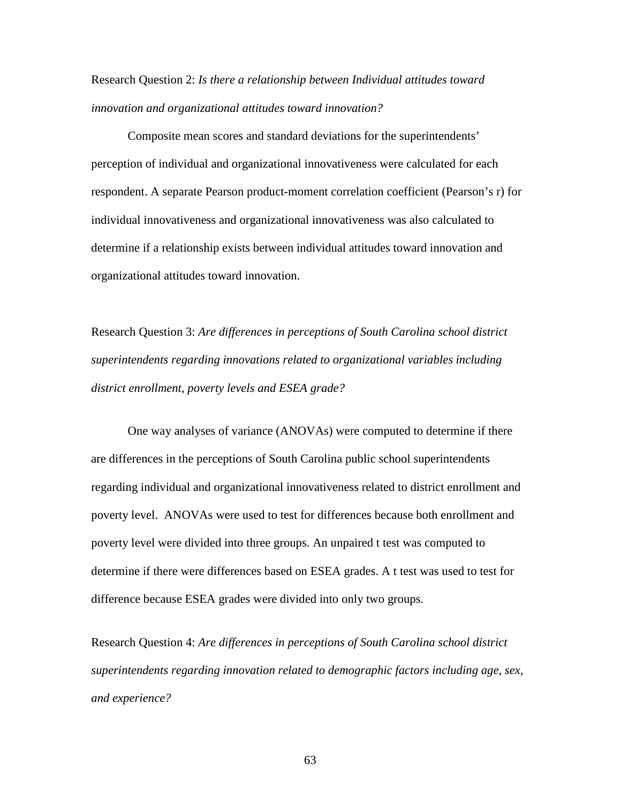Research Question 2: *Is there a relationship between Individual attitudes toward innovation and organizational attitudes toward innovation?* 

 Composite mean scores and standard deviations for the superintendents' perception of individual and organizational innovativeness were calculated for each respondent. A separate Pearson product-moment correlation coefficient (Pearson's r) for individual innovativeness and organizational innovativeness was also calculated to determine if a relationship exists between individual attitudes toward innovation and organizational attitudes toward innovation.

Research Question 3: *Are differences in perceptions of South Carolina school district superintendents regarding innovations related to organizational variables including district enrollment, poverty levels and ESEA grade?*

One way analyses of variance (ANOVAs) were computed to determine if there are differences in the perceptions of South Carolina public school superintendents regarding individual and organizational innovativeness related to district enrollment and poverty level. ANOVAs were used to test for differences because both enrollment and poverty level were divided into three groups. An unpaired t test was computed to determine if there were differences based on ESEA grades. A t test was used to test for difference because ESEA grades were divided into only two groups.

Research Question 4: *Are differences in perceptions of South Carolina school district superintendents regarding innovation related to demographic factors including age, sex, and experience?*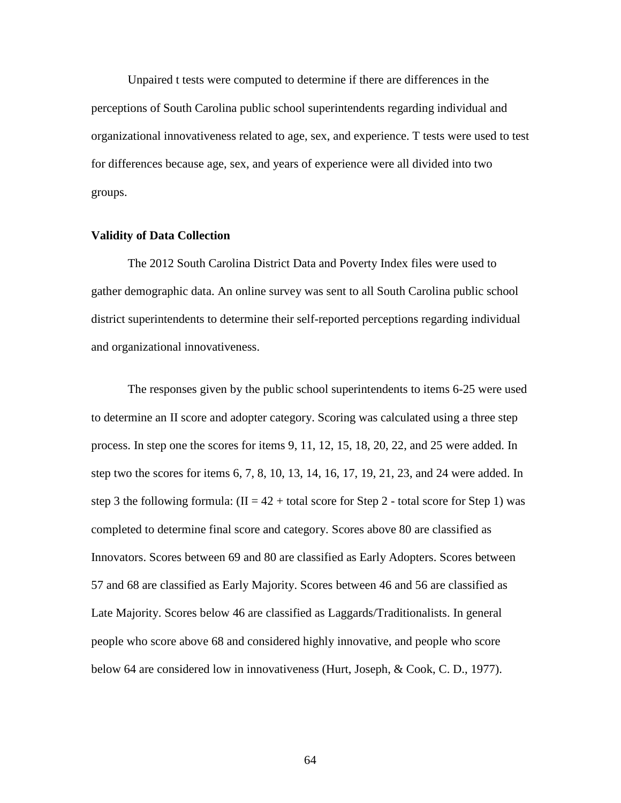Unpaired t tests were computed to determine if there are differences in the perceptions of South Carolina public school superintendents regarding individual and organizational innovativeness related to age, sex, and experience. T tests were used to test for differences because age, sex, and years of experience were all divided into two groups.

## **Validity of Data Collection**

 The 2012 South Carolina District Data and Poverty Index files were used to gather demographic data. An online survey was sent to all South Carolina public school district superintendents to determine their self-reported perceptions regarding individual and organizational innovativeness.

 The responses given by the public school superintendents to items 6-25 were used to determine an II score and adopter category. Scoring was calculated using a three step process. In step one the scores for items 9, 11, 12, 15, 18, 20, 22, and 25 were added. In step two the scores for items 6, 7, 8, 10, 13, 14, 16, 17, 19, 21, 23, and 24 were added. In step 3 the following formula:  $(II = 42 + total score for Step 2 - total score for Step 1) was$ completed to determine final score and category. Scores above 80 are classified as Innovators. Scores between 69 and 80 are classified as Early Adopters. Scores between 57 and 68 are classified as Early Majority. Scores between 46 and 56 are classified as Late Majority. Scores below 46 are classified as Laggards/Traditionalists. In general people who score above 68 and considered highly innovative, and people who score below 64 are considered low in innovativeness (Hurt, Joseph, & Cook, C. D., 1977).

64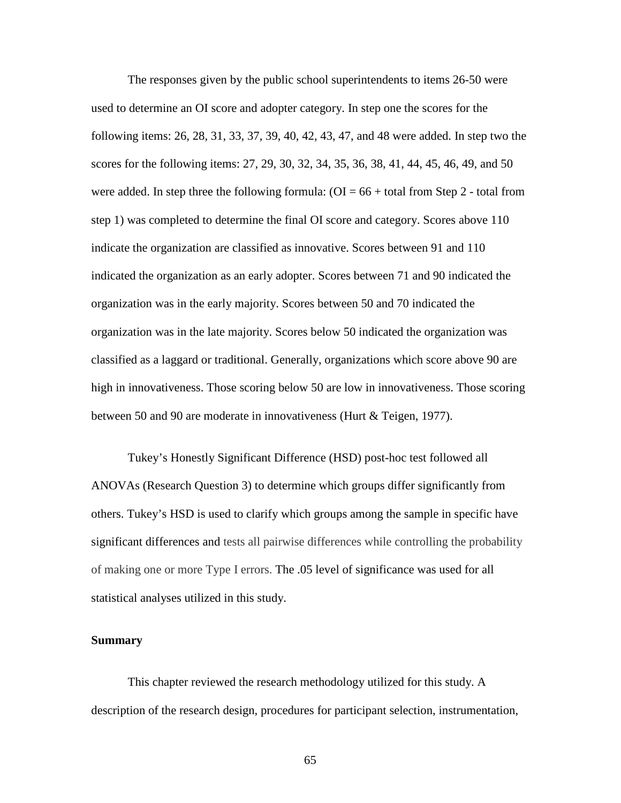The responses given by the public school superintendents to items 26-50 were used to determine an OI score and adopter category. In step one the scores for the following items: 26, 28, 31, 33, 37, 39, 40, 42, 43, 47, and 48 were added. In step two the scores for the following items: 27, 29, 30, 32, 34, 35, 36, 38, 41, 44, 45, 46, 49, and 50 were added. In step three the following formula:  $(OI = 66 + total$  from Step 2 - total from step 1) was completed to determine the final OI score and category. Scores above 110 indicate the organization are classified as innovative. Scores between 91 and 110 indicated the organization as an early adopter. Scores between 71 and 90 indicated the organization was in the early majority. Scores between 50 and 70 indicated the organization was in the late majority. Scores below 50 indicated the organization was classified as a laggard or traditional. Generally, organizations which score above 90 are high in innovativeness. Those scoring below 50 are low in innovativeness. Those scoring between 50 and 90 are moderate in innovativeness (Hurt & Teigen, 1977).

Tukey's Honestly Significant Difference (HSD) post-hoc test followed all ANOVAs (Research Question 3) to determine which groups differ significantly from others. Tukey's HSD is used to clarify which groups among the sample in specific have significant differences and tests all pairwise differences while controlling the probability of making one or more Type I errors. The .05 level of significance was used for all statistical analyses utilized in this study.

#### **Summary**

 This chapter reviewed the research methodology utilized for this study. A description of the research design, procedures for participant selection, instrumentation,

65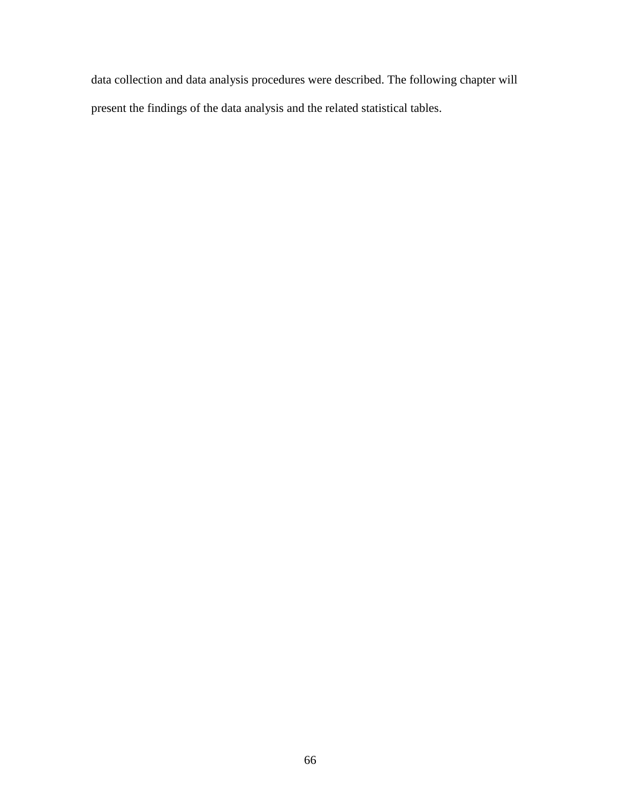data collection and data analysis procedures were described. The following chapter will present the findings of the data analysis and the related statistical tables.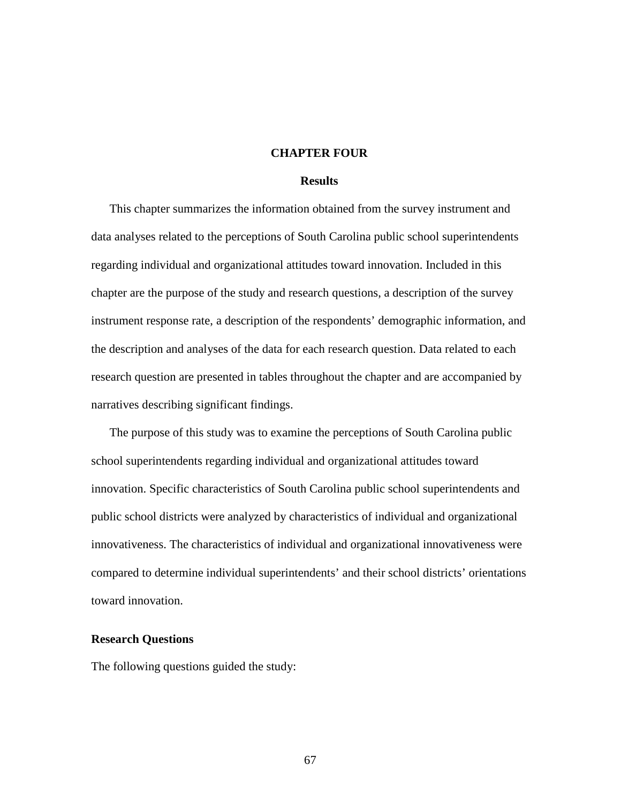## **CHAPTER FOUR**

## **Results**

This chapter summarizes the information obtained from the survey instrument and data analyses related to the perceptions of South Carolina public school superintendents regarding individual and organizational attitudes toward innovation. Included in this chapter are the purpose of the study and research questions, a description of the survey instrument response rate, a description of the respondents' demographic information, and the description and analyses of the data for each research question. Data related to each research question are presented in tables throughout the chapter and are accompanied by narratives describing significant findings.

The purpose of this study was to examine the perceptions of South Carolina public school superintendents regarding individual and organizational attitudes toward innovation. Specific characteristics of South Carolina public school superintendents and public school districts were analyzed by characteristics of individual and organizational innovativeness. The characteristics of individual and organizational innovativeness were compared to determine individual superintendents' and their school districts' orientations toward innovation.

## **Research Questions**

The following questions guided the study: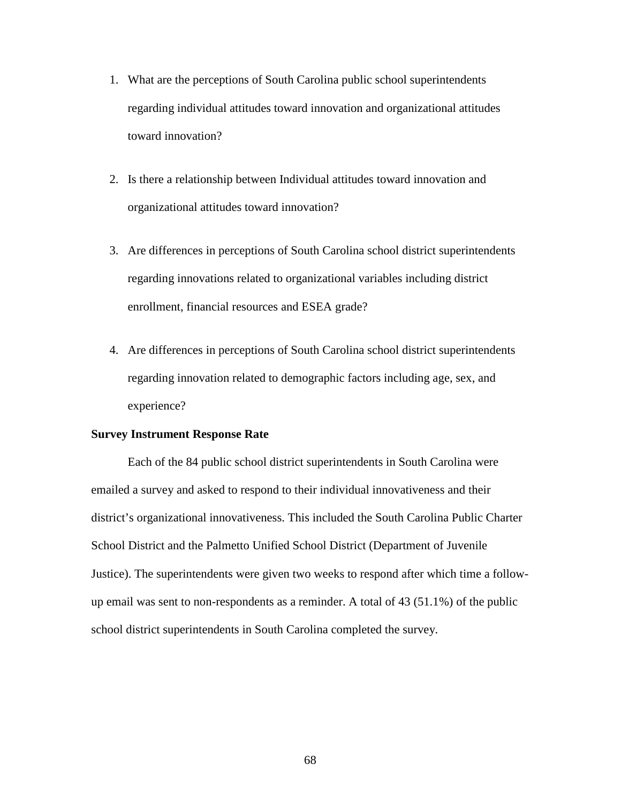- 1. What are the perceptions of South Carolina public school superintendents regarding individual attitudes toward innovation and organizational attitudes toward innovation?
- 2. Is there a relationship between Individual attitudes toward innovation and organizational attitudes toward innovation?
- 3. Are differences in perceptions of South Carolina school district superintendents regarding innovations related to organizational variables including district enrollment, financial resources and ESEA grade?
- 4. Are differences in perceptions of South Carolina school district superintendents regarding innovation related to demographic factors including age, sex, and experience?

## **Survey Instrument Response Rate**

Each of the 84 public school district superintendents in South Carolina were emailed a survey and asked to respond to their individual innovativeness and their district's organizational innovativeness. This included the South Carolina Public Charter School District and the Palmetto Unified School District (Department of Juvenile Justice). The superintendents were given two weeks to respond after which time a followup email was sent to non-respondents as a reminder. A total of 43 (51.1%) of the public school district superintendents in South Carolina completed the survey.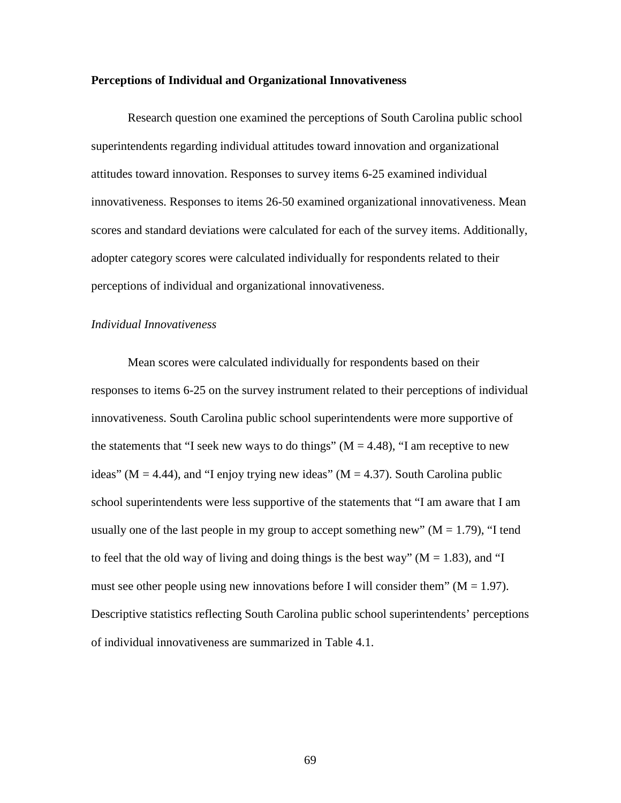### **Perceptions of Individual and Organizational Innovativeness**

Research question one examined the perceptions of South Carolina public school superintendents regarding individual attitudes toward innovation and organizational attitudes toward innovation. Responses to survey items 6-25 examined individual innovativeness. Responses to items 26-50 examined organizational innovativeness. Mean scores and standard deviations were calculated for each of the survey items. Additionally, adopter category scores were calculated individually for respondents related to their perceptions of individual and organizational innovativeness.

# *Individual Innovativeness*

Mean scores were calculated individually for respondents based on their responses to items 6-25 on the survey instrument related to their perceptions of individual innovativeness. South Carolina public school superintendents were more supportive of the statements that "I seek new ways to do things" ( $M = 4.48$ ), "I am receptive to new ideas" ( $M = 4.44$ ), and "I enjoy trying new ideas" ( $M = 4.37$ ). South Carolina public school superintendents were less supportive of the statements that "I am aware that I am usually one of the last people in my group to accept something new" ( $M = 1.79$ ), "I tend to feel that the old way of living and doing things is the best way" ( $M = 1.83$ ), and "I must see other people using new innovations before I will consider them"  $(M = 1.97)$ . Descriptive statistics reflecting South Carolina public school superintendents' perceptions of individual innovativeness are summarized in Table 4.1.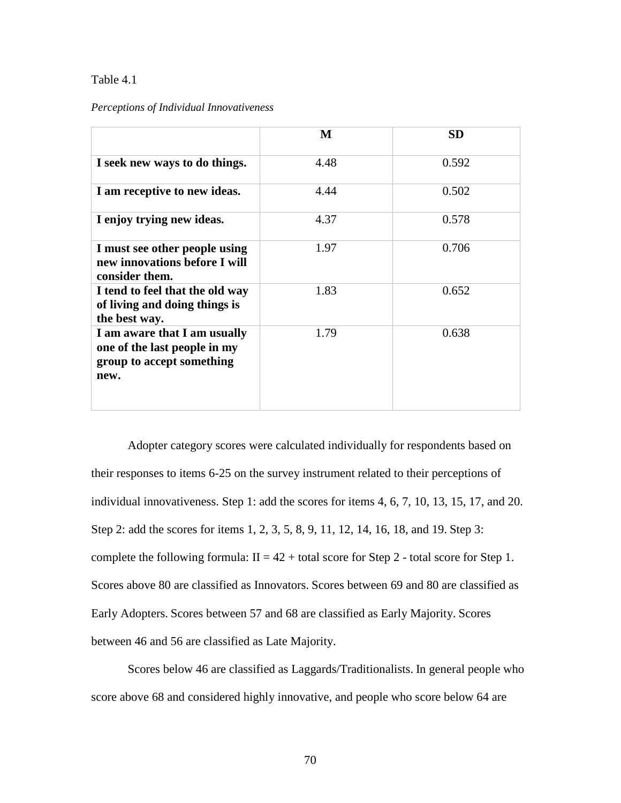# Table 4.1

## *Perceptions of Individual Innovativeness*

|                                                                                                   | M    | <b>SD</b> |
|---------------------------------------------------------------------------------------------------|------|-----------|
| I seek new ways to do things.                                                                     | 4.48 | 0.592     |
| I am receptive to new ideas.                                                                      | 4.44 | 0.502     |
| I enjoy trying new ideas.                                                                         | 4.37 | 0.578     |
| I must see other people using<br>new innovations before I will<br>consider them.                  | 1.97 | 0.706     |
| I tend to feel that the old way<br>of living and doing things is<br>the best way.                 | 1.83 | 0.652     |
| I am aware that I am usually<br>one of the last people in my<br>group to accept something<br>new. | 1.79 | 0.638     |

Adopter category scores were calculated individually for respondents based on their responses to items 6-25 on the survey instrument related to their perceptions of individual innovativeness. Step 1: add the scores for items 4, 6, 7, 10, 13, 15, 17, and 20. Step 2: add the scores for items 1, 2, 3, 5, 8, 9, 11, 12, 14, 16, 18, and 19. Step 3: complete the following formula:  $II = 42 + total$  score for Step 2 - total score for Step 1. Scores above 80 are classified as Innovators. Scores between 69 and 80 are classified as Early Adopters. Scores between 57 and 68 are classified as Early Majority. Scores between 46 and 56 are classified as Late Majority.

Scores below 46 are classified as Laggards/Traditionalists. In general people who score above 68 and considered highly innovative, and people who score below 64 are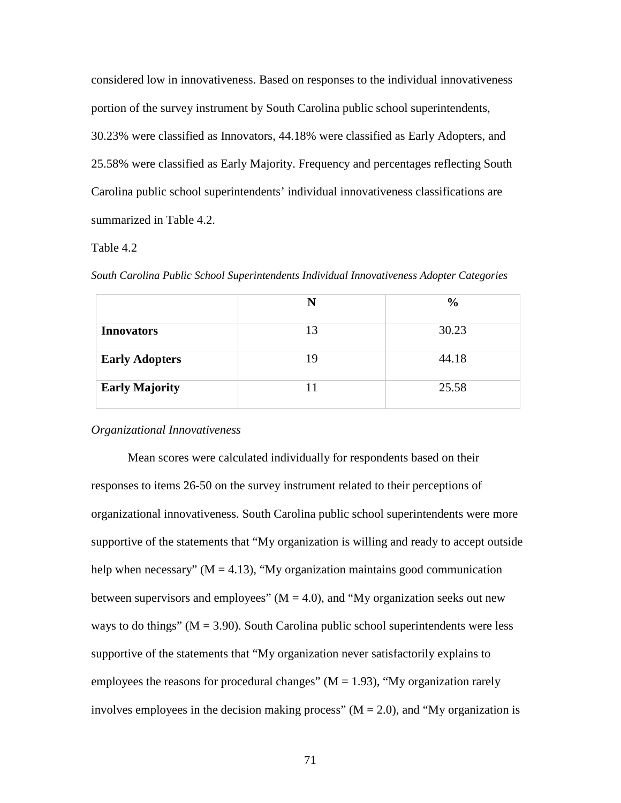considered low in innovativeness. Based on responses to the individual innovativeness portion of the survey instrument by South Carolina public school superintendents, 30.23% were classified as Innovators, 44.18% were classified as Early Adopters, and 25.58% were classified as Early Majority. Frequency and percentages reflecting South Carolina public school superintendents' individual innovativeness classifications are summarized in Table 4.2.

# Table 4.2

|  |  |  | South Carolina Public School Superintendents Individual Innovativeness Adopter Categories |  |
|--|--|--|-------------------------------------------------------------------------------------------|--|
|  |  |  |                                                                                           |  |

|                       | N  | $\frac{6}{9}$ |
|-----------------------|----|---------------|
| <b>Innovators</b>     | 13 | 30.23         |
| <b>Early Adopters</b> | 19 | 44.18         |
| <b>Early Majority</b> | 11 | 25.58         |

## *Organizational Innovativeness*

Mean scores were calculated individually for respondents based on their responses to items 26-50 on the survey instrument related to their perceptions of organizational innovativeness. South Carolina public school superintendents were more supportive of the statements that "My organization is willing and ready to accept outside help when necessary" ( $M = 4.13$ ), "My organization maintains good communication between supervisors and employees"  $(M = 4.0)$ , and "My organization seeks out new ways to do things" ( $M = 3.90$ ). South Carolina public school superintendents were less supportive of the statements that "My organization never satisfactorily explains to employees the reasons for procedural changes"  $(M = 1.93)$ , "My organization rarely involves employees in the decision making process"  $(M = 2.0)$ , and "My organization is

71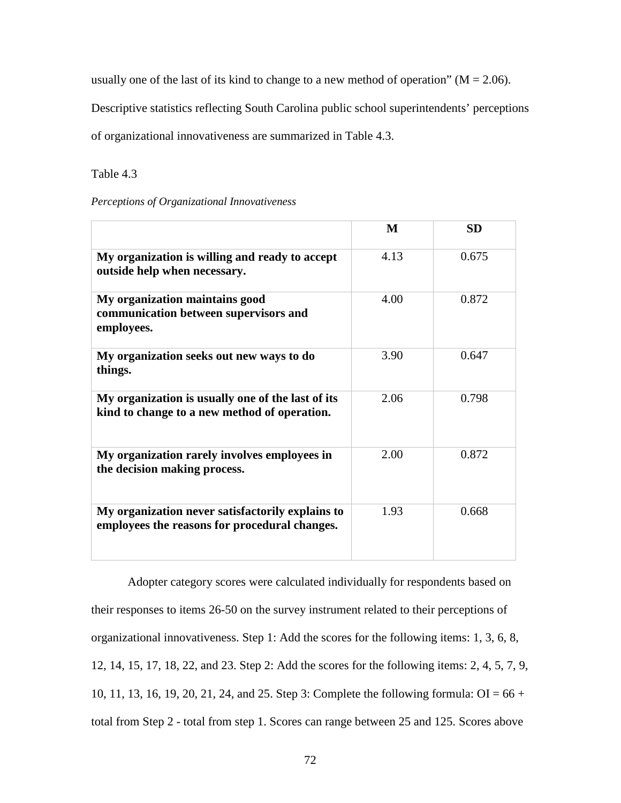usually one of the last of its kind to change to a new method of operation" ( $M = 2.06$ ).

Descriptive statistics reflecting South Carolina public school superintendents' perceptions

of organizational innovativeness are summarized in Table 4.3.

Table 4.3

|  | Perceptions of Organizational Innovativeness |
|--|----------------------------------------------|
|  |                                              |

|                                                                                                   | M    | <b>SD</b> |
|---------------------------------------------------------------------------------------------------|------|-----------|
| My organization is willing and ready to accept<br>outside help when necessary.                    | 4.13 | 0.675     |
| My organization maintains good<br>communication between supervisors and<br>employees.             | 4.00 | 0.872     |
| My organization seeks out new ways to do<br>things.                                               | 3.90 | 0.647     |
| My organization is usually one of the last of its<br>kind to change to a new method of operation. | 2.06 | 0.798     |
| My organization rarely involves employees in<br>the decision making process.                      | 2.00 | 0.872     |
| My organization never satisfactorily explains to<br>employees the reasons for procedural changes. | 1.93 | 0.668     |

Adopter category scores were calculated individually for respondents based on their responses to items 26-50 on the survey instrument related to their perceptions of organizational innovativeness. Step 1: Add the scores for the following items: 1, 3, 6, 8, 12, 14, 15, 17, 18, 22, and 23. Step 2: Add the scores for the following items: 2, 4, 5, 7, 9, 10, 11, 13, 16, 19, 20, 21, 24, and 25. Step 3: Complete the following formula: OI = 66 + total from Step 2 - total from step 1. Scores can range between 25 and 125. Scores above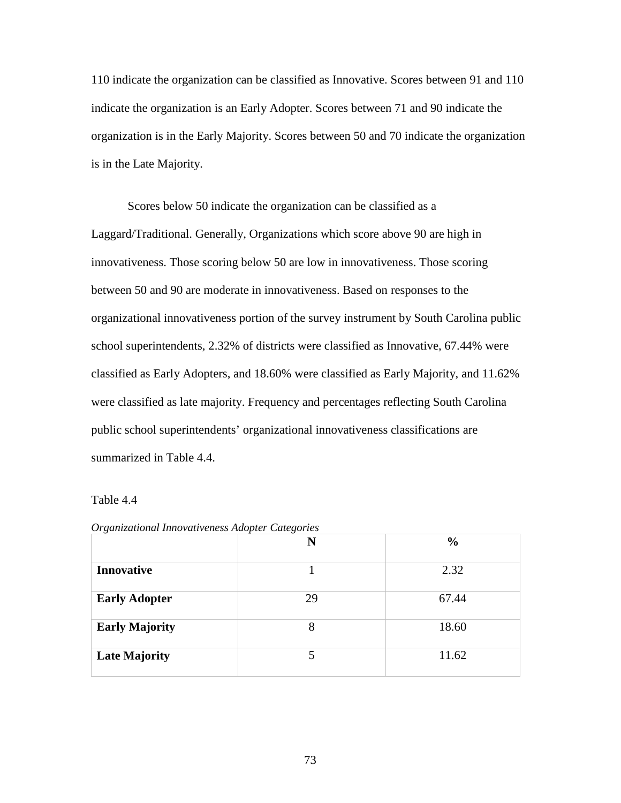110 indicate the organization can be classified as Innovative. Scores between 91 and 110 indicate the organization is an Early Adopter. Scores between 71 and 90 indicate the organization is in the Early Majority. Scores between 50 and 70 indicate the organization is in the Late Majority.

Scores below 50 indicate the organization can be classified as a Laggard/Traditional. Generally, Organizations which score above 90 are high in innovativeness. Those scoring below 50 are low in innovativeness. Those scoring between 50 and 90 are moderate in innovativeness. Based on responses to the organizational innovativeness portion of the survey instrument by South Carolina public school superintendents, 2.32% of districts were classified as Innovative, 67.44% were classified as Early Adopters, and 18.60% were classified as Early Majority, and 11.62% were classified as late majority. Frequency and percentages reflecting South Carolina public school superintendents' organizational innovativeness classifications are summarized in Table 4.4.

### Table 4.4

|                       | N  | $\frac{0}{0}$ |
|-----------------------|----|---------------|
| <b>Innovative</b>     |    | 2.32          |
| <b>Early Adopter</b>  | 29 | 67.44         |
| <b>Early Majority</b> | 8  | 18.60         |
| <b>Late Majority</b>  |    | 11.62         |

| Organizational Innovativeness Adopter Categories |  |  |
|--------------------------------------------------|--|--|
|--------------------------------------------------|--|--|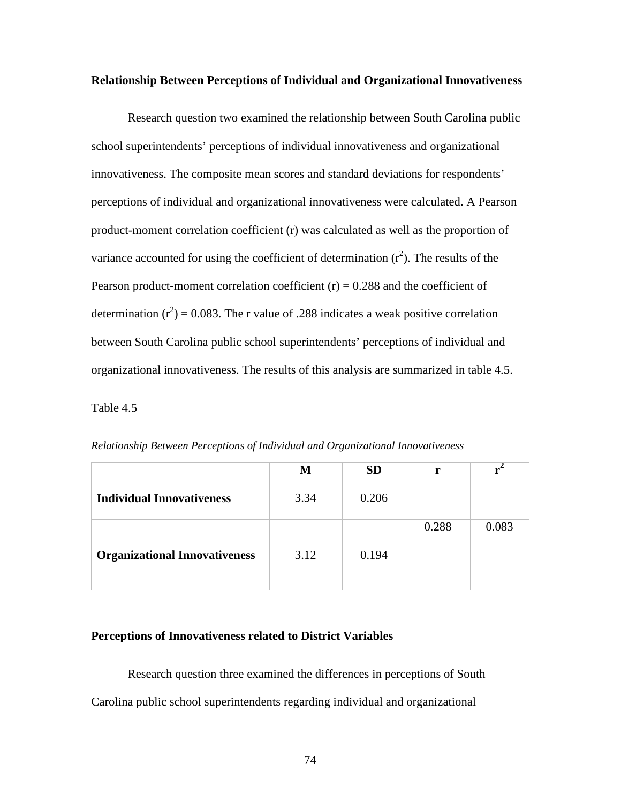#### **Relationship Between Perceptions of Individual and Organizational Innovativeness**

 Research question two examined the relationship between South Carolina public school superintendents' perceptions of individual innovativeness and organizational innovativeness. The composite mean scores and standard deviations for respondents' perceptions of individual and organizational innovativeness were calculated. A Pearson product-moment correlation coefficient (r) was calculated as well as the proportion of variance accounted for using the coefficient of determination  $(r^2)$ . The results of the Pearson product-moment correlation coefficient  $(r) = 0.288$  and the coefficient of determination ( $r^2$ ) = 0.083. The r value of .288 indicates a weak positive correlation between South Carolina public school superintendents' perceptions of individual and organizational innovativeness. The results of this analysis are summarized in table 4.5.

Table 4.5

|                                      | M    | <b>SD</b> | r     |       |
|--------------------------------------|------|-----------|-------|-------|
| <b>Individual Innovativeness</b>     | 3.34 | 0.206     |       |       |
|                                      |      |           | 0.288 | 0.083 |
| <b>Organizational Innovativeness</b> | 3.12 | 0.194     |       |       |

*Relationship Between Perceptions of Individual and Organizational Innovativeness* 

# **Perceptions of Innovativeness related to District Variables**

Research question three examined the differences in perceptions of South Carolina public school superintendents regarding individual and organizational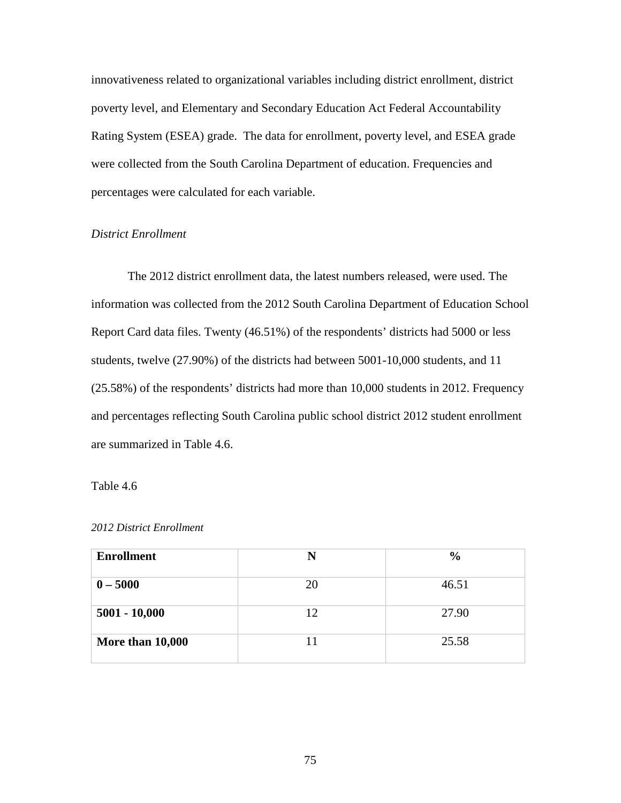innovativeness related to organizational variables including district enrollment, district poverty level, and Elementary and Secondary Education Act Federal Accountability Rating System (ESEA) grade. The data for enrollment, poverty level, and ESEA grade were collected from the South Carolina Department of education. Frequencies and percentages were calculated for each variable.

# *District Enrollment*

 The 2012 district enrollment data, the latest numbers released, were used. The information was collected from the 2012 South Carolina Department of Education School Report Card data files. Twenty (46.51%) of the respondents' districts had 5000 or less students, twelve (27.90%) of the districts had between 5001-10,000 students, and 11 (25.58%) of the respondents' districts had more than 10,000 students in 2012. Frequency and percentages reflecting South Carolina public school district 2012 student enrollment are summarized in Table 4.6.

## Table 4.6

|  | 2012 District Enrollment |  |
|--|--------------------------|--|
|--|--------------------------|--|

| <b>Enrollment</b> | N  | $\frac{6}{9}$ |
|-------------------|----|---------------|
| $0 - 5000$        | 20 | 46.51         |
| $5001 - 10,000$   | 12 | 27.90         |
| More than 10,000  | 11 | 25.58         |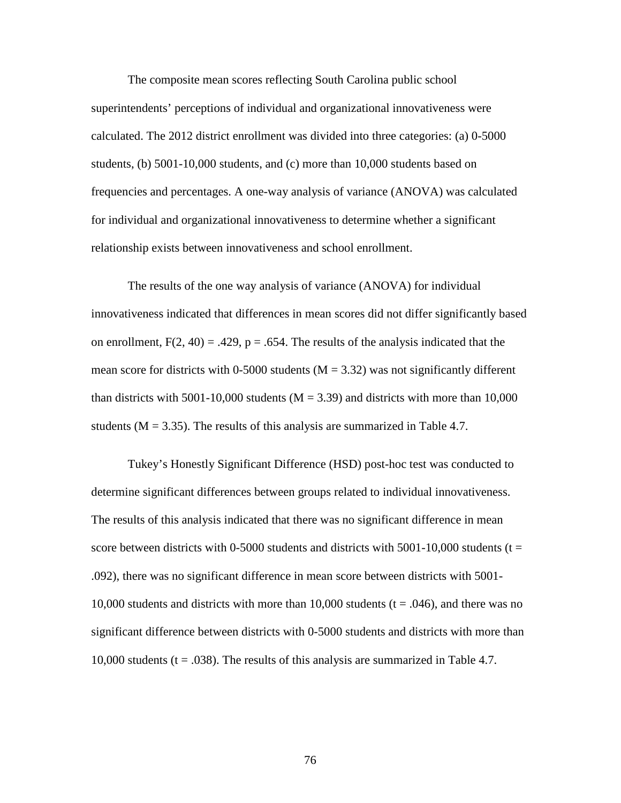The composite mean scores reflecting South Carolina public school superintendents' perceptions of individual and organizational innovativeness were calculated. The 2012 district enrollment was divided into three categories: (a) 0-5000 students, (b) 5001-10,000 students, and (c) more than 10,000 students based on frequencies and percentages. A one-way analysis of variance (ANOVA) was calculated for individual and organizational innovativeness to determine whether a significant relationship exists between innovativeness and school enrollment.

 The results of the one way analysis of variance (ANOVA) for individual innovativeness indicated that differences in mean scores did not differ significantly based on enrollment,  $F(2, 40) = .429$ ,  $p = .654$ . The results of the analysis indicated that the mean score for districts with 0-5000 students ( $M = 3.32$ ) was not significantly different than districts with 5001-10,000 students ( $M = 3.39$ ) and districts with more than 10,000 students ( $M = 3.35$ ). The results of this analysis are summarized in Table 4.7.

 Tukey's Honestly Significant Difference (HSD) post-hoc test was conducted to determine significant differences between groups related to individual innovativeness. The results of this analysis indicated that there was no significant difference in mean score between districts with 0-5000 students and districts with  $5001-10,000$  students (t = .092), there was no significant difference in mean score between districts with 5001- 10,000 students and districts with more than 10,000 students ( $t = .046$ ), and there was no significant difference between districts with 0-5000 students and districts with more than 10,000 students ( $t = .038$ ). The results of this analysis are summarized in Table 4.7.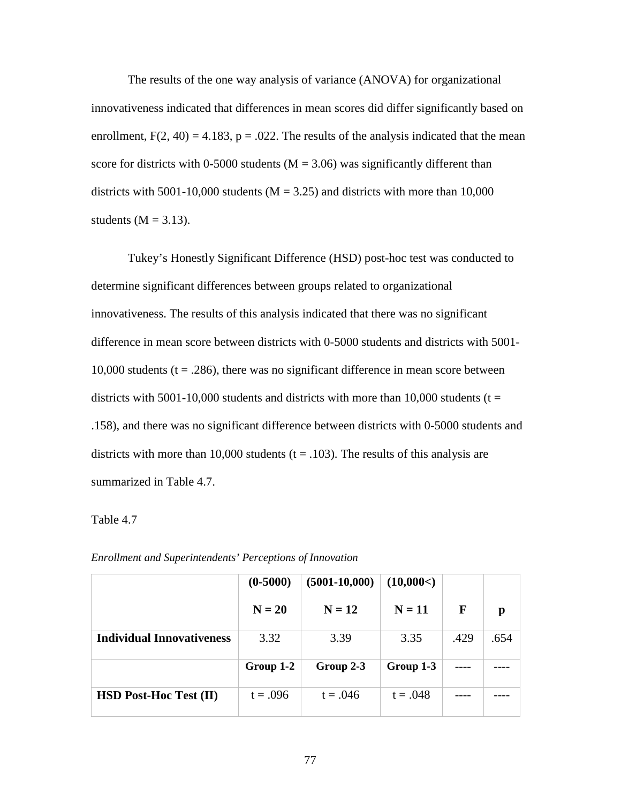The results of the one way analysis of variance (ANOVA) for organizational innovativeness indicated that differences in mean scores did differ significantly based on enrollment,  $F(2, 40) = 4.183$ ,  $p = .022$ . The results of the analysis indicated that the mean score for districts with 0-5000 students ( $M = 3.06$ ) was significantly different than districts with 5001-10,000 students ( $M = 3.25$ ) and districts with more than 10,000 students ( $M = 3.13$ ).

Tukey's Honestly Significant Difference (HSD) post-hoc test was conducted to determine significant differences between groups related to organizational innovativeness. The results of this analysis indicated that there was no significant difference in mean score between districts with 0-5000 students and districts with 5001- 10,000 students ( $t = .286$ ), there was no significant difference in mean score between districts with 5001-10,000 students and districts with more than 10,000 students ( $t =$ .158), and there was no significant difference between districts with 0-5000 students and districts with more than 10,000 students  $(t = .103)$ . The results of this analysis are summarized in Table 4.7.

# Table 4.7

|                                  | $(0-5000)$ | $(5001-10,000)$ | (10,000<)  |      |      |
|----------------------------------|------------|-----------------|------------|------|------|
|                                  | $N = 20$   | $N = 12$        | $N = 11$   | F    | p    |
| <b>Individual Innovativeness</b> | 3.32       | 3.39            | 3.35       | .429 | .654 |
|                                  | Group 1-2  | Group 2-3       | Group 1-3  |      |      |
|                                  |            |                 |            |      |      |
| <b>HSD Post-Hoc Test (II)</b>    | $t = .096$ | $t = .046$      | $t = .048$ |      |      |

*Enrollment and Superintendents' Perceptions of Innovation*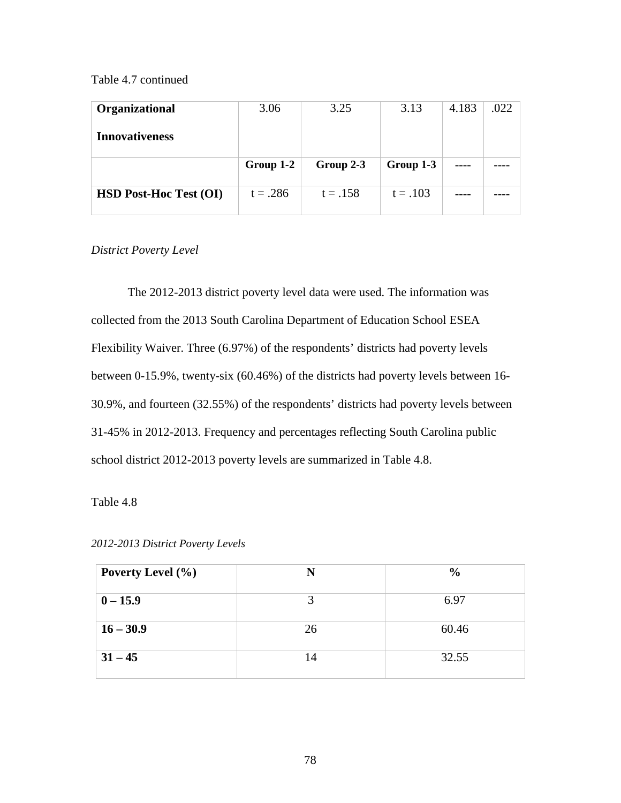# Table 4.7 continued

| Organizational        | 3.06      | 3.25      | 3.13      | 4.183 | .022 |
|-----------------------|-----------|-----------|-----------|-------|------|
| <b>Innovativeness</b> |           |           |           |       |      |
|                       |           |           |           |       |      |
|                       | Group 1-2 | Group 2-3 | Group 1-3 |       |      |

# *District Poverty Level*

The 2012-2013 district poverty level data were used. The information was collected from the 2013 South Carolina Department of Education School ESEA Flexibility Waiver. Three (6.97%) of the respondents' districts had poverty levels between 0-15.9%, twenty-six (60.46%) of the districts had poverty levels between 16- 30.9%, and fourteen (32.55%) of the respondents' districts had poverty levels between 31-45% in 2012-2013. Frequency and percentages reflecting South Carolina public school district 2012-2013 poverty levels are summarized in Table 4.8.

Table 4.8

| Poverty Level (%) | N  | $\frac{6}{6}$ |
|-------------------|----|---------------|
| $0 - 15.9$        | 2  | 6.97          |
| $16 - 30.9$       | 26 | 60.46         |
| $31 - 45$         | 14 | 32.55         |

*2012-2013 District Poverty Levels*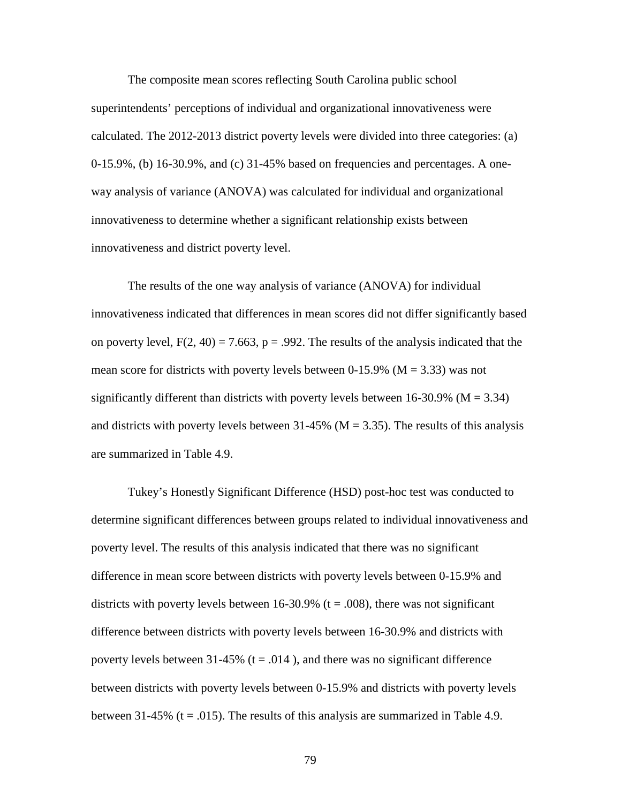The composite mean scores reflecting South Carolina public school superintendents' perceptions of individual and organizational innovativeness were calculated. The 2012-2013 district poverty levels were divided into three categories: (a) 0-15.9%, (b) 16-30.9%, and (c) 31-45% based on frequencies and percentages. A oneway analysis of variance (ANOVA) was calculated for individual and organizational innovativeness to determine whether a significant relationship exists between innovativeness and district poverty level.

The results of the one way analysis of variance (ANOVA) for individual innovativeness indicated that differences in mean scores did not differ significantly based on poverty level,  $F(2, 40) = 7.663$ ,  $p = .992$ . The results of the analysis indicated that the mean score for districts with poverty levels between 0-15.9% ( $M = 3.33$ ) was not significantly different than districts with poverty levels between 16-30.9% ( $M = 3.34$ ) and districts with poverty levels between 31-45% ( $M = 3.35$ ). The results of this analysis are summarized in Table 4.9.

Tukey's Honestly Significant Difference (HSD) post-hoc test was conducted to determine significant differences between groups related to individual innovativeness and poverty level. The results of this analysis indicated that there was no significant difference in mean score between districts with poverty levels between 0-15.9% and districts with poverty levels between 16-30.9% ( $t = .008$ ), there was not significant difference between districts with poverty levels between 16-30.9% and districts with poverty levels between 31-45% ( $t = .014$ ), and there was no significant difference between districts with poverty levels between 0-15.9% and districts with poverty levels between 31-45% ( $t = .015$ ). The results of this analysis are summarized in Table 4.9.

79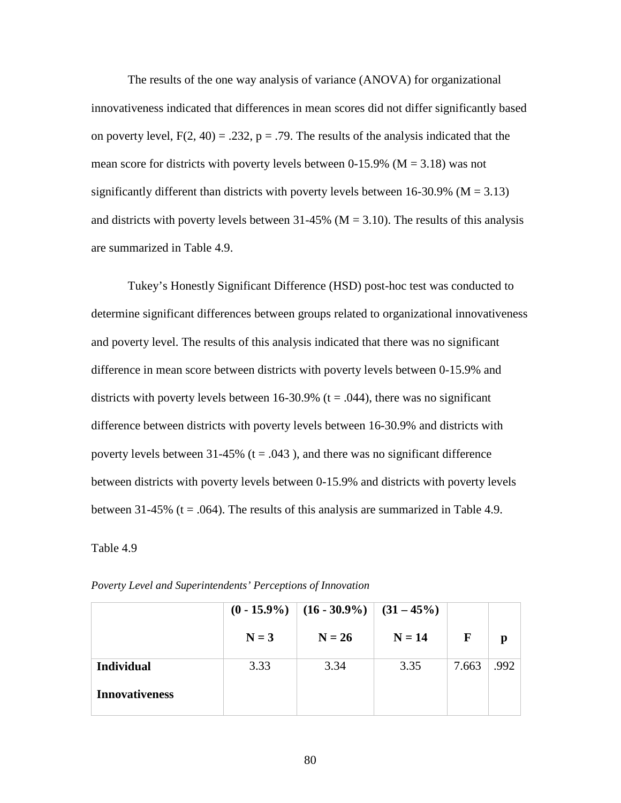The results of the one way analysis of variance (ANOVA) for organizational innovativeness indicated that differences in mean scores did not differ significantly based on poverty level,  $F(2, 40) = .232$ ,  $p = .79$ . The results of the analysis indicated that the mean score for districts with poverty levels between 0-15.9% ( $M = 3.18$ ) was not significantly different than districts with poverty levels between  $16-30.9\%$  (M = 3.13) and districts with poverty levels between 31-45% ( $M = 3.10$ ). The results of this analysis are summarized in Table 4.9.

Tukey's Honestly Significant Difference (HSD) post-hoc test was conducted to determine significant differences between groups related to organizational innovativeness and poverty level. The results of this analysis indicated that there was no significant difference in mean score between districts with poverty levels between 0-15.9% and districts with poverty levels between 16-30.9% ( $t = .044$ ), there was no significant difference between districts with poverty levels between 16-30.9% and districts with poverty levels between 31-45% ( $t = .043$ ), and there was no significant difference between districts with poverty levels between 0-15.9% and districts with poverty levels between 31-45% ( $t = .064$ ). The results of this analysis are summarized in Table 4.9.

## Table 4.9

|                       |         | $(0 - 15.9\%)$ $(16 - 30.9\%)$ $(31 - 45\%)$ |          |       |      |
|-----------------------|---------|----------------------------------------------|----------|-------|------|
|                       | $N = 3$ | $N = 26$                                     | $N = 14$ | F     | p    |
| <b>Individual</b>     | 3.33    | 3.34                                         | 3.35     | 7.663 | .992 |
| <b>Innovativeness</b> |         |                                              |          |       |      |

*Poverty Level and Superintendents' Perceptions of Innovation*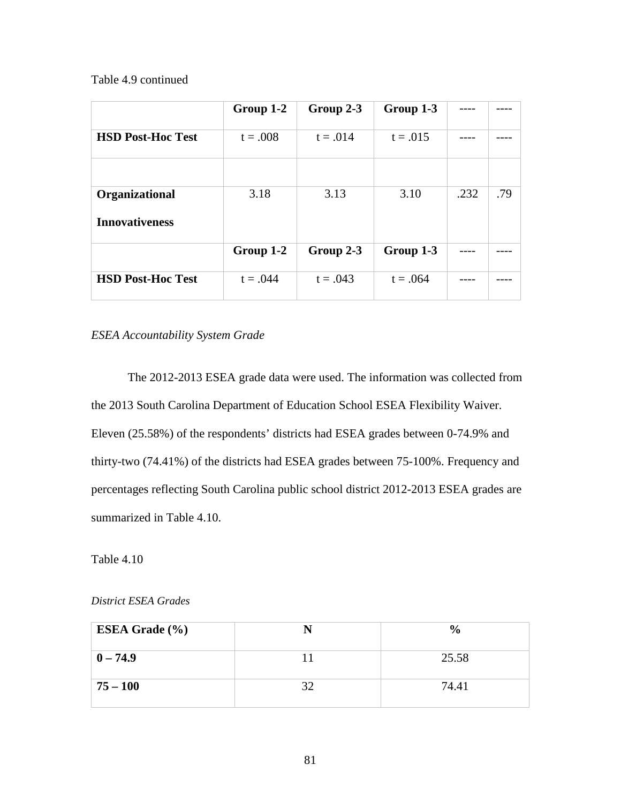Table 4.9 continued

|                          | Group 1-2  | Group 2-3  | Group 1-3  |      |     |
|--------------------------|------------|------------|------------|------|-----|
| <b>HSD Post-Hoc Test</b> | $t = .008$ | $t = .014$ | $t = .015$ |      |     |
|                          |            |            |            |      |     |
| Organizational           | 3.18       | 3.13       | 3.10       | .232 | .79 |
| <b>Innovativeness</b>    |            |            |            |      |     |
|                          | Group 1-2  | Group 2-3  | Group 1-3  |      |     |
| <b>HSD Post-Hoc Test</b> | $t = .044$ | $t = .043$ | $t = .064$ |      |     |

*ESEA Accountability System Grade* 

The 2012-2013 ESEA grade data were used. The information was collected from the 2013 South Carolina Department of Education School ESEA Flexibility Waiver. Eleven (25.58%) of the respondents' districts had ESEA grades between 0-74.9% and thirty-two (74.41%) of the districts had ESEA grades between 75-100%. Frequency and percentages reflecting South Carolina public school district 2012-2013 ESEA grades are summarized in Table 4.10.

Table 4.10

*District ESEA Grades* 

| ESEA Grade $(\% )$ |    | $\frac{6}{9}$ |
|--------------------|----|---------------|
| $ 0 - 74.9 $       |    | 25.58         |
| $ 75 - 100 $       | 32 | 74.41         |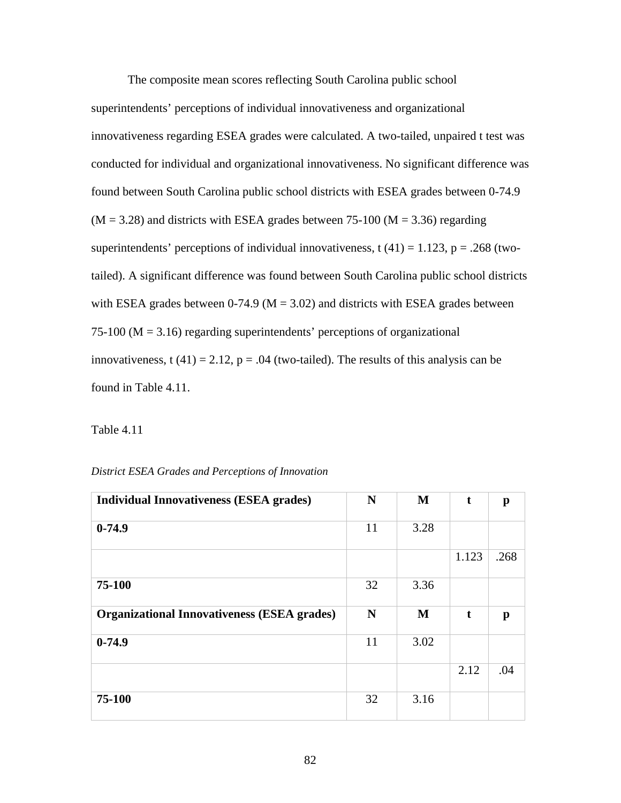The composite mean scores reflecting South Carolina public school superintendents' perceptions of individual innovativeness and organizational innovativeness regarding ESEA grades were calculated. A two-tailed, unpaired t test was conducted for individual and organizational innovativeness. No significant difference was found between South Carolina public school districts with ESEA grades between 0-74.9  $(M = 3.28)$  and districts with ESEA grades between 75-100 ( $M = 3.36$ ) regarding superintendents' perceptions of individual innovativeness, t  $(41) = 1.123$ , p = .268 (twotailed). A significant difference was found between South Carolina public school districts with ESEA grades between 0-74.9 ( $M = 3.02$ ) and districts with ESEA grades between 75-100 ( $M = 3.16$ ) regarding superintendents' perceptions of organizational innovativeness, t (41) = 2.12,  $p = .04$  (two-tailed). The results of this analysis can be found in Table 4.11.

Table 4.11

| District ESEA Grades and Perceptions of Innovation |  |  |  |  |  |
|----------------------------------------------------|--|--|--|--|--|
|----------------------------------------------------|--|--|--|--|--|

| <b>Individual Innovativeness (ESEA grades)</b>     | $\mathbf N$ | M    | t           | $\mathbf{p}$ |
|----------------------------------------------------|-------------|------|-------------|--------------|
| $0-74.9$                                           | 11          | 3.28 |             |              |
|                                                    |             |      | 1.123       | .268         |
| 75-100                                             | 32          | 3.36 |             |              |
| <b>Organizational Innovativeness (ESEA grades)</b> | N           | M    | $\mathbf t$ | $\mathbf{p}$ |
| $0-74.9$                                           | 11          | 3.02 |             |              |
|                                                    |             |      | 2.12        | .04          |
| 75-100                                             | 32          | 3.16 |             |              |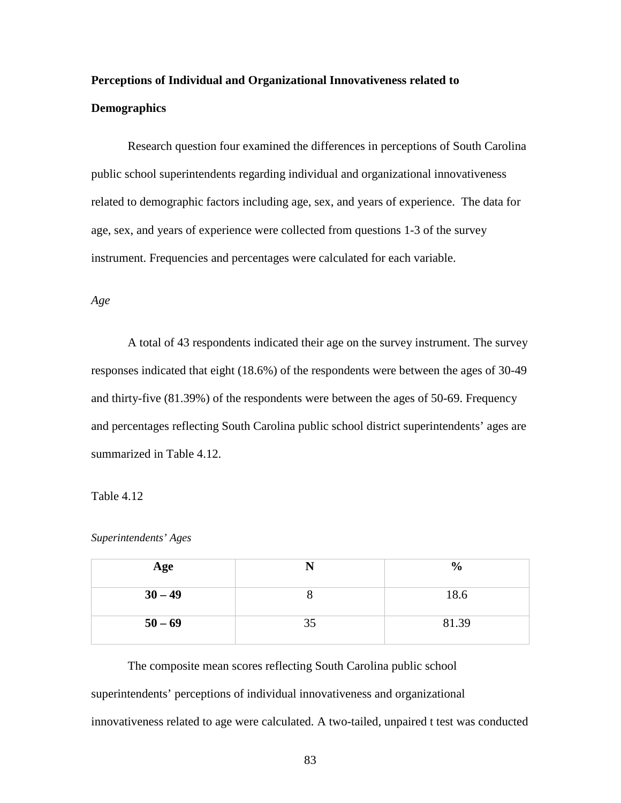# **Perceptions of Individual and Organizational Innovativeness related to Demographics**

Research question four examined the differences in perceptions of South Carolina public school superintendents regarding individual and organizational innovativeness related to demographic factors including age, sex, and years of experience. The data for age, sex, and years of experience were collected from questions 1-3 of the survey instrument. Frequencies and percentages were calculated for each variable.

### *Age*

A total of 43 respondents indicated their age on the survey instrument. The survey responses indicated that eight (18.6%) of the respondents were between the ages of 30-49 and thirty-five (81.39%) of the respondents were between the ages of 50-69. Frequency and percentages reflecting South Carolina public school district superintendents' ages are summarized in Table 4.12.

# Table 4.12

| Superintendents' Ages |  |
|-----------------------|--|
|-----------------------|--|

| Age       |    | $\frac{0}{0}$ |
|-----------|----|---------------|
| $30 - 49$ |    | 18.6          |
| $50 - 69$ | 35 | 81.39         |

The composite mean scores reflecting South Carolina public school superintendents' perceptions of individual innovativeness and organizational innovativeness related to age were calculated. A two-tailed, unpaired t test was conducted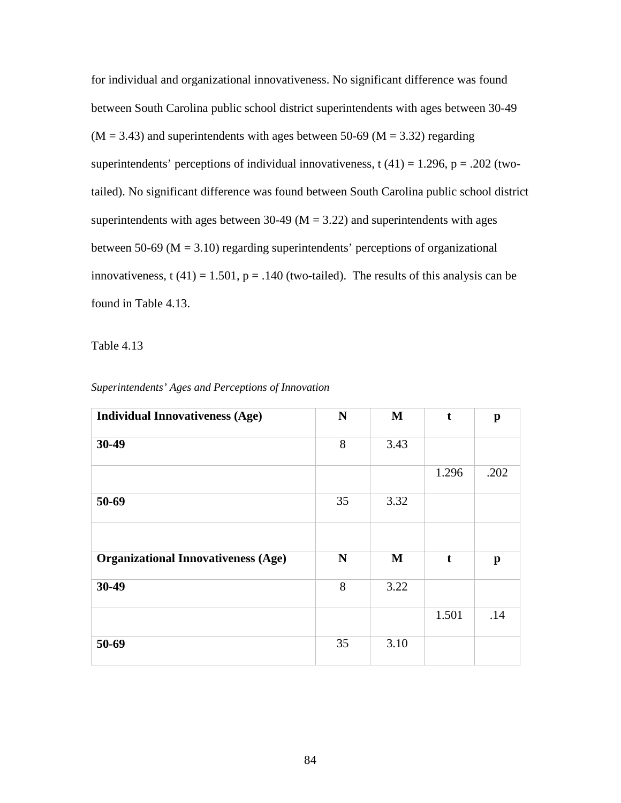for individual and organizational innovativeness. No significant difference was found between South Carolina public school district superintendents with ages between 30-49  $(M = 3.43)$  and superintendents with ages between 50-69 (M = 3.32) regarding superintendents' perceptions of individual innovativeness, t  $(41) = 1.296$ , p = .202 (twotailed). No significant difference was found between South Carolina public school district superintendents with ages between 30-49 ( $M = 3.22$ ) and superintendents with ages between 50-69 ( $M = 3.10$ ) regarding superintendents' perceptions of organizational innovativeness, t (41) = 1.501,  $p = .140$  (two-tailed). The results of this analysis can be found in Table 4.13.

Table 4.13

| <b>Individual Innovativeness (Age)</b>     | ${\bf N}$   | $\mathbf M$ | $\mathbf t$ | $\mathbf{p}$ |
|--------------------------------------------|-------------|-------------|-------------|--------------|
| 30-49                                      | 8           | 3.43        |             |              |
|                                            |             |             | 1.296       | .202         |
| 50-69                                      | 35          | 3.32        |             |              |
|                                            |             |             |             |              |
| <b>Organizational Innovativeness (Age)</b> | $\mathbf N$ | $\mathbf M$ | $\mathbf t$ | $\mathbf{p}$ |
| 30-49                                      | 8           | 3.22        |             |              |
|                                            |             |             | 1.501       | .14          |
| 50-69                                      | 35          | 3.10        |             |              |

*Superintendents' Ages and Perceptions of Innovation*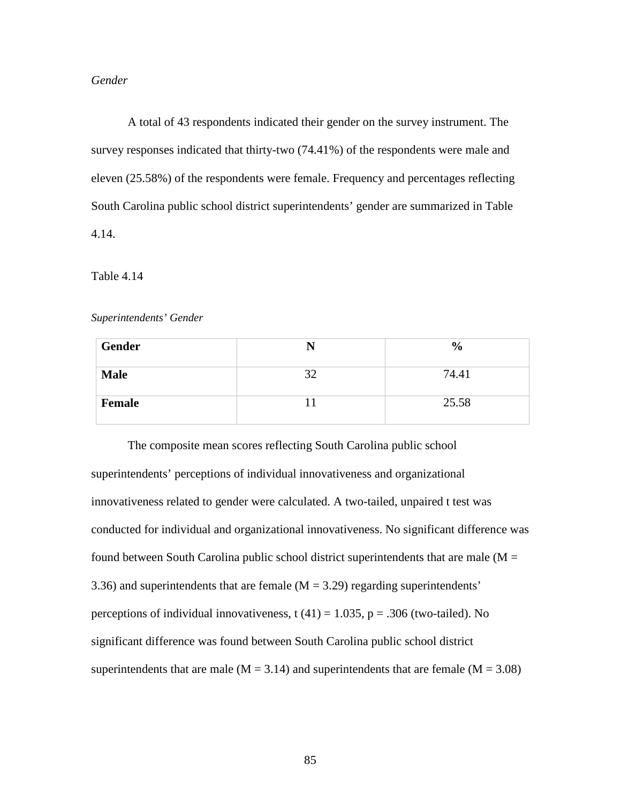# *Gender*

A total of 43 respondents indicated their gender on the survey instrument. The survey responses indicated that thirty-two (74.41%) of the respondents were male and eleven (25.58%) of the respondents were female. Frequency and percentages reflecting South Carolina public school district superintendents' gender are summarized in Table 4.14.

## Table 4.14

## *Superintendents' Gender*

| Gender      | N  | $\frac{6}{6}$ |
|-------------|----|---------------|
| <b>Male</b> | 32 | 74.41         |
| Female      |    | 25.58         |

The composite mean scores reflecting South Carolina public school superintendents' perceptions of individual innovativeness and organizational innovativeness related to gender were calculated. A two-tailed, unpaired t test was conducted for individual and organizational innovativeness. No significant difference was found between South Carolina public school district superintendents that are male ( $M =$ 3.36) and superintendents that are female  $(M = 3.29)$  regarding superintendents' perceptions of individual innovativeness,  $t(41) = 1.035$ ,  $p = .306$  (two-tailed). No significant difference was found between South Carolina public school district superintendents that are male ( $M = 3.14$ ) and superintendents that are female ( $M = 3.08$ )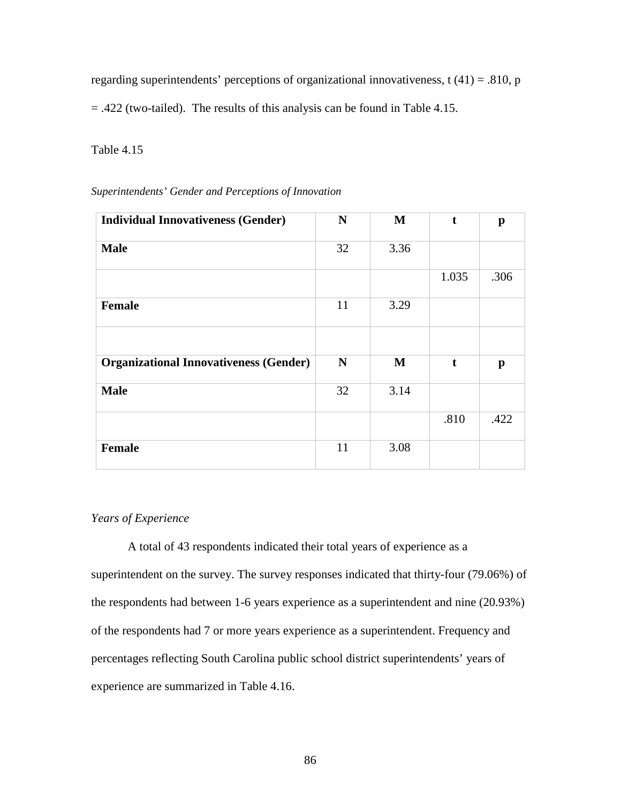regarding superintendents' perceptions of organizational innovativeness,  $t(41) = .810$ , p = .422 (two-tailed). The results of this analysis can be found in Table 4.15.

# Table 4.15

| <b>Individual Innovativeness (Gender)</b>     | N  | M    | t           | $\mathbf{p}$ |
|-----------------------------------------------|----|------|-------------|--------------|
| <b>Male</b>                                   | 32 | 3.36 |             |              |
|                                               |    |      | 1.035       | .306         |
| Female                                        | 11 | 3.29 |             |              |
|                                               |    |      |             |              |
| <b>Organizational Innovativeness (Gender)</b> | N  | M    | $\mathbf t$ | $\mathbf{p}$ |
| <b>Male</b>                                   | 32 | 3.14 |             |              |
|                                               |    |      | .810        | .422         |
| <b>Female</b>                                 | 11 | 3.08 |             |              |

*Superintendents' Gender and Perceptions of Innovation*

# *Years of Experience*

A total of 43 respondents indicated their total years of experience as a superintendent on the survey. The survey responses indicated that thirty-four (79.06%) of the respondents had between 1-6 years experience as a superintendent and nine (20.93%) of the respondents had 7 or more years experience as a superintendent. Frequency and percentages reflecting South Carolina public school district superintendents' years of experience are summarized in Table 4.16.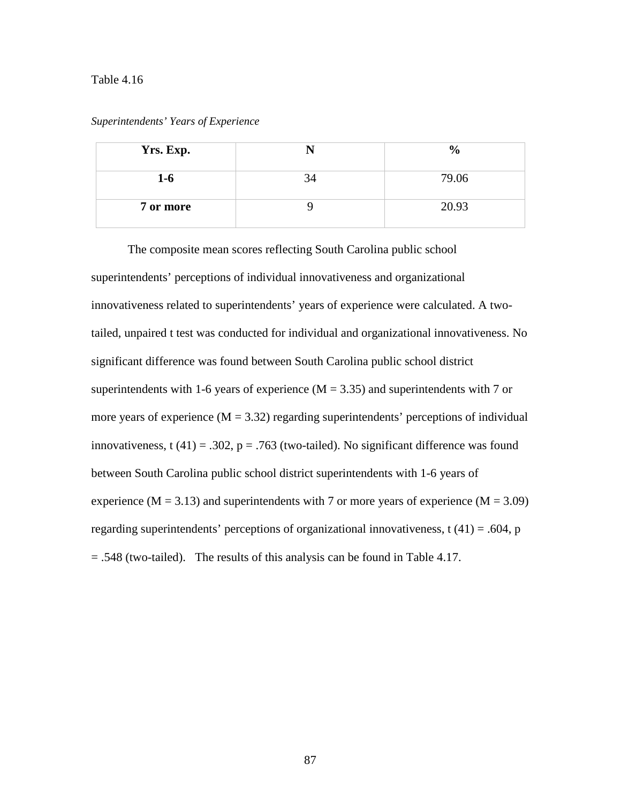#### Table 4.16

| Yrs. Exp. |    | $\frac{6}{9}$ |
|-----------|----|---------------|
| $1-6$     | 34 | 79.06         |
| 7 or more |    | 20.93         |

*Superintendents' Years of Experience* 

The composite mean scores reflecting South Carolina public school superintendents' perceptions of individual innovativeness and organizational innovativeness related to superintendents' years of experience were calculated. A twotailed, unpaired t test was conducted for individual and organizational innovativeness. No significant difference was found between South Carolina public school district superintendents with 1-6 years of experience  $(M = 3.35)$  and superintendents with 7 or more years of experience  $(M = 3.32)$  regarding superintendents' perceptions of individual innovativeness, t (41) = .302,  $p = .763$  (two-tailed). No significant difference was found between South Carolina public school district superintendents with 1-6 years of experience ( $M = 3.13$ ) and superintendents with 7 or more years of experience ( $M = 3.09$ ) regarding superintendents' perceptions of organizational innovativeness,  $t(41) = .604$ , p = .548 (two-tailed). The results of this analysis can be found in Table 4.17.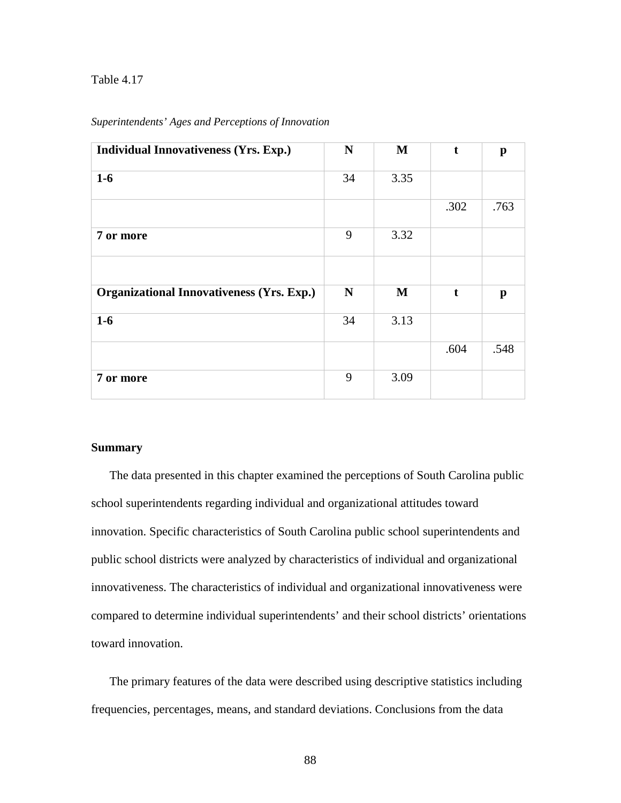# Table 4.17

| <b>Individual Innovativeness (Yrs. Exp.)</b>     | $\mathbf N$ | $\mathbf{M}$ | t    | p            |
|--------------------------------------------------|-------------|--------------|------|--------------|
| $1-6$                                            | 34          | 3.35         |      |              |
|                                                  |             |              | .302 | .763         |
| 7 or more                                        | 9           | 3.32         |      |              |
|                                                  |             |              |      |              |
| <b>Organizational Innovativeness (Yrs. Exp.)</b> | N           | $\mathbf M$  | t    | $\mathbf{p}$ |
| $1-6$                                            | 34          | 3.13         |      |              |
|                                                  |             |              | .604 | .548         |
| 7 or more                                        | 9           | 3.09         |      |              |

## *Superintendents' Ages and Perceptions of Innovation*

#### **Summary**

The data presented in this chapter examined the perceptions of South Carolina public school superintendents regarding individual and organizational attitudes toward innovation. Specific characteristics of South Carolina public school superintendents and public school districts were analyzed by characteristics of individual and organizational innovativeness. The characteristics of individual and organizational innovativeness were compared to determine individual superintendents' and their school districts' orientations toward innovation.

The primary features of the data were described using descriptive statistics including frequencies, percentages, means, and standard deviations. Conclusions from the data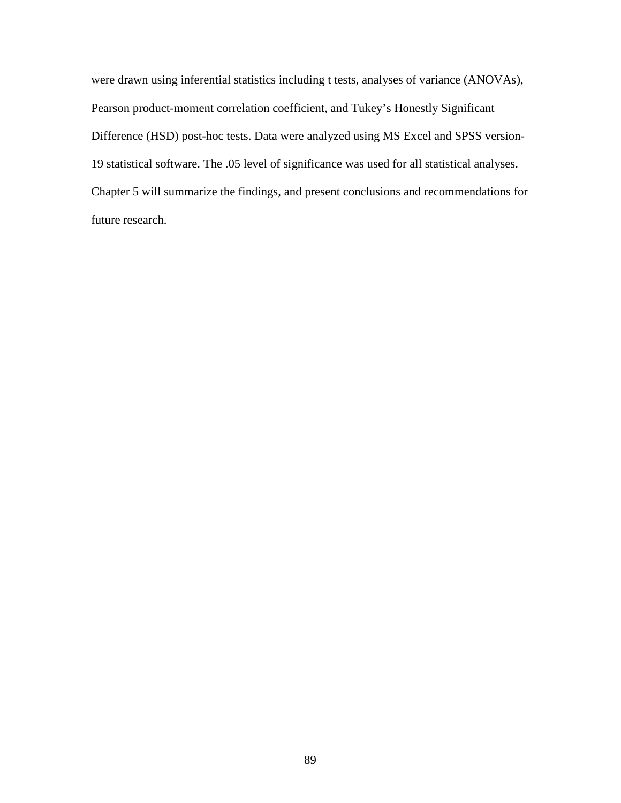were drawn using inferential statistics including t tests, analyses of variance (ANOVAs), Pearson product-moment correlation coefficient, and Tukey's Honestly Significant Difference (HSD) post-hoc tests. Data were analyzed using MS Excel and SPSS version-19 statistical software. The .05 level of significance was used for all statistical analyses. Chapter 5 will summarize the findings, and present conclusions and recommendations for future research.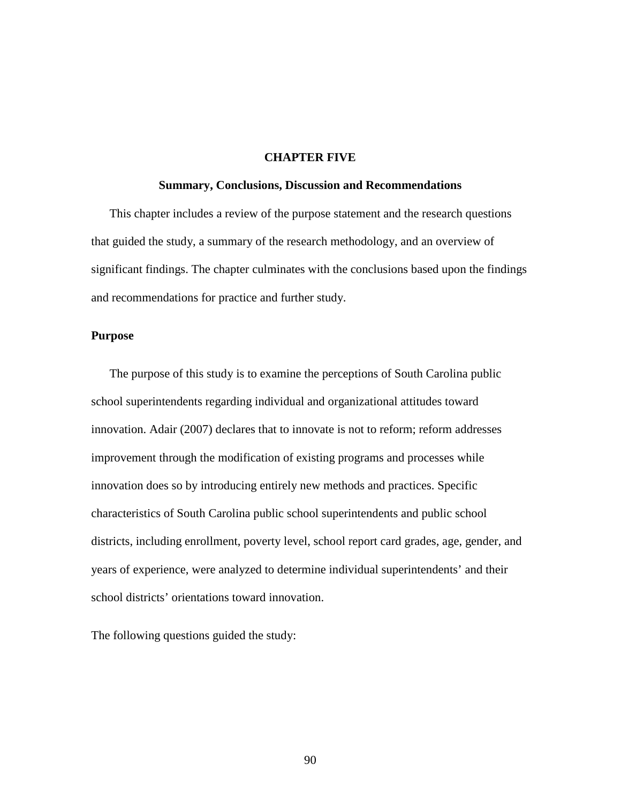# **CHAPTER FIVE**

#### **Summary, Conclusions, Discussion and Recommendations**

This chapter includes a review of the purpose statement and the research questions that guided the study, a summary of the research methodology, and an overview of significant findings. The chapter culminates with the conclusions based upon the findings and recommendations for practice and further study.

# **Purpose**

The purpose of this study is to examine the perceptions of South Carolina public school superintendents regarding individual and organizational attitudes toward innovation. Adair (2007) declares that to innovate is not to reform; reform addresses improvement through the modification of existing programs and processes while innovation does so by introducing entirely new methods and practices. Specific characteristics of South Carolina public school superintendents and public school districts, including enrollment, poverty level, school report card grades, age, gender, and years of experience, were analyzed to determine individual superintendents' and their school districts' orientations toward innovation.

The following questions guided the study: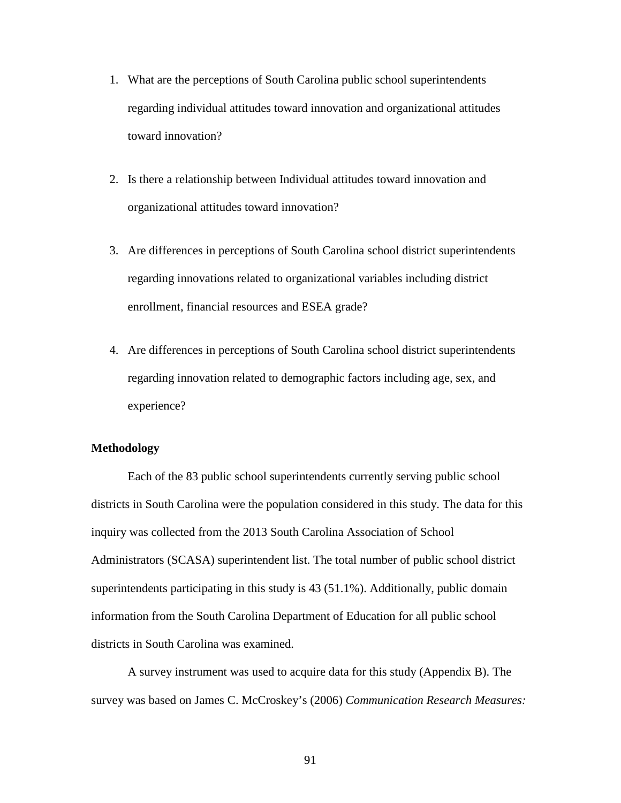- 1. What are the perceptions of South Carolina public school superintendents regarding individual attitudes toward innovation and organizational attitudes toward innovation?
- 2. Is there a relationship between Individual attitudes toward innovation and organizational attitudes toward innovation?
- 3. Are differences in perceptions of South Carolina school district superintendents regarding innovations related to organizational variables including district enrollment, financial resources and ESEA grade?
- 4. Are differences in perceptions of South Carolina school district superintendents regarding innovation related to demographic factors including age, sex, and experience?

# **Methodology**

Each of the 83 public school superintendents currently serving public school districts in South Carolina were the population considered in this study. The data for this inquiry was collected from the 2013 South Carolina Association of School Administrators (SCASA) superintendent list. The total number of public school district superintendents participating in this study is 43 (51.1%). Additionally, public domain information from the South Carolina Department of Education for all public school districts in South Carolina was examined.

A survey instrument was used to acquire data for this study (Appendix B). The survey was based on James C. McCroskey's (2006) *Communication Research Measures:* 

91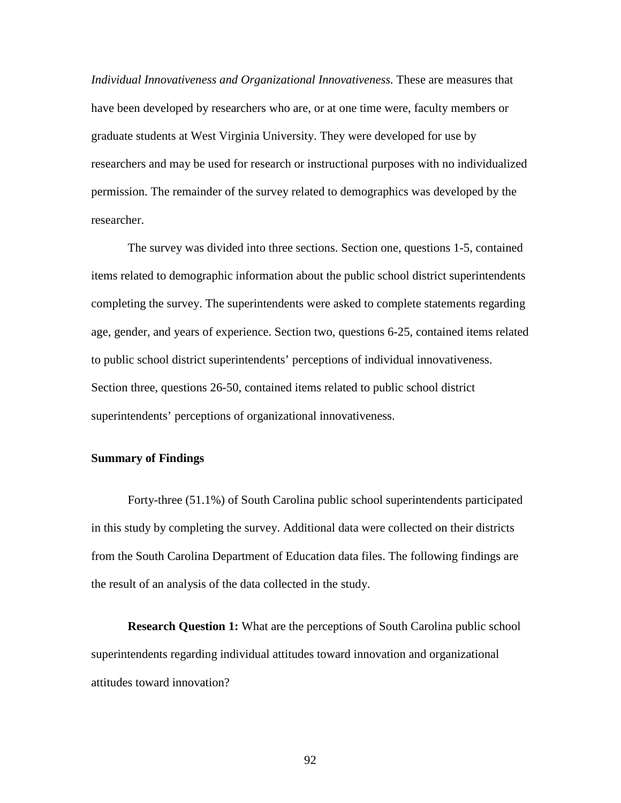*Individual Innovativeness and Organizational Innovativeness.* These are measures that have been developed by researchers who are, or at one time were, faculty members or graduate students at West Virginia University. They were developed for use by researchers and may be used for research or instructional purposes with no individualized permission. The remainder of the survey related to demographics was developed by the researcher.

The survey was divided into three sections. Section one, questions 1-5, contained items related to demographic information about the public school district superintendents completing the survey. The superintendents were asked to complete statements regarding age, gender, and years of experience. Section two, questions 6-25, contained items related to public school district superintendents' perceptions of individual innovativeness. Section three, questions 26-50, contained items related to public school district superintendents' perceptions of organizational innovativeness.

# **Summary of Findings**

Forty-three (51.1%) of South Carolina public school superintendents participated in this study by completing the survey. Additional data were collected on their districts from the South Carolina Department of Education data files. The following findings are the result of an analysis of the data collected in the study.

**Research Question 1:** What are the perceptions of South Carolina public school superintendents regarding individual attitudes toward innovation and organizational attitudes toward innovation?

92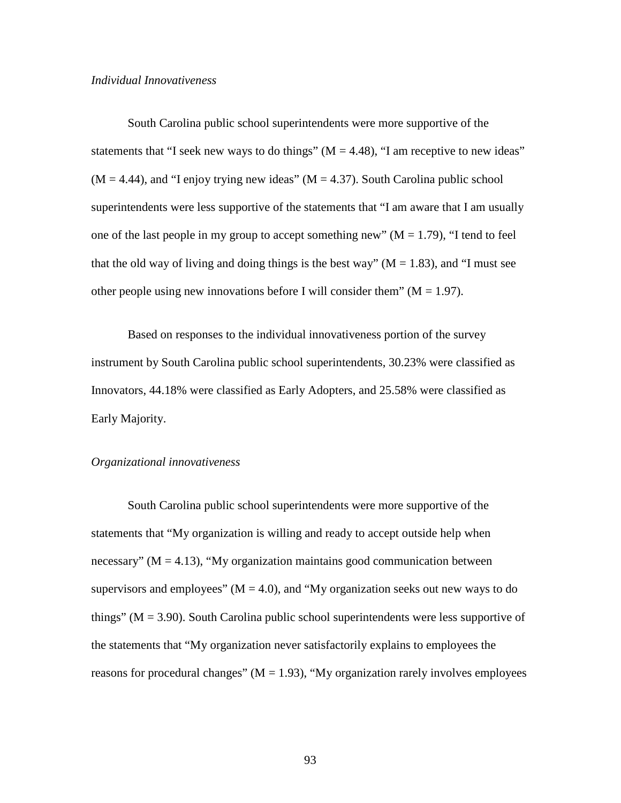## *Individual Innovativeness*

South Carolina public school superintendents were more supportive of the statements that "I seek new ways to do things"  $(M = 4.48)$ , "I am receptive to new ideas"  $(M = 4.44)$ , and "I enjoy trying new ideas"  $(M = 4.37)$ . South Carolina public school superintendents were less supportive of the statements that "I am aware that I am usually one of the last people in my group to accept something new"  $(M = 1.79)$ , "I tend to feel that the old way of living and doing things is the best way" ( $M = 1.83$ ), and "I must see other people using new innovations before I will consider them"  $(M = 1.97)$ .

Based on responses to the individual innovativeness portion of the survey instrument by South Carolina public school superintendents, 30.23% were classified as Innovators, 44.18% were classified as Early Adopters, and 25.58% were classified as Early Majority.

# *Organizational innovativeness*

South Carolina public school superintendents were more supportive of the statements that "My organization is willing and ready to accept outside help when necessary" ( $M = 4.13$ ), "My organization maintains good communication between supervisors and employees"  $(M = 4.0)$ , and "My organization seeks out new ways to do things" ( $M = 3.90$ ). South Carolina public school superintendents were less supportive of the statements that "My organization never satisfactorily explains to employees the reasons for procedural changes" ( $M = 1.93$ ), "My organization rarely involves employees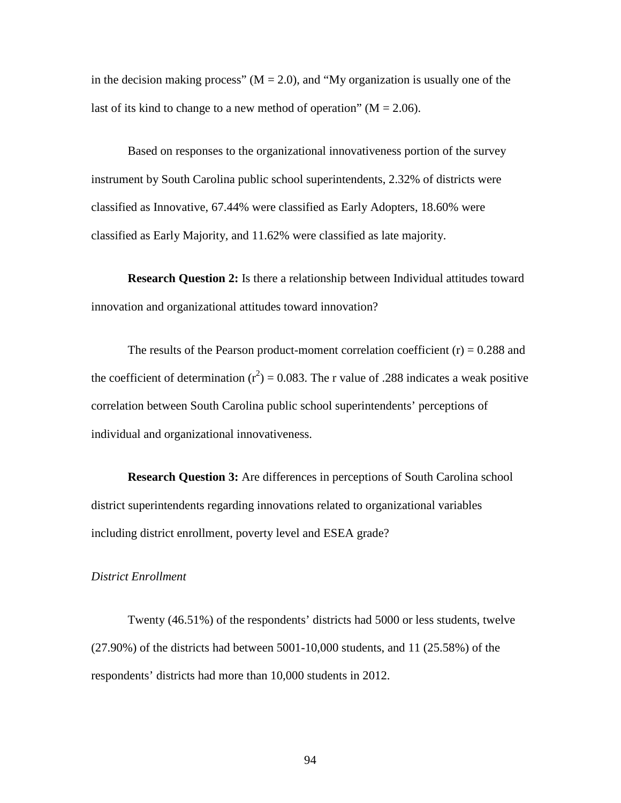in the decision making process" ( $M = 2.0$ ), and "My organization is usually one of the last of its kind to change to a new method of operation" ( $M = 2.06$ ).

Based on responses to the organizational innovativeness portion of the survey instrument by South Carolina public school superintendents, 2.32% of districts were classified as Innovative, 67.44% were classified as Early Adopters, 18.60% were classified as Early Majority, and 11.62% were classified as late majority.

**Research Question 2:** Is there a relationship between Individual attitudes toward innovation and organizational attitudes toward innovation?

The results of the Pearson product-moment correlation coefficient  $(r) = 0.288$  and the coefficient of determination  $(r^2) = 0.083$ . The r value of .288 indicates a weak positive correlation between South Carolina public school superintendents' perceptions of individual and organizational innovativeness.

**Research Question 3:** Are differences in perceptions of South Carolina school district superintendents regarding innovations related to organizational variables including district enrollment, poverty level and ESEA grade?

## *District Enrollment*

Twenty (46.51%) of the respondents' districts had 5000 or less students, twelve (27.90%) of the districts had between 5001-10,000 students, and 11 (25.58%) of the respondents' districts had more than 10,000 students in 2012.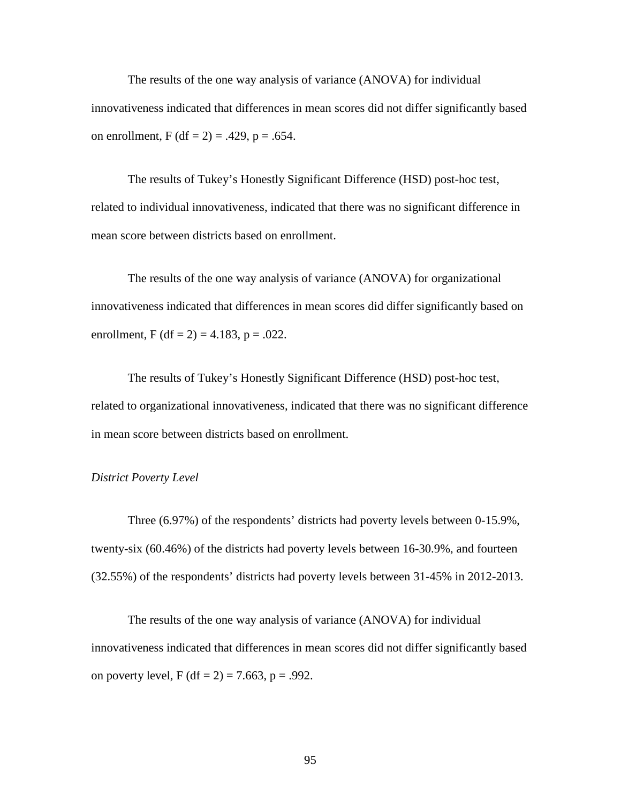The results of the one way analysis of variance (ANOVA) for individual innovativeness indicated that differences in mean scores did not differ significantly based on enrollment, F (df = 2) = .429, p = .654.

The results of Tukey's Honestly Significant Difference (HSD) post-hoc test, related to individual innovativeness, indicated that there was no significant difference in mean score between districts based on enrollment.

The results of the one way analysis of variance (ANOVA) for organizational innovativeness indicated that differences in mean scores did differ significantly based on enrollment, F (df = 2) = 4.183, p = .022.

The results of Tukey's Honestly Significant Difference (HSD) post-hoc test, related to organizational innovativeness, indicated that there was no significant difference in mean score between districts based on enrollment.

## *District Poverty Level*

Three (6.97%) of the respondents' districts had poverty levels between 0-15.9%, twenty-six (60.46%) of the districts had poverty levels between 16-30.9%, and fourteen (32.55%) of the respondents' districts had poverty levels between 31-45% in 2012-2013.

The results of the one way analysis of variance (ANOVA) for individual innovativeness indicated that differences in mean scores did not differ significantly based on poverty level, F (df = 2) = 7.663, p = .992.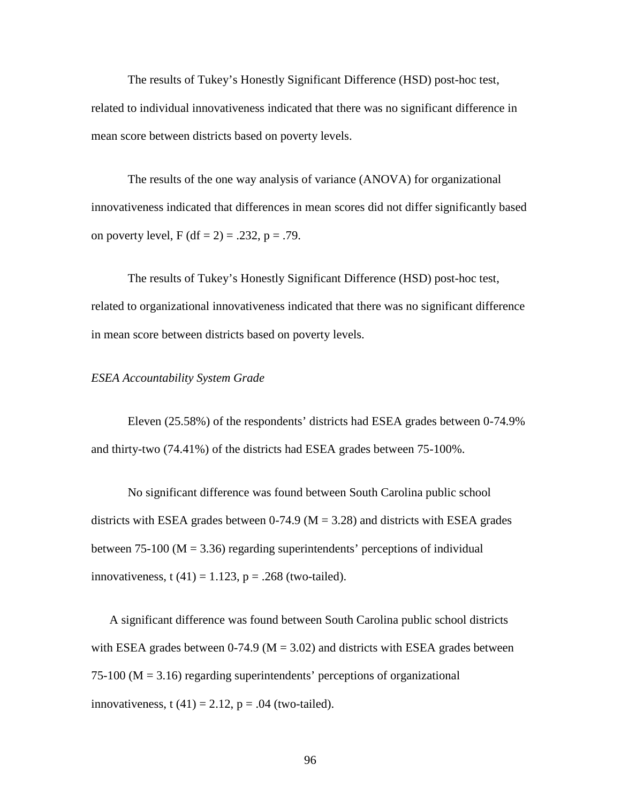The results of Tukey's Honestly Significant Difference (HSD) post-hoc test, related to individual innovativeness indicated that there was no significant difference in mean score between districts based on poverty levels.

The results of the one way analysis of variance (ANOVA) for organizational innovativeness indicated that differences in mean scores did not differ significantly based on poverty level,  $F (df = 2) = .232$ ,  $p = .79$ .

The results of Tukey's Honestly Significant Difference (HSD) post-hoc test, related to organizational innovativeness indicated that there was no significant difference in mean score between districts based on poverty levels.

#### *ESEA Accountability System Grade*

Eleven (25.58%) of the respondents' districts had ESEA grades between 0-74.9% and thirty-two (74.41%) of the districts had ESEA grades between 75-100%.

No significant difference was found between South Carolina public school districts with ESEA grades between  $0-74.9$  (M = 3.28) and districts with ESEA grades between 75-100 ( $M = 3.36$ ) regarding superintendents' perceptions of individual innovativeness, t  $(41) = 1.123$ ,  $p = .268$  (two-tailed).

A significant difference was found between South Carolina public school districts with ESEA grades between 0-74.9 ( $M = 3.02$ ) and districts with ESEA grades between  $75-100$  (M = 3.16) regarding superintendents' perceptions of organizational innovativeness, t  $(41) = 2.12$ ,  $p = .04$  (two-tailed).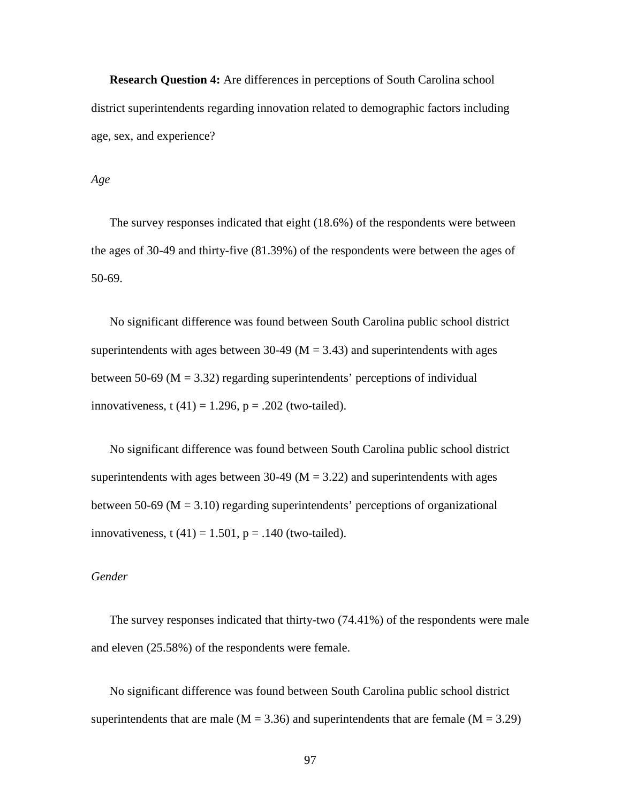**Research Question 4:** Are differences in perceptions of South Carolina school district superintendents regarding innovation related to demographic factors including age, sex, and experience?

## *Age*

The survey responses indicated that eight (18.6%) of the respondents were between the ages of 30-49 and thirty-five (81.39%) of the respondents were between the ages of 50-69.

No significant difference was found between South Carolina public school district superintendents with ages between 30-49 ( $M = 3.43$ ) and superintendents with ages between 50-69 ( $M = 3.32$ ) regarding superintendents' perceptions of individual innovativeness, t  $(41) = 1.296$ ,  $p = .202$  (two-tailed).

No significant difference was found between South Carolina public school district superintendents with ages between 30-49 ( $M = 3.22$ ) and superintendents with ages between 50-69 ( $M = 3.10$ ) regarding superintendents' perceptions of organizational innovativeness, t  $(41) = 1.501$ ,  $p = .140$  (two-tailed).

## *Gender*

The survey responses indicated that thirty-two (74.41%) of the respondents were male and eleven (25.58%) of the respondents were female.

No significant difference was found between South Carolina public school district superintendents that are male ( $M = 3.36$ ) and superintendents that are female ( $M = 3.29$ )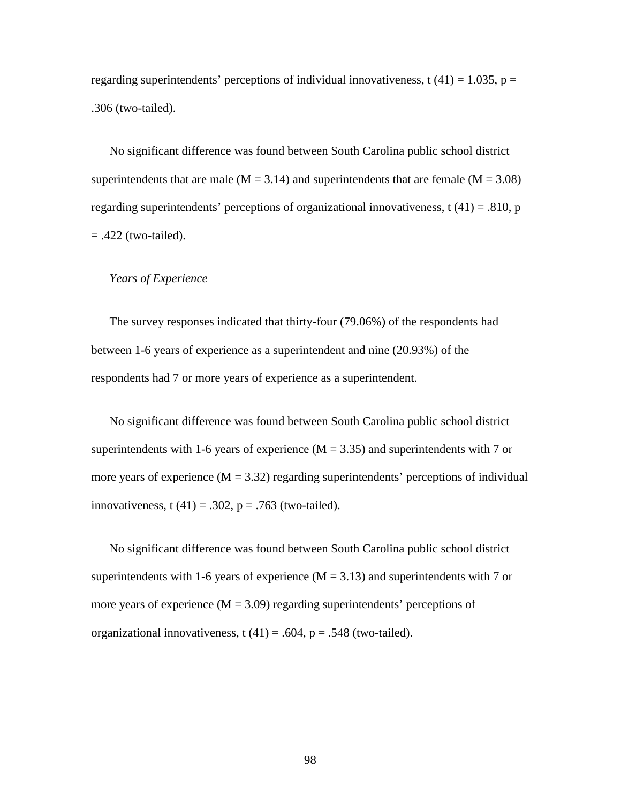regarding superintendents' perceptions of individual innovativeness, t  $(41) = 1.035$ , p = .306 (two-tailed).

No significant difference was found between South Carolina public school district superintendents that are male ( $M = 3.14$ ) and superintendents that are female ( $M = 3.08$ ) regarding superintendents' perceptions of organizational innovativeness,  $t(41) = .810$ , p  $= .422$  (two-tailed).

#### *Years of Experience*

The survey responses indicated that thirty-four (79.06%) of the respondents had between 1-6 years of experience as a superintendent and nine (20.93%) of the respondents had 7 or more years of experience as a superintendent.

No significant difference was found between South Carolina public school district superintendents with 1-6 years of experience  $(M = 3.35)$  and superintendents with 7 or more years of experience  $(M = 3.32)$  regarding superintendents' perceptions of individual innovativeness, t  $(41) = .302$ ,  $p = .763$  (two-tailed).

No significant difference was found between South Carolina public school district superintendents with 1-6 years of experience  $(M = 3.13)$  and superintendents with 7 or more years of experience  $(M = 3.09)$  regarding superintendents' perceptions of organizational innovativeness,  $t(41) = .604$ ,  $p = .548$  (two-tailed).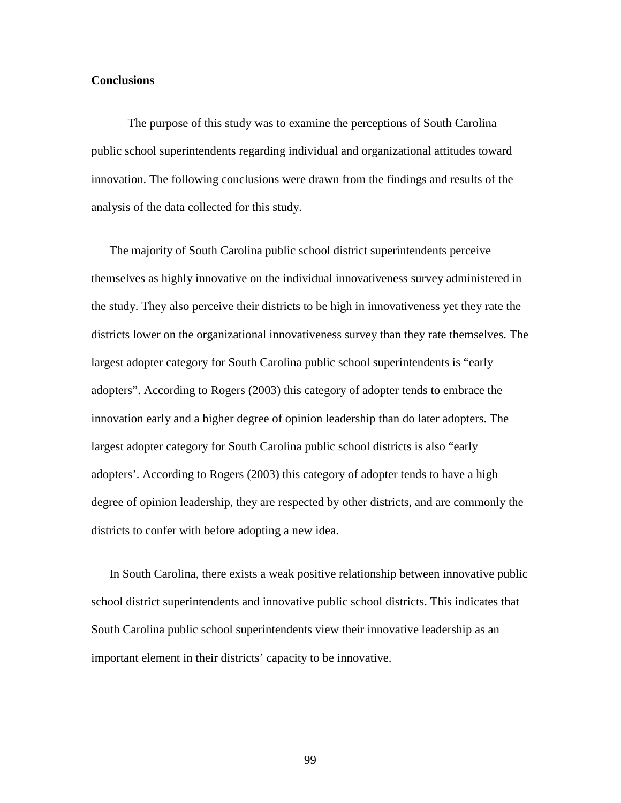#### **Conclusions**

The purpose of this study was to examine the perceptions of South Carolina public school superintendents regarding individual and organizational attitudes toward innovation. The following conclusions were drawn from the findings and results of the analysis of the data collected for this study.

The majority of South Carolina public school district superintendents perceive themselves as highly innovative on the individual innovativeness survey administered in the study. They also perceive their districts to be high in innovativeness yet they rate the districts lower on the organizational innovativeness survey than they rate themselves. The largest adopter category for South Carolina public school superintendents is "early adopters". According to Rogers (2003) this category of adopter tends to embrace the innovation early and a higher degree of opinion leadership than do later adopters. The largest adopter category for South Carolina public school districts is also "early adopters'. According to Rogers (2003) this category of adopter tends to have a high degree of opinion leadership, they are respected by other districts, and are commonly the districts to confer with before adopting a new idea.

In South Carolina, there exists a weak positive relationship between innovative public school district superintendents and innovative public school districts. This indicates that South Carolina public school superintendents view their innovative leadership as an important element in their districts' capacity to be innovative.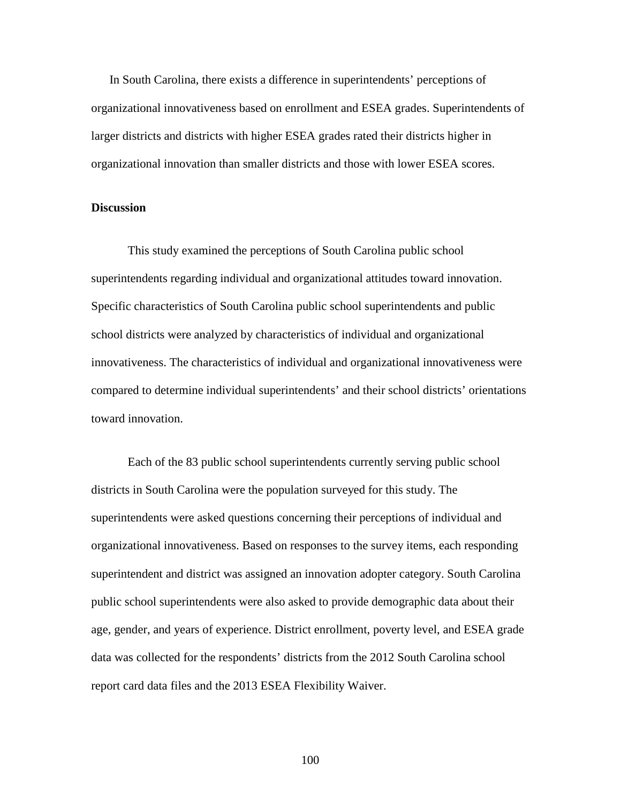In South Carolina, there exists a difference in superintendents' perceptions of organizational innovativeness based on enrollment and ESEA grades. Superintendents of larger districts and districts with higher ESEA grades rated their districts higher in organizational innovation than smaller districts and those with lower ESEA scores.

#### **Discussion**

 This study examined the perceptions of South Carolina public school superintendents regarding individual and organizational attitudes toward innovation. Specific characteristics of South Carolina public school superintendents and public school districts were analyzed by characteristics of individual and organizational innovativeness. The characteristics of individual and organizational innovativeness were compared to determine individual superintendents' and their school districts' orientations toward innovation.

 Each of the 83 public school superintendents currently serving public school districts in South Carolina were the population surveyed for this study. The superintendents were asked questions concerning their perceptions of individual and organizational innovativeness. Based on responses to the survey items, each responding superintendent and district was assigned an innovation adopter category. South Carolina public school superintendents were also asked to provide demographic data about their age, gender, and years of experience. District enrollment, poverty level, and ESEA grade data was collected for the respondents' districts from the 2012 South Carolina school report card data files and the 2013 ESEA Flexibility Waiver.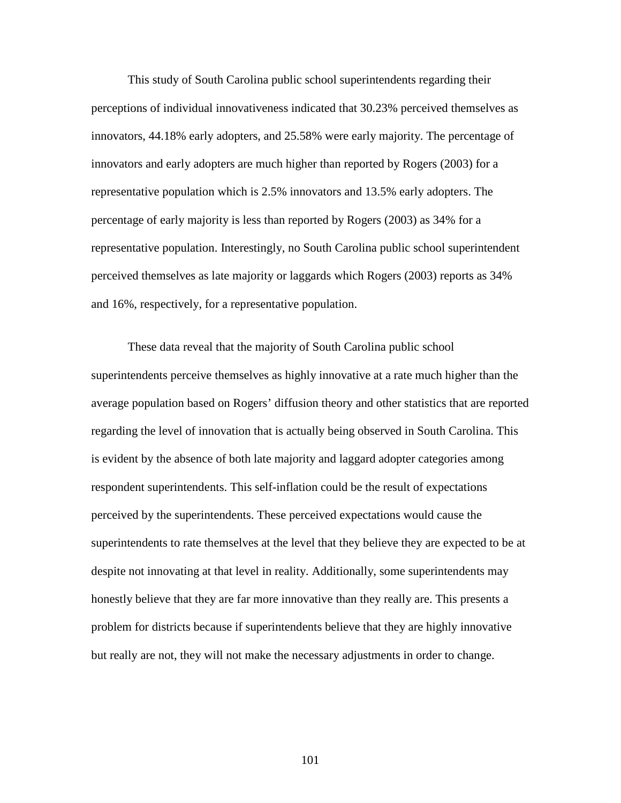This study of South Carolina public school superintendents regarding their perceptions of individual innovativeness indicated that 30.23% perceived themselves as innovators, 44.18% early adopters, and 25.58% were early majority. The percentage of innovators and early adopters are much higher than reported by Rogers (2003) for a representative population which is 2.5% innovators and 13.5% early adopters. The percentage of early majority is less than reported by Rogers (2003) as 34% for a representative population. Interestingly, no South Carolina public school superintendent perceived themselves as late majority or laggards which Rogers (2003) reports as 34% and 16%, respectively, for a representative population.

These data reveal that the majority of South Carolina public school superintendents perceive themselves as highly innovative at a rate much higher than the average population based on Rogers' diffusion theory and other statistics that are reported regarding the level of innovation that is actually being observed in South Carolina. This is evident by the absence of both late majority and laggard adopter categories among respondent superintendents. This self-inflation could be the result of expectations perceived by the superintendents. These perceived expectations would cause the superintendents to rate themselves at the level that they believe they are expected to be at despite not innovating at that level in reality. Additionally, some superintendents may honestly believe that they are far more innovative than they really are. This presents a problem for districts because if superintendents believe that they are highly innovative but really are not, they will not make the necessary adjustments in order to change.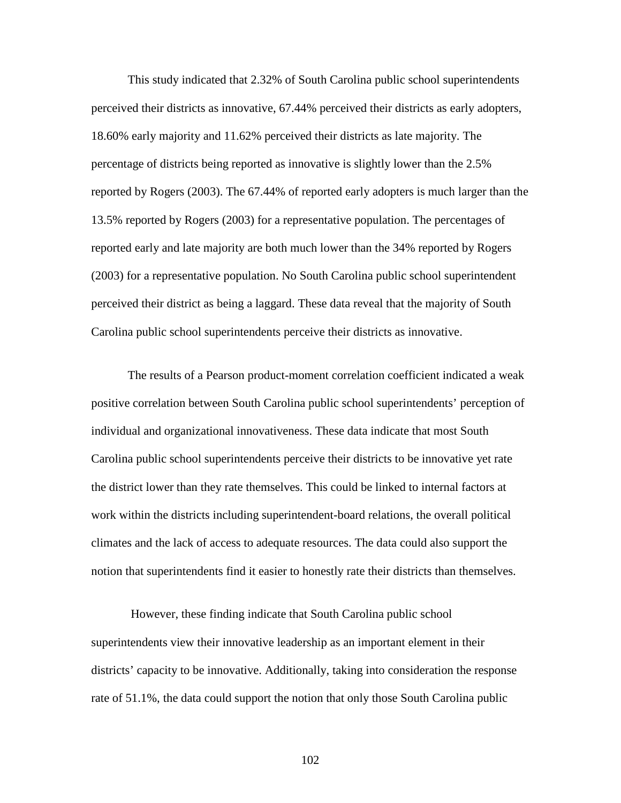This study indicated that 2.32% of South Carolina public school superintendents perceived their districts as innovative, 67.44% perceived their districts as early adopters, 18.60% early majority and 11.62% perceived their districts as late majority. The percentage of districts being reported as innovative is slightly lower than the 2.5% reported by Rogers (2003). The 67.44% of reported early adopters is much larger than the 13.5% reported by Rogers (2003) for a representative population. The percentages of reported early and late majority are both much lower than the 34% reported by Rogers (2003) for a representative population. No South Carolina public school superintendent perceived their district as being a laggard. These data reveal that the majority of South Carolina public school superintendents perceive their districts as innovative.

The results of a Pearson product-moment correlation coefficient indicated a weak positive correlation between South Carolina public school superintendents' perception of individual and organizational innovativeness. These data indicate that most South Carolina public school superintendents perceive their districts to be innovative yet rate the district lower than they rate themselves. This could be linked to internal factors at work within the districts including superintendent-board relations, the overall political climates and the lack of access to adequate resources. The data could also support the notion that superintendents find it easier to honestly rate their districts than themselves.

 However, these finding indicate that South Carolina public school superintendents view their innovative leadership as an important element in their districts' capacity to be innovative. Additionally, taking into consideration the response rate of 51.1%, the data could support the notion that only those South Carolina public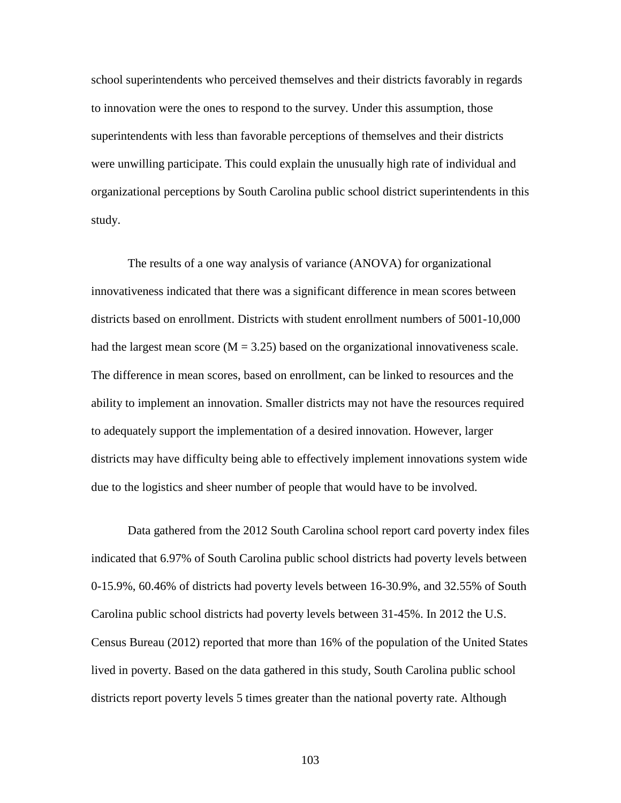school superintendents who perceived themselves and their districts favorably in regards to innovation were the ones to respond to the survey. Under this assumption, those superintendents with less than favorable perceptions of themselves and their districts were unwilling participate. This could explain the unusually high rate of individual and organizational perceptions by South Carolina public school district superintendents in this study.

 The results of a one way analysis of variance (ANOVA) for organizational innovativeness indicated that there was a significant difference in mean scores between districts based on enrollment. Districts with student enrollment numbers of 5001-10,000 had the largest mean score  $(M = 3.25)$  based on the organizational innovativeness scale. The difference in mean scores, based on enrollment, can be linked to resources and the ability to implement an innovation. Smaller districts may not have the resources required to adequately support the implementation of a desired innovation. However, larger districts may have difficulty being able to effectively implement innovations system wide due to the logistics and sheer number of people that would have to be involved.

Data gathered from the 2012 South Carolina school report card poverty index files indicated that 6.97% of South Carolina public school districts had poverty levels between 0-15.9%, 60.46% of districts had poverty levels between 16-30.9%, and 32.55% of South Carolina public school districts had poverty levels between 31-45%. In 2012 the U.S. Census Bureau (2012) reported that more than 16% of the population of the United States lived in poverty. Based on the data gathered in this study, South Carolina public school districts report poverty levels 5 times greater than the national poverty rate. Although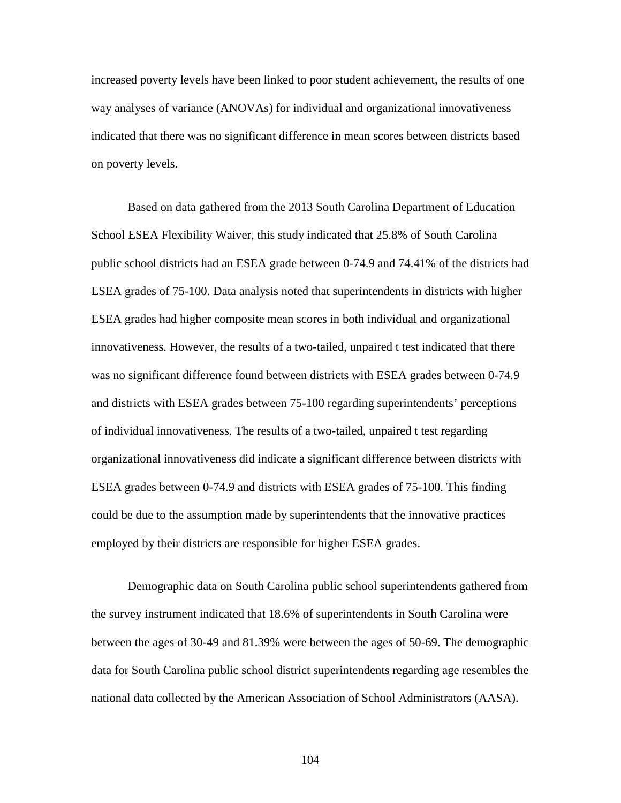increased poverty levels have been linked to poor student achievement, the results of one way analyses of variance (ANOVAs) for individual and organizational innovativeness indicated that there was no significant difference in mean scores between districts based on poverty levels.

 Based on data gathered from the 2013 South Carolina Department of Education School ESEA Flexibility Waiver, this study indicated that 25.8% of South Carolina public school districts had an ESEA grade between 0-74.9 and 74.41% of the districts had ESEA grades of 75-100. Data analysis noted that superintendents in districts with higher ESEA grades had higher composite mean scores in both individual and organizational innovativeness. However, the results of a two-tailed, unpaired t test indicated that there was no significant difference found between districts with ESEA grades between 0-74.9 and districts with ESEA grades between 75-100 regarding superintendents' perceptions of individual innovativeness. The results of a two-tailed, unpaired t test regarding organizational innovativeness did indicate a significant difference between districts with ESEA grades between 0-74.9 and districts with ESEA grades of 75-100. This finding could be due to the assumption made by superintendents that the innovative practices employed by their districts are responsible for higher ESEA grades.

 Demographic data on South Carolina public school superintendents gathered from the survey instrument indicated that 18.6% of superintendents in South Carolina were between the ages of 30-49 and 81.39% were between the ages of 50-69. The demographic data for South Carolina public school district superintendents regarding age resembles the national data collected by the American Association of School Administrators (AASA).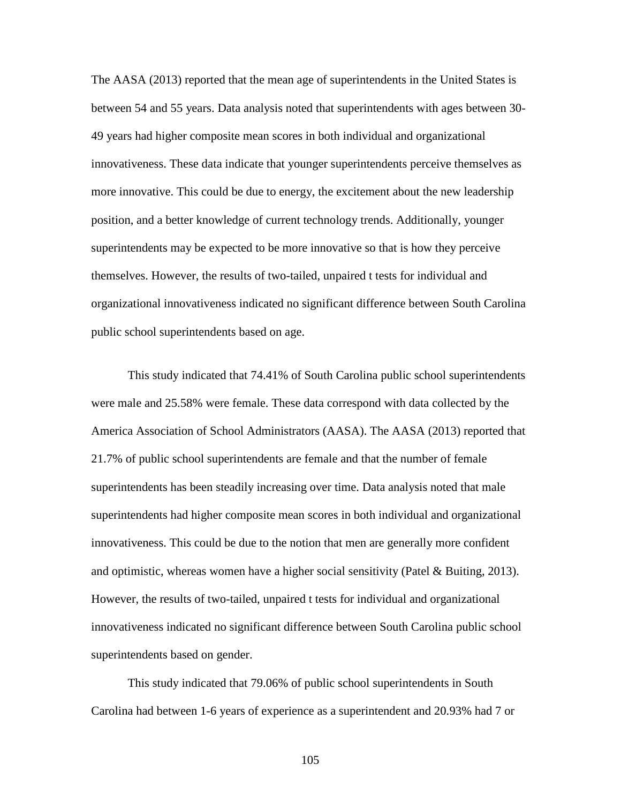The AASA (2013) reported that the mean age of superintendents in the United States is between 54 and 55 years. Data analysis noted that superintendents with ages between 30- 49 years had higher composite mean scores in both individual and organizational innovativeness. These data indicate that younger superintendents perceive themselves as more innovative. This could be due to energy, the excitement about the new leadership position, and a better knowledge of current technology trends. Additionally, younger superintendents may be expected to be more innovative so that is how they perceive themselves. However, the results of two-tailed, unpaired t tests for individual and organizational innovativeness indicated no significant difference between South Carolina public school superintendents based on age.

This study indicated that 74.41% of South Carolina public school superintendents were male and 25.58% were female. These data correspond with data collected by the America Association of School Administrators (AASA). The AASA (2013) reported that 21.7% of public school superintendents are female and that the number of female superintendents has been steadily increasing over time. Data analysis noted that male superintendents had higher composite mean scores in both individual and organizational innovativeness. This could be due to the notion that men are generally more confident and optimistic, whereas women have a higher social sensitivity (Patel & Buiting, 2013). However, the results of two-tailed, unpaired t tests for individual and organizational innovativeness indicated no significant difference between South Carolina public school superintendents based on gender.

 This study indicated that 79.06% of public school superintendents in South Carolina had between 1-6 years of experience as a superintendent and 20.93% had 7 or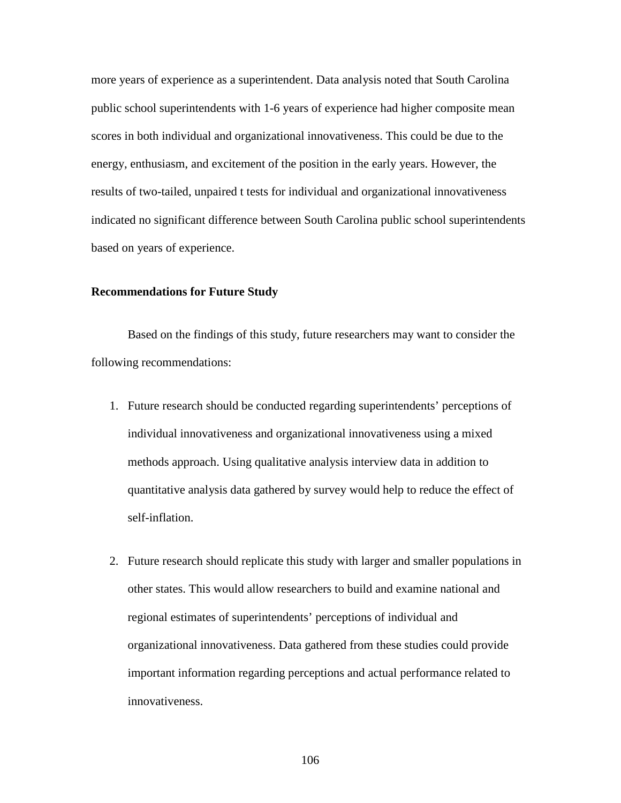more years of experience as a superintendent. Data analysis noted that South Carolina public school superintendents with 1-6 years of experience had higher composite mean scores in both individual and organizational innovativeness. This could be due to the energy, enthusiasm, and excitement of the position in the early years. However, the results of two-tailed, unpaired t tests for individual and organizational innovativeness indicated no significant difference between South Carolina public school superintendents based on years of experience.

#### **Recommendations for Future Study**

 Based on the findings of this study, future researchers may want to consider the following recommendations:

- 1. Future research should be conducted regarding superintendents' perceptions of individual innovativeness and organizational innovativeness using a mixed methods approach. Using qualitative analysis interview data in addition to quantitative analysis data gathered by survey would help to reduce the effect of self-inflation.
- 2. Future research should replicate this study with larger and smaller populations in other states. This would allow researchers to build and examine national and regional estimates of superintendents' perceptions of individual and organizational innovativeness. Data gathered from these studies could provide important information regarding perceptions and actual performance related to innovativeness.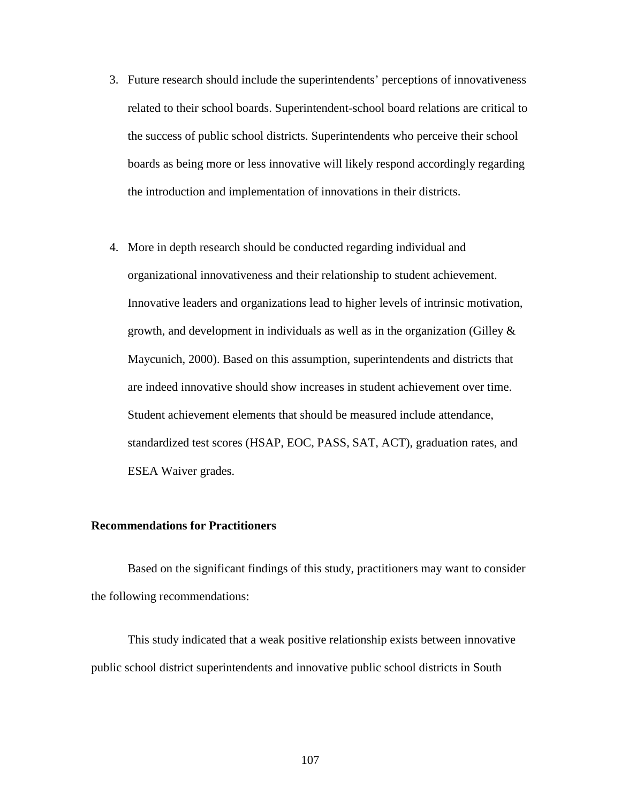- 3. Future research should include the superintendents' perceptions of innovativeness related to their school boards. Superintendent-school board relations are critical to the success of public school districts. Superintendents who perceive their school boards as being more or less innovative will likely respond accordingly regarding the introduction and implementation of innovations in their districts.
- 4. More in depth research should be conducted regarding individual and organizational innovativeness and their relationship to student achievement. Innovative leaders and organizations lead to higher levels of intrinsic motivation, growth, and development in individuals as well as in the organization (Gilley  $\&$ Maycunich, 2000). Based on this assumption, superintendents and districts that are indeed innovative should show increases in student achievement over time. Student achievement elements that should be measured include attendance, standardized test scores (HSAP, EOC, PASS, SAT, ACT), graduation rates, and ESEA Waiver grades.

#### **Recommendations for Practitioners**

Based on the significant findings of this study, practitioners may want to consider the following recommendations:

This study indicated that a weak positive relationship exists between innovative public school district superintendents and innovative public school districts in South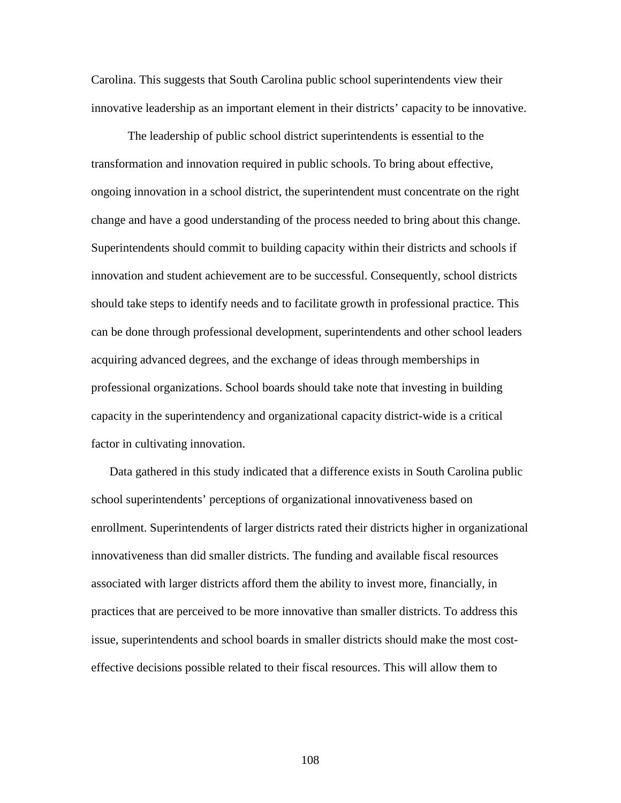Carolina. This suggests that South Carolina public school superintendents view their innovative leadership as an important element in their districts' capacity to be innovative.

The leadership of public school district superintendents is essential to the transformation and innovation required in public schools. To bring about effective, ongoing innovation in a school district, the superintendent must concentrate on the right change and have a good understanding of the process needed to bring about this change. Superintendents should commit to building capacity within their districts and schools if innovation and student achievement are to be successful. Consequently, school districts should take steps to identify needs and to facilitate growth in professional practice. This can be done through professional development, superintendents and other school leaders acquiring advanced degrees, and the exchange of ideas through memberships in professional organizations. School boards should take note that investing in building capacity in the superintendency and organizational capacity district-wide is a critical factor in cultivating innovation.

Data gathered in this study indicated that a difference exists in South Carolina public school superintendents' perceptions of organizational innovativeness based on enrollment. Superintendents of larger districts rated their districts higher in organizational innovativeness than did smaller districts. The funding and available fiscal resources associated with larger districts afford them the ability to invest more, financially, in practices that are perceived to be more innovative than smaller districts. To address this issue, superintendents and school boards in smaller districts should make the most costeffective decisions possible related to their fiscal resources. This will allow them to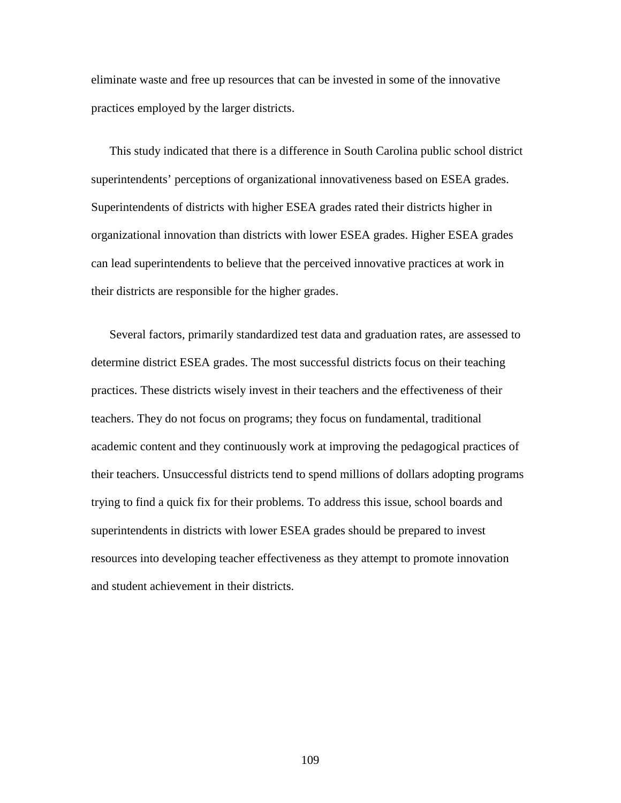eliminate waste and free up resources that can be invested in some of the innovative practices employed by the larger districts.

This study indicated that there is a difference in South Carolina public school district superintendents' perceptions of organizational innovativeness based on ESEA grades. Superintendents of districts with higher ESEA grades rated their districts higher in organizational innovation than districts with lower ESEA grades. Higher ESEA grades can lead superintendents to believe that the perceived innovative practices at work in their districts are responsible for the higher grades.

Several factors, primarily standardized test data and graduation rates, are assessed to determine district ESEA grades. The most successful districts focus on their teaching practices. These districts wisely invest in their teachers and the effectiveness of their teachers. They do not focus on programs; they focus on fundamental, traditional academic content and they continuously work at improving the pedagogical practices of their teachers. Unsuccessful districts tend to spend millions of dollars adopting programs trying to find a quick fix for their problems. To address this issue, school boards and superintendents in districts with lower ESEA grades should be prepared to invest resources into developing teacher effectiveness as they attempt to promote innovation and student achievement in their districts.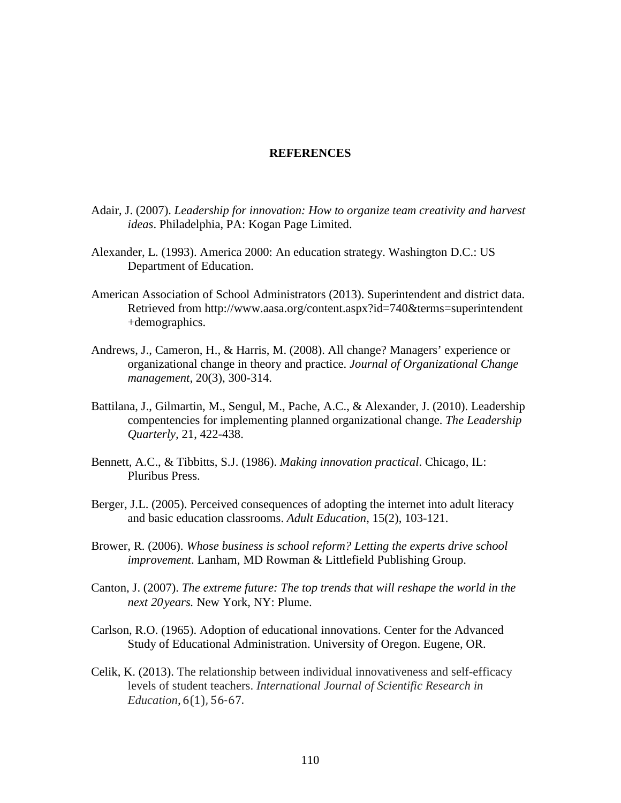#### **REFERENCES**

- Adair, J. (2007). *Leadership for innovation: How to organize team creativity and harvest ideas*. Philadelphia, PA: Kogan Page Limited.
- Alexander, L. (1993). America 2000: An education strategy. Washington D.C.: US Department of Education.
- American Association of School Administrators (2013). Superintendent and district data. Retrieved from http://www.aasa.org/content.aspx?id=740&terms=superintendent +demographics.
- Andrews, J., Cameron, H., & Harris, M. (2008). All change? Managers' experience or organizational change in theory and practice. *Journal of Organizational Change management,* 20(3), 300-314.
- Battilana, J., Gilmartin, M., Sengul, M., Pache, A.C., & Alexander, J. (2010). Leadership compentencies for implementing planned organizational change. *The Leadership Quarterly,* 21, 422-438.
- Bennett, A.C., & Tibbitts, S.J. (1986). *Making innovation practical*. Chicago, IL: Pluribus Press.
- Berger, J.L. (2005). Perceived consequences of adopting the internet into adult literacy and basic education classrooms. *Adult Education*, 15(2), 103-121.
- Brower, R. (2006). *Whose business is school reform? Letting the experts drive school improvement*. Lanham, MD Rowman & Littlefield Publishing Group.
- Canton, J. (2007). *The extreme future: The top trends that will reshape the world in the next 20 years.* New York, NY: Plume.
- Carlson, R.O. (1965). Adoption of educational innovations. Center for the Advanced Study of Educational Administration. University of Oregon. Eugene, OR.
- Celik, K. (2013). The relationship between individual innovativeness and self-efficacy levels of student teachers. *International Journal of Scientific Research in Education,* 6(1), 56-67.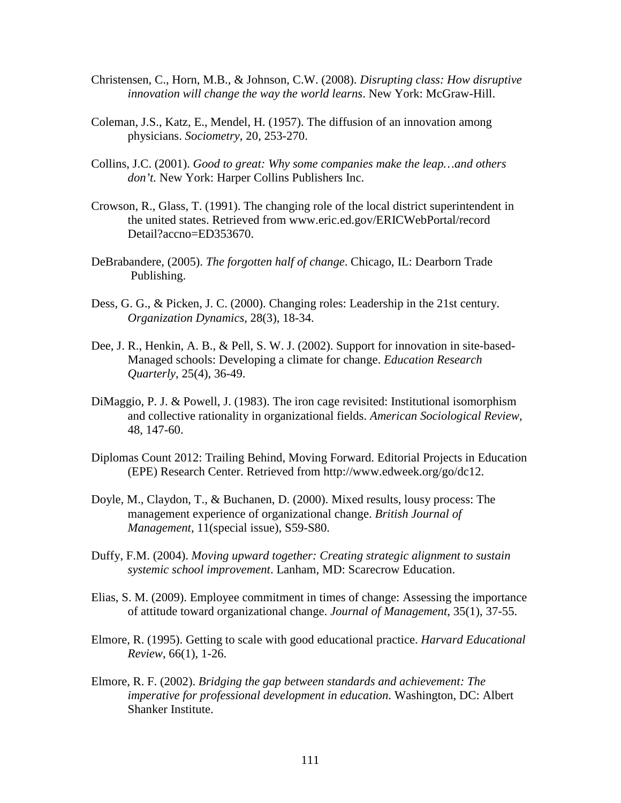- Christensen, C., Horn, M.B., & Johnson, C.W. (2008). *Disrupting class: How disruptive innovation will change the way the world learns*. New York: McGraw-Hill.
- Coleman, J.S., Katz, E., Mendel, H. (1957). The diffusion of an innovation among physicians. *Sociometry*, 20, 253-270.
- Collins, J.C. (2001). *Good to great: Why some companies make the leap…and others don't.* New York: Harper Collins Publishers Inc.
- Crowson, R., Glass, T. (1991). The changing role of the local district superintendent in the united states. Retrieved from www.eric.ed.gov/ERICWebPortal/record Detail?accno=ED353670.
- DeBrabandere, (2005). *The forgotten half of change*. Chicago, IL: Dearborn Trade Publishing.
- Dess, G. G., & Picken, J. C. (2000). Changing roles: Leadership in the 21st century. *Organization Dynamics*, 28(3), 18-34.
- Dee, J. R., Henkin, A. B., & Pell, S. W. J. (2002). Support for innovation in site-based-Managed schools: Developing a climate for change. *Education Research Quarterly*, 25(4), 36-49.
- DiMaggio, P. J. & Powell, J. (1983). The iron cage revisited: Institutional isomorphism and collective rationality in organizational fields. *American Sociological Review*, 48, 147-60.
- Diplomas Count 2012: Trailing Behind, Moving Forward. Editorial Projects in Education (EPE) Research Center. Retrieved from http://www.edweek.org/go/dc12.
- Doyle, M., Claydon, T., & Buchanen, D. (2000). Mixed results, lousy process: The management experience of organizational change. *British Journal of Management*, 11(special issue), S59-S80.
- Duffy, F.M. (2004). *Moving upward together: Creating strategic alignment to sustain systemic school improvement*. Lanham, MD: Scarecrow Education.
- Elias, S. M. (2009). Employee commitment in times of change: Assessing the importance of attitude toward organizational change. *Journal of Management*, 35(1), 37-55.
- Elmore, R. (1995). Getting to scale with good educational practice. *Harvard Educational Review*, 66(1), 1-26.
- Elmore, R. F. (2002). *Bridging the gap between standards and achievement: The imperative for professional development in education*. Washington, DC: Albert Shanker Institute.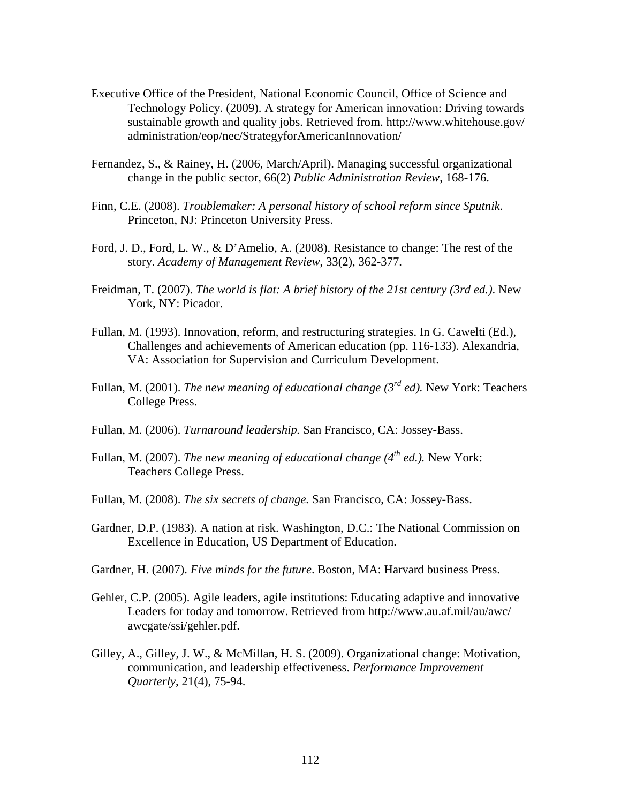- Executive Office of the President, National Economic Council, Office of Science and Technology Policy. (2009). A strategy for American innovation: Driving towards sustainable growth and quality jobs. Retrieved from. http://www.whitehouse.gov/ administration/eop/nec/StrategyforAmericanInnovation/
- Fernandez, S., & Rainey, H. (2006, March/April). Managing successful organizational change in the public sector, 66(2) *Public Administration Review*, 168-176.
- Finn, C.E. (2008). *Troublemaker: A personal history of school reform since Sputnik*. Princeton, NJ: Princeton University Press.
- Ford, J. D., Ford, L. W., & D'Amelio, A. (2008). Resistance to change: The rest of the story. *Academy of Management Review*, 33(2), 362-377.
- Freidman, T. (2007). *The world is flat: A brief history of the 21st century (3rd ed.)*. New York, NY: Picador.
- Fullan, M. (1993). Innovation, reform, and restructuring strategies. In G. Cawelti (Ed.), Challenges and achievements of American education (pp. 116-133). Alexandria, VA: Association for Supervision and Curriculum Development.
- Fullan, M. (2001). *The new meaning of educational change (3rd ed).* New York: Teachers College Press.
- Fullan, M. (2006). *Turnaround leadership.* San Francisco, CA: Jossey-Bass.
- Fullan, M. (2007). *The new meaning of educational change (4th ed.).* New York: Teachers College Press.
- Fullan, M. (2008). *The six secrets of change.* San Francisco, CA: Jossey-Bass.
- Gardner, D.P. (1983). A nation at risk. Washington, D.C.: The National Commission on Excellence in Education, US Department of Education.
- Gardner, H. (2007). *Five minds for the future*. Boston, MA: Harvard business Press.
- Gehler, C.P. (2005). Agile leaders, agile institutions: Educating adaptive and innovative Leaders for today and tomorrow. Retrieved from http://www.au.af.mil/au/awc/ awcgate/ssi/gehler.pdf.
- Gilley, A., Gilley, J. W., & McMillan, H. S. (2009). Organizational change: Motivation, communication, and leadership effectiveness. *Performance Improvement Quarterly*, 21(4), 75-94.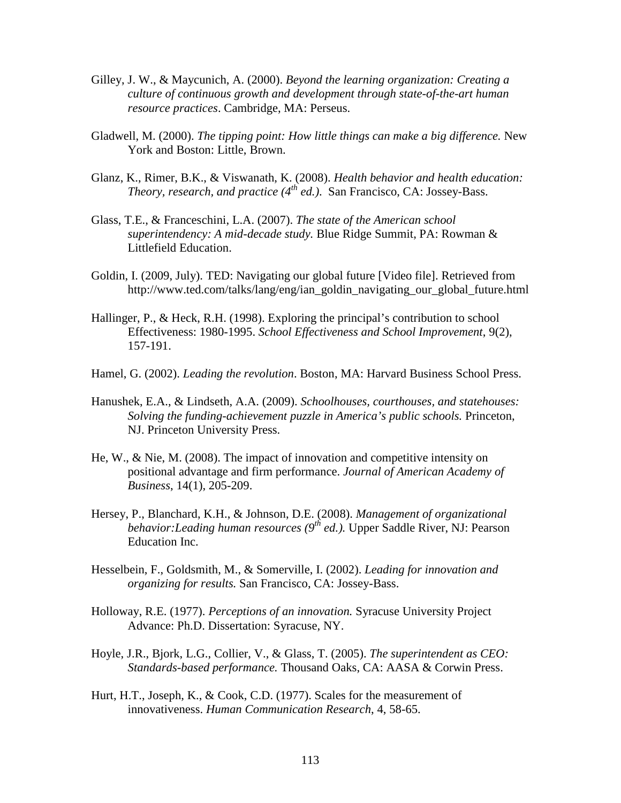- Gilley, J. W., & Maycunich, A. (2000). *Beyond the learning organization: Creating a culture of continuous growth and development through state-of-the-art human resource practices*. Cambridge, MA: Perseus.
- Gladwell, M. (2000). *The tipping point: How little things can make a big difference.* New York and Boston: Little, Brown.
- Glanz, K., Rimer, B.K., & Viswanath, K. (2008). *Health behavior and health education: Theory, research, and practice (4th ed.)*. San Francisco, CA: Jossey-Bass.
- Glass, T.E., & Franceschini, L.A. (2007). *The state of the American school superintendency: A mid-decade study.* Blue Ridge Summit, PA: Rowman & Littlefield Education.
- Goldin, I. (2009, July). TED: Navigating our global future [Video file]. Retrieved from http://www.ted.com/talks/lang/eng/ian\_goldin\_navigating\_our\_global\_future.html
- Hallinger, P., & Heck, R.H. (1998). Exploring the principal's contribution to school Effectiveness: 1980-1995. *School Effectiveness and School Improvement*, 9(2), 157-191.
- Hamel, G. (2002). *Leading the revolution*. Boston, MA: Harvard Business School Press.
- Hanushek, E.A., & Lindseth, A.A. (2009). *Schoolhouses, courthouses, and statehouses: Solving the funding-achievement puzzle in America's public schools.* Princeton, NJ. Princeton University Press.
- He, W., & Nie, M. (2008). The impact of innovation and competitive intensity on positional advantage and firm performance. *Journal of American Academy of Business*, 14(1), 205-209.
- Hersey, P., Blanchard, K.H., & Johnson, D.E. (2008). *Management of organizational behavior:Leading human resources (9th ed.).* Upper Saddle River, NJ: Pearson Education Inc.
- Hesselbein, F., Goldsmith, M., & Somerville, I. (2002). *Leading for innovation and organizing for results.* San Francisco, CA: Jossey-Bass.
- Holloway, R.E. (1977). *Perceptions of an innovation.* Syracuse University Project Advance: Ph.D. Dissertation: Syracuse, NY.
- Hoyle, J.R., Bjork, L.G., Collier, V., & Glass, T. (2005). *The superintendent as CEO: Standards-based performance.* Thousand Oaks, CA: AASA & Corwin Press.
- Hurt, H.T., Joseph, K., & Cook, C.D. (1977). Scales for the measurement of innovativeness. *Human Communication Research*, 4, 58-65.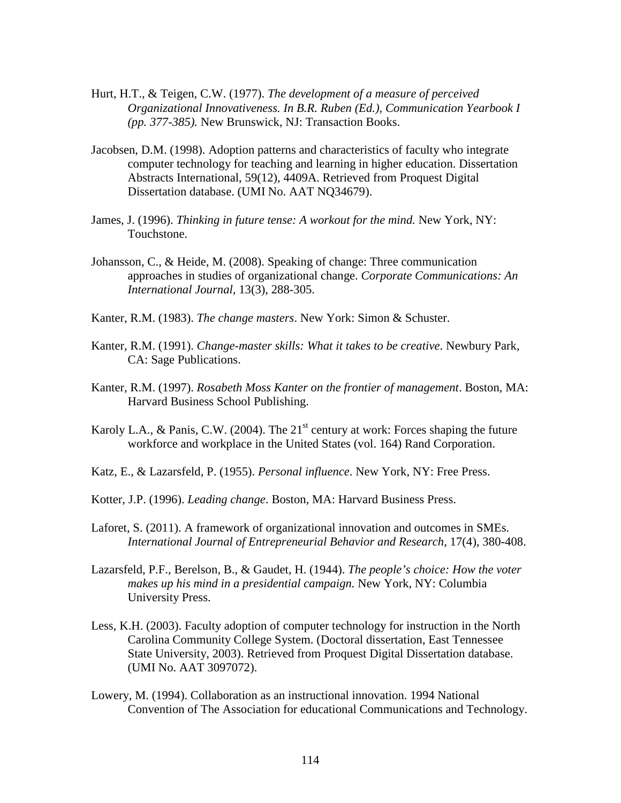- Hurt, H.T., & Teigen, C.W. (1977). *The development of a measure of perceived Organizational Innovativeness. In B.R. Ruben (Ed.), Communication Yearbook I (pp. 377-385).* New Brunswick, NJ: Transaction Books.
- Jacobsen, D.M. (1998). Adoption patterns and characteristics of faculty who integrate computer technology for teaching and learning in higher education. Dissertation Abstracts International, 59(12), 4409A. Retrieved from Proquest Digital Dissertation database. (UMI No. AAT NQ34679).
- James, J. (1996). *Thinking in future tense: A workout for the mind.* New York, NY: Touchstone.
- Johansson, C., & Heide, M. (2008). Speaking of change: Three communication approaches in studies of organizational change. *Corporate Communications: An International Journal,* 13(3), 288-305.
- Kanter, R.M. (1983). *The change masters*. New York: Simon & Schuster.
- Kanter, R.M. (1991). *Change-master skills: What it takes to be creative*. Newbury Park, CA: Sage Publications.
- Kanter, R.M. (1997). *Rosabeth Moss Kanter on the frontier of management*. Boston, MA: Harvard Business School Publishing.
- Karoly L.A., & Panis, C.W. (2004). The 21<sup>st</sup> century at work: Forces shaping the future workforce and workplace in the United States (vol. 164) Rand Corporation.
- Katz, E., & Lazarsfeld, P. (1955). *Personal influence*. New York, NY: Free Press.
- Kotter, J.P. (1996). *Leading change*. Boston, MA: Harvard Business Press.
- Laforet, S. (2011). A framework of organizational innovation and outcomes in SMEs. *International Journal of Entrepreneurial Behavior and Research*, 17(4), 380-408.
- Lazarsfeld, P.F., Berelson, B., & Gaudet, H. (1944). *The people's choice: How the voter makes up his mind in a presidential campaign.* New York, NY: Columbia University Press.
- Less, K.H. (2003). Faculty adoption of computer technology for instruction in the North Carolina Community College System. (Doctoral dissertation, East Tennessee State University, 2003). Retrieved from Proquest Digital Dissertation database. (UMI No. AAT 3097072).
- Lowery, M. (1994). Collaboration as an instructional innovation. 1994 National Convention of The Association for educational Communications and Technology.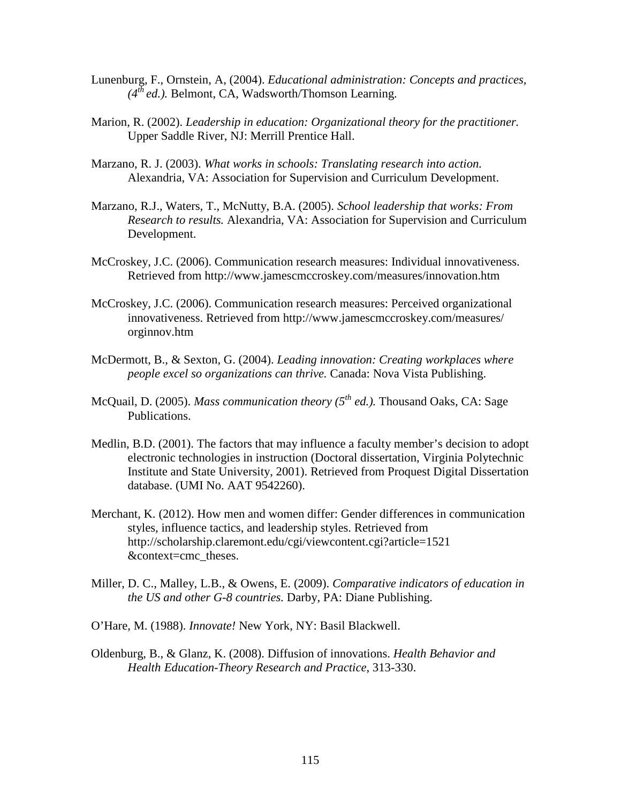- Lunenburg, F., Ornstein, A, (2004). *Educational administration: Concepts and practices,*  $(4^{th}$  *ed.*). Belmont, CA, Wadsworth/Thomson Learning.
- Marion, R. (2002). *Leadership in education: Organizational theory for the practitioner.* Upper Saddle River, NJ: Merrill Prentice Hall.
- Marzano, R. J. (2003). *What works in schools: Translating research into action.* Alexandria, VA: Association for Supervision and Curriculum Development.
- Marzano, R.J., Waters, T., McNutty, B.A. (2005). *School leadership that works: From Research to results.* Alexandria, VA: Association for Supervision and Curriculum Development.
- McCroskey, J.C. (2006). Communication research measures: Individual innovativeness. Retrieved from http://www.jamescmccroskey.com/measures/innovation.htm
- McCroskey, J.C. (2006). Communication research measures: Perceived organizational innovativeness. Retrieved from http://www.jamescmccroskey.com/measures/ orginnov.htm
- McDermott, B., & Sexton, G. (2004). *Leading innovation: Creating workplaces where people excel so organizations can thrive.* Canada: Nova Vista Publishing.
- McQuail, D. (2005). *Mass communication theory (5th ed.).* Thousand Oaks, CA: Sage Publications.
- Medlin, B.D. (2001). The factors that may influence a faculty member's decision to adopt electronic technologies in instruction (Doctoral dissertation, Virginia Polytechnic Institute and State University, 2001). Retrieved from Proquest Digital Dissertation database. (UMI No. AAT 9542260).
- Merchant, K. (2012). How men and women differ: Gender differences in communication styles, influence tactics, and leadership styles. Retrieved from http://scholarship.claremont.edu/cgi/viewcontent.cgi?article=1521 &context=cmc\_theses.
- Miller, D. C., Malley, L.B., & Owens, E. (2009). *Comparative indicators of education in the US and other G-8 countries.* Darby, PA: Diane Publishing.
- O'Hare, M. (1988). *Innovate!* New York, NY: Basil Blackwell.
- Oldenburg, B., & Glanz, K. (2008). Diffusion of innovations. *Health Behavior and Health Education-Theory Research and Practice*, 313-330.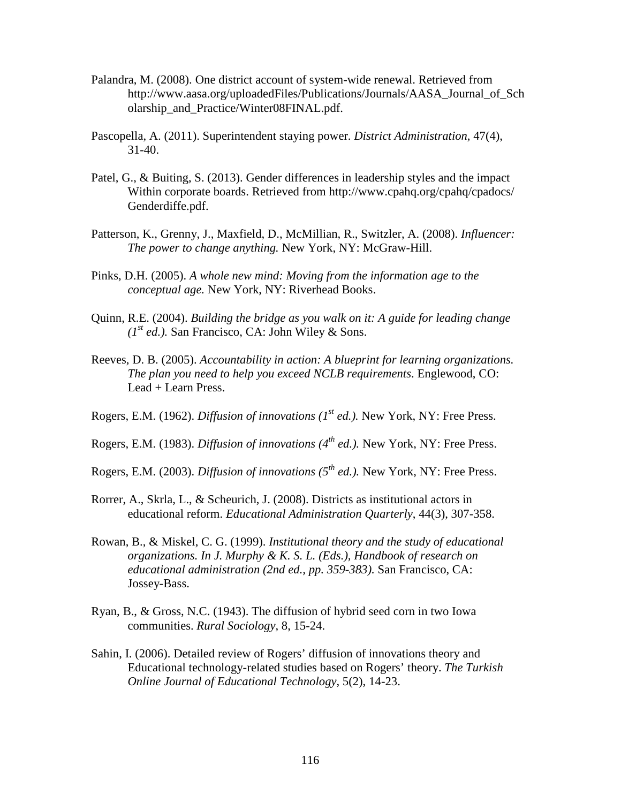- Palandra, M. (2008). One district account of system-wide renewal. Retrieved from http://www.aasa.org/uploadedFiles/Publications/Journals/AASA\_Journal\_of\_Sch olarship\_and\_Practice/Winter08FINAL.pdf.
- Pascopella, A. (2011). Superintendent staying power. *District Administration*, 47(4), 31-40.
- Patel, G., & Buiting, S. (2013). Gender differences in leadership styles and the impact Within corporate boards. Retrieved from http://www.cpahq.org/cpahq/cpadocs/ Genderdiffe.pdf.
- Patterson, K., Grenny, J., Maxfield, D., McMillian, R., Switzler, A. (2008). *Influencer: The power to change anything.* New York, NY: McGraw-Hill.
- Pinks, D.H. (2005). *A whole new mind: Moving from the information age to the conceptual age.* New York, NY: Riverhead Books.
- Quinn, R.E. (2004). *Building the bridge as you walk on it: A guide for leading change*   $(I^{st}$  *ed.*). San Francisco, CA: John Wiley & Sons.
- Reeves, D. B. (2005). *Accountability in action: A blueprint for learning organizations. The plan you need to help you exceed NCLB requirements*. Englewood, CO: Lead + Learn Press.
- Rogers, E.M. (1962). *Diffusion of innovations (1st ed.).* New York, NY: Free Press.
- Rogers, E.M. (1983). *Diffusion of innovations (4th ed.).* New York, NY: Free Press.
- Rogers, E.M. (2003). *Diffusion of innovations (5th ed.).* New York, NY: Free Press.
- Rorrer, A., Skrla, L., & Scheurich, J. (2008). Districts as institutional actors in educational reform. *Educational Administration Quarterly*, 44(3), 307-358.
- Rowan, B., & Miskel, C. G. (1999). *Institutional theory and the study of educational organizations. In J. Murphy & K. S. L. (Eds.), Handbook of research on educational administration (2nd ed., pp. 359-383).* San Francisco, CA: Jossey-Bass.
- Ryan, B., & Gross, N.C. (1943). The diffusion of hybrid seed corn in two Iowa communities. *Rural Sociology*, 8, 15-24.
- Sahin, I. (2006). Detailed review of Rogers' diffusion of innovations theory and Educational technology-related studies based on Rogers' theory. *The Turkish Online Journal of Educational Technology*, 5(2), 14-23.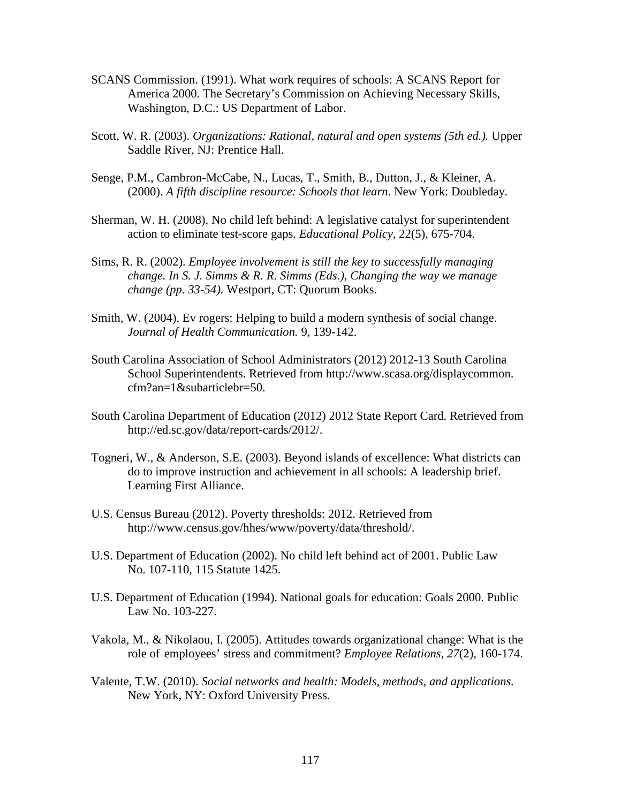- SCANS Commission. (1991). What work requires of schools: A SCANS Report for America 2000. The Secretary's Commission on Achieving Necessary Skills, Washington, D.C.: US Department of Labor.
- Scott, W. R. (2003). *Organizations: Rational, natural and open systems (5th ed.).* Upper Saddle River, NJ: Prentice Hall.
- Senge, P.M., Cambron-McCabe, N., Lucas, T., Smith, B., Dutton, J., & Kleiner, A. (2000). *A fifth discipline resource: Schools that learn.* New York: Doubleday.
- Sherman, W. H. (2008). No child left behind: A legislative catalyst for superintendent action to eliminate test-score gaps. *Educational Policy*, 22(5), 675-704.
- Sims, R. R. (2002). *Employee involvement is still the key to successfully managing change. In S. J. Simms & R. R. Simms (Eds.), Changing the way we manage change (pp. 33-54).* Westport, CT: Quorum Books.
- Smith, W. (2004). Ev rogers: Helping to build a modern synthesis of social change. *Journal of Health Communication.* 9, 139-142.
- South Carolina Association of School Administrators (2012) 2012-13 South Carolina School Superintendents. Retrieved from http://www.scasa.org/displaycommon. cfm?an=1&subarticlebr=50.
- South Carolina Department of Education (2012) 2012 State Report Card. Retrieved from http://ed.sc.gov/data/report-cards/2012/.
- Togneri, W., & Anderson, S.E. (2003). Beyond islands of excellence: What districts can do to improve instruction and achievement in all schools: A leadership brief. Learning First Alliance.
- U.S. Census Bureau (2012). Poverty thresholds: 2012. Retrieved from http://www.census.gov/hhes/www/poverty/data/threshold/.
- U.S. Department of Education (2002). No child left behind act of 2001. Public Law No. 107-110, 115 Statute 1425.
- U.S. Department of Education (1994). National goals for education: Goals 2000. Public Law No. 103-227.
- Vakola, M., & Nikolaou, I. (2005). Attitudes towards organizational change: What is the role of employees' stress and commitment? *Employee Relations, 27*(2), 160-174.
- Valente, T.W. (2010). *Social networks and health: Models, methods, and applications.*  New York, NY: Oxford University Press.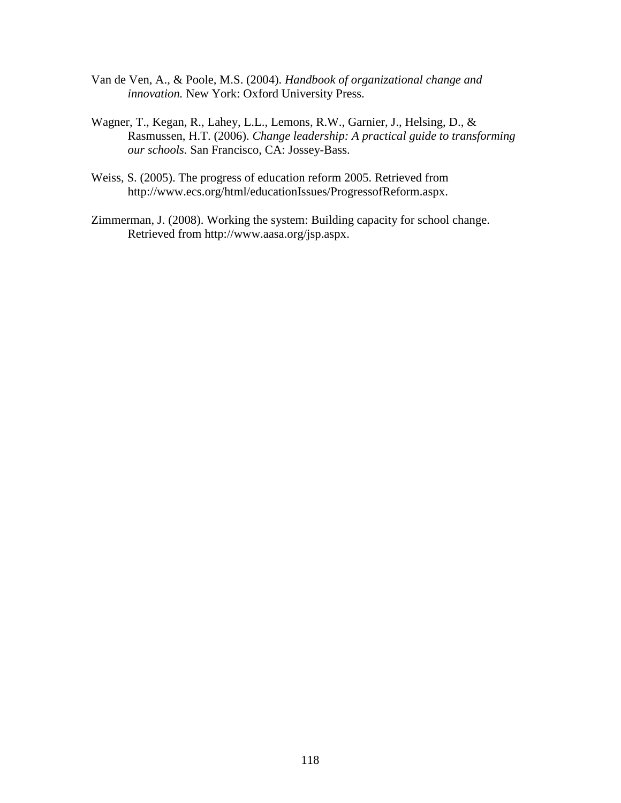- Van de Ven, A., & Poole, M.S. (2004). *Handbook of organizational change and innovation.* New York: Oxford University Press.
- Wagner, T., Kegan, R., Lahey, L.L., Lemons, R.W., Garnier, J., Helsing, D., & Rasmussen, H.T. (2006). *Change leadership: A practical guide to transforming our schools.* San Francisco, CA: Jossey-Bass.
- Weiss, S. (2005). The progress of education reform 2005. Retrieved from http://www.ecs.org/html/educationIssues/ProgressofReform.aspx.
- Zimmerman, J. (2008). Working the system: Building capacity for school change. Retrieved from http://www.aasa.org/jsp.aspx.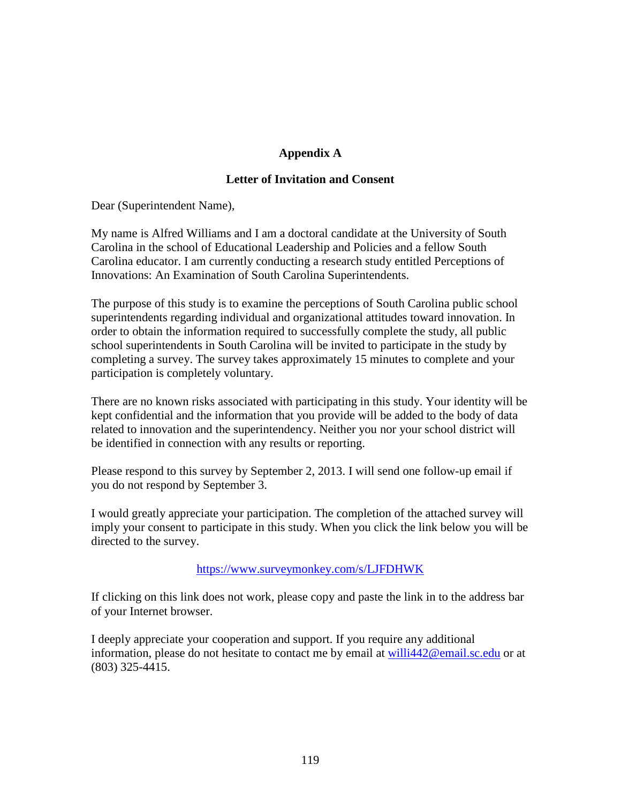## **Appendix A**

#### **Letter of Invitation and Consent**

Dear (Superintendent Name),

My name is Alfred Williams and I am a doctoral candidate at the University of South Carolina in the school of Educational Leadership and Policies and a fellow South Carolina educator. I am currently conducting a research study entitled Perceptions of Innovations: An Examination of South Carolina Superintendents.

The purpose of this study is to examine the perceptions of South Carolina public school superintendents regarding individual and organizational attitudes toward innovation. In order to obtain the information required to successfully complete the study, all public school superintendents in South Carolina will be invited to participate in the study by completing a survey. The survey takes approximately 15 minutes to complete and your participation is completely voluntary.

There are no known risks associated with participating in this study. Your identity will be kept confidential and the information that you provide will be added to the body of data related to innovation and the superintendency. Neither you nor your school district will be identified in connection with any results or reporting.

Please respond to this survey by September 2, 2013. I will send one follow-up email if you do not respond by September 3.

I would greatly appreciate your participation. The completion of the attached survey will imply your consent to participate in this study. When you click the link below you will be directed to the survey.

#### https://www.surveymonkey.com/s/LJFDHWK

If clicking on this link does not work, please copy and paste the link in to the address bar of your Internet browser.

I deeply appreciate your cooperation and support. If you require any additional information, please do not hesitate to contact me by email at willi442@email.sc.edu or at (803) 325-4415.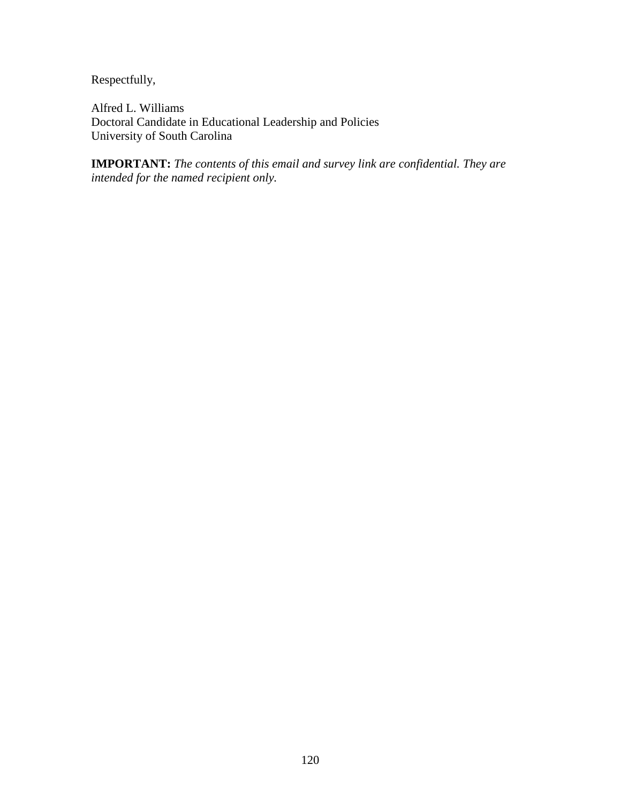Respectfully,

Alfred L. Williams Doctoral Candidate in Educational Leadership and Policies University of South Carolina

**IMPORTANT:** *The contents of this email and survey link are confidential. They are intended for the named recipient only.*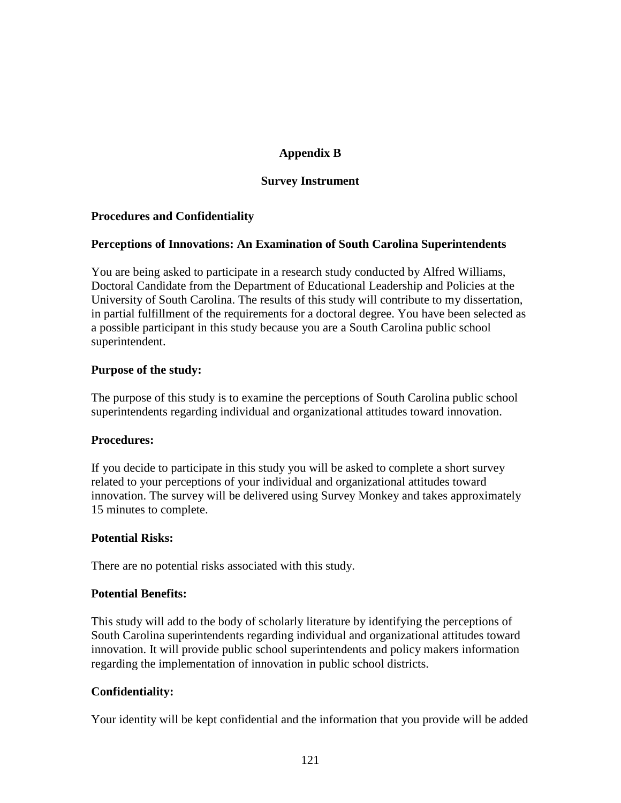## **Appendix B**

### **Survey Instrument**

### **Procedures and Confidentiality**

#### **Perceptions of Innovations: An Examination of South Carolina Superintendents**

You are being asked to participate in a research study conducted by Alfred Williams, Doctoral Candidate from the Department of Educational Leadership and Policies at the University of South Carolina. The results of this study will contribute to my dissertation, in partial fulfillment of the requirements for a doctoral degree. You have been selected as a possible participant in this study because you are a South Carolina public school superintendent.

#### **Purpose of the study:**

The purpose of this study is to examine the perceptions of South Carolina public school superintendents regarding individual and organizational attitudes toward innovation.

#### **Procedures:**

If you decide to participate in this study you will be asked to complete a short survey related to your perceptions of your individual and organizational attitudes toward innovation. The survey will be delivered using Survey Monkey and takes approximately 15 minutes to complete.

### **Potential Risks:**

There are no potential risks associated with this study.

#### **Potential Benefits:**

This study will add to the body of scholarly literature by identifying the perceptions of South Carolina superintendents regarding individual and organizational attitudes toward innovation. It will provide public school superintendents and policy makers information regarding the implementation of innovation in public school districts.

### **Confidentiality:**

Your identity will be kept confidential and the information that you provide will be added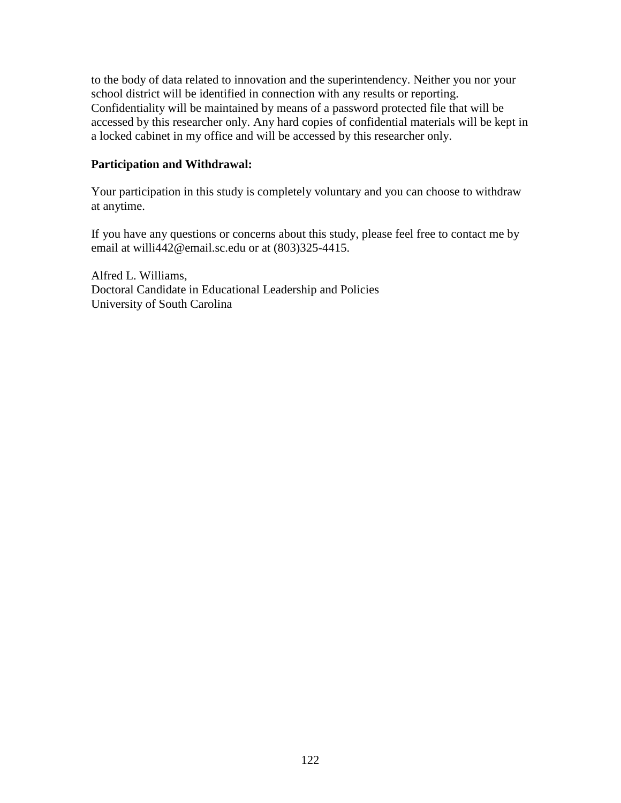to the body of data related to innovation and the superintendency. Neither you nor your school district will be identified in connection with any results or reporting. Confidentiality will be maintained by means of a password protected file that will be accessed by this researcher only. Any hard copies of confidential materials will be kept in a locked cabinet in my office and will be accessed by this researcher only.

#### **Participation and Withdrawal:**

Your participation in this study is completely voluntary and you can choose to withdraw at anytime.

If you have any questions or concerns about this study, please feel free to contact me by email at willi442@email.sc.edu or at (803)325-4415.

Alfred L. Williams, Doctoral Candidate in Educational Leadership and Policies University of South Carolina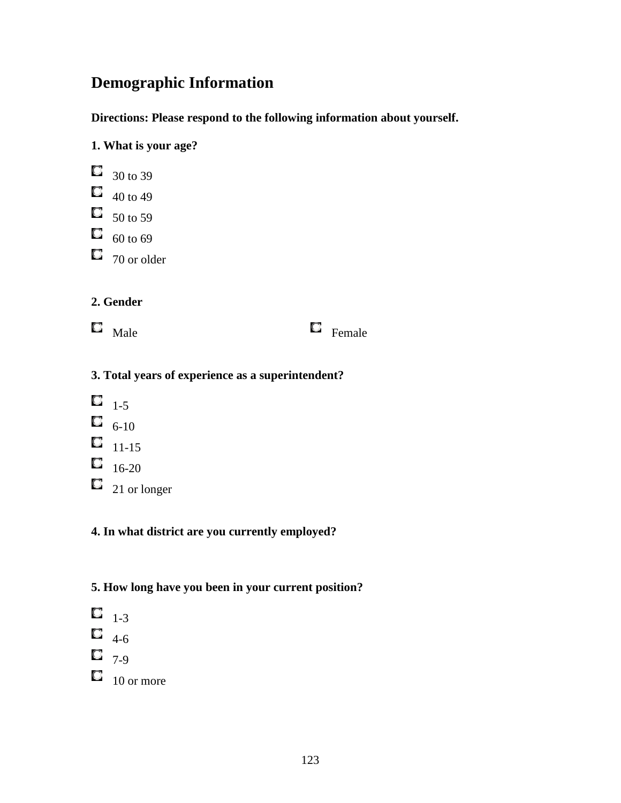# **Demographic Information**

**Directions: Please respond to the following information about yourself.** 

## **1. What is your age?**

|    | 30 to 39    |
|----|-------------|
| L. | 40 to 49    |
| u  | 50 to 59    |
| Q  | 60 to 69    |
|    | 70 or older |

## **2. Gender**

 $\Box$  Male  $\Box$  Female

# **3. Total years of experience as a superintendent?**

- $\Box$  1-5  $\Box$  6-10  $\Box$  11-15  $\Box$  16-20
- $\Box$  21 or longer

## **4. In what district are you currently employed?**

# **5. How long have you been in your current position?**

 $\Box$  1-3  $\Box$  4-6  $\Box$  7-9

 $\Box$  10 or more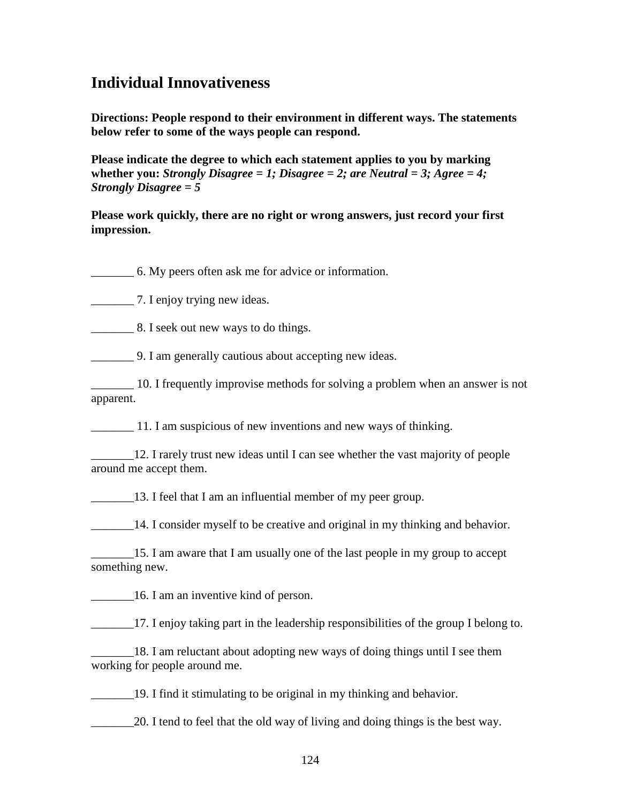# **Individual Innovativeness**

**Directions: People respond to their environment in different ways. The statements below refer to some of the ways people can respond.** 

**Please indicate the degree to which each statement applies to you by marking whether you:** *Strongly Disagree = 1; Disagree = 2; are Neutral = 3; Agree = 4; Strongly Disagree = 5* 

**Please work quickly, there are no right or wrong answers, just record your first impression.**

\_\_\_\_\_\_\_ 6. My peers often ask me for advice or information.

\_\_\_\_\_\_\_ 7. I enjoy trying new ideas.

**Example 2.** 8. I seek out new ways to do things.

\_\_\_\_\_\_\_ 9. I am generally cautious about accepting new ideas.

\_\_\_\_\_\_\_ 10. I frequently improvise methods for solving a problem when an answer is not apparent.

\_\_\_\_\_\_\_ 11. I am suspicious of new inventions and new ways of thinking.

12. I rarely trust new ideas until I can see whether the vast majority of people around me accept them.

\_\_\_\_\_\_\_13. I feel that I am an influential member of my peer group.

\_\_\_\_\_\_\_14. I consider myself to be creative and original in my thinking and behavior.

15. I am aware that I am usually one of the last people in my group to accept something new.

\_\_\_\_\_\_\_16. I am an inventive kind of person.

\_\_\_\_\_\_\_17. I enjoy taking part in the leadership responsibilities of the group I belong to.

\_\_\_\_\_\_\_18. I am reluctant about adopting new ways of doing things until I see them working for people around me.

\_\_\_\_\_\_\_19. I find it stimulating to be original in my thinking and behavior.

\_\_\_\_\_\_\_20. I tend to feel that the old way of living and doing things is the best way.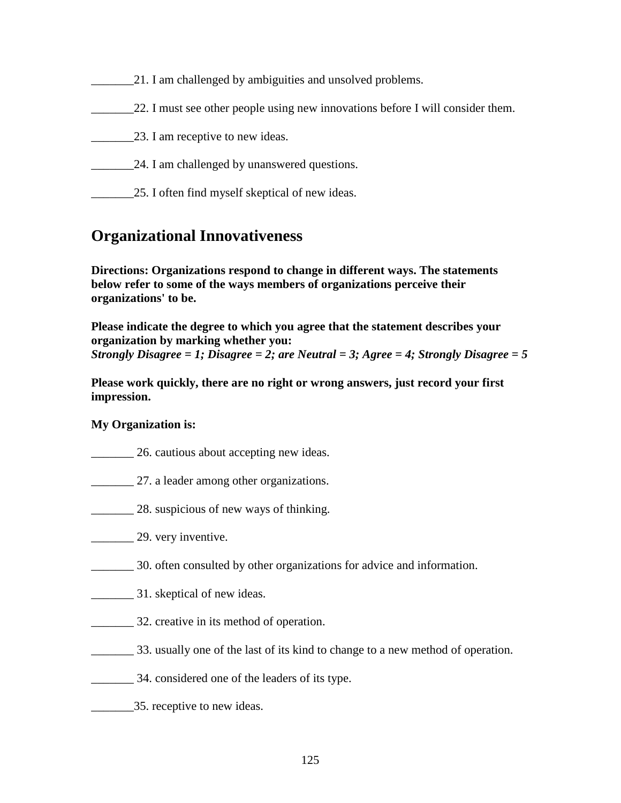## 21. I am challenged by ambiguities and unsolved problems.

- 22. I must see other people using new innovations before I will consider them.
- \_\_\_\_\_\_\_23. I am receptive to new ideas.
- 24. I am challenged by unanswered questions.
- 25. I often find myself skeptical of new ideas.

# **Organizational Innovativeness**

**Directions: Organizations respond to change in different ways. The statements below refer to some of the ways members of organizations perceive their organizations' to be.** 

**Please indicate the degree to which you agree that the statement describes your organization by marking whether you:**  *Strongly Disagree = 1; Disagree = 2; are Neutral = 3; Agree = 4; Strongly Disagree = 5*

**Please work quickly, there are no right or wrong answers, just record your first impression.** 

### **My Organization is:**

- \_\_\_\_\_\_\_ 26. cautious about accepting new ideas.
- 27. a leader among other organizations.
- **28.** suspicious of new ways of thinking.
- **29.** very inventive.
- \_\_\_\_\_\_\_ 30. often consulted by other organizations for advice and information.
- **EXECUTE:** 31. skeptical of new ideas.
- \_\_\_\_\_\_\_ 32. creative in its method of operation.
- \_\_\_\_\_\_\_ 33. usually one of the last of its kind to change to a new method of operation.
- \_\_\_\_\_\_\_ 34. considered one of the leaders of its type.
- 25. receptive to new ideas.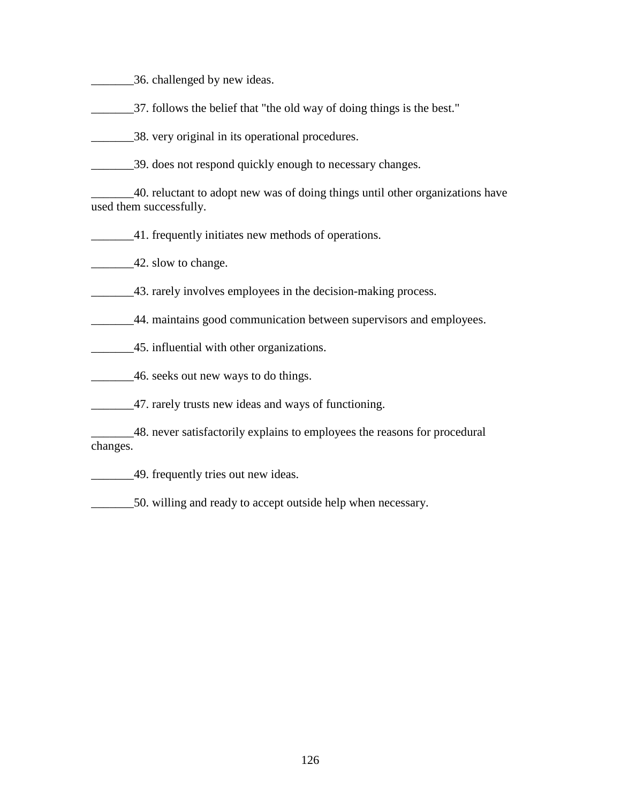- \_\_\_\_\_\_\_36. challenged by new ideas.
- \_\_\_\_\_\_\_37. follows the belief that "the old way of doing things is the best."
- \_\_\_\_\_\_\_38. very original in its operational procedures.
- \_\_\_\_\_\_\_39. does not respond quickly enough to necessary changes.

\_\_\_\_\_\_\_40. reluctant to adopt new was of doing things until other organizations have used them successfully.

\_\_\_\_\_\_\_41. frequently initiates new methods of operations.

42. slow to change.

- \_\_\_\_\_\_\_43. rarely involves employees in the decision-making process.
- \_\_\_\_\_\_\_44. maintains good communication between supervisors and employees.
- \_\_\_\_\_\_\_45. influential with other organizations.
- \_\_\_\_\_\_\_46. seeks out new ways to do things.
- 47. rarely trusts new ideas and ways of functioning.

\_\_\_\_\_\_\_48. never satisfactorily explains to employees the reasons for procedural changes.

**EXECUTE:** 49. frequently tries out new ideas.

\_\_\_\_\_\_\_50. willing and ready to accept outside help when necessary.